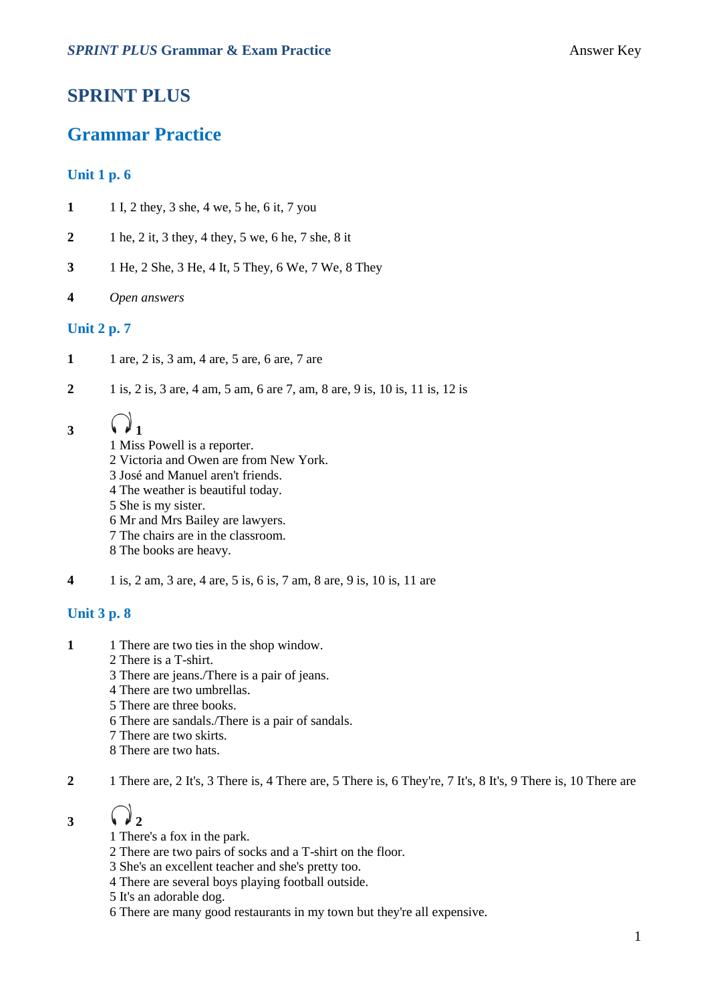### **SPRINT PLUS**

### **Grammar Practice**

#### **Unit 1 p. 6**

- **1** 1 I, 2 they, 3 she, 4 we, 5 he, 6 it, 7 you
- **2** 1 he, 2 it, 3 they, 4 they, 5 we, 6 he, 7 she, 8 it
- **3** 1 He, 2 She, 3 He, 4 It, 5 They, 6 We, 7 We, 8 They
- **4** *Open answers*

#### **Unit 2 p. 7**

- **1** 1 are, 2 is, 3 am, 4 are, 5 are, 6 are, 7 are
- **2** 1 is, 2 is, 3 are, 4 am, 5 am, 6 are 7, am, 8 are, 9 is, 10 is, 11 is, 12 is

# $3 \sqrt{1}$

1 Miss Powell is a reporter. 2 Victoria and Owen are from New York. 3 José and Manuel aren't friends. 4 The weather is beautiful today. 5 She is my sister. 6 Mr and Mrs Bailey are lawyers. 7 The chairs are in the classroom. 8 The books are heavy.

**4** 1 is, 2 am, 3 are, 4 are, 5 is, 6 is, 7 am, 8 are, 9 is, 10 is, 11 are

#### **Unit 3 p. 8**

- **1** 1 There are two ties in the shop window.
	- 2 There is a T-shirt.
	- 3 There are jeans./There is a pair of jeans.
	- 4 There are two umbrellas.
	- 5 There are three books.
	- 6 There are sandals./There is a pair of sandals.
	- 7 There are two skirts.
	- 8 There are two hats.

**2** 1 There are, 2 It's, 3 There is, 4 There are, 5 There is, 6 They're, 7 It's, 8 It's, 9 There is, 10 There are

# $3 \sqrt{2}$

- 1 There's a fox in the park.
- 2 There are two pairs of socks and a T-shirt on the floor.
- 3 She's an excellent teacher and she's pretty too.
- 4 There are several boys playing football outside.
- 5 It's an adorable dog.
- 6 There are many good restaurants in my town but they're all expensive.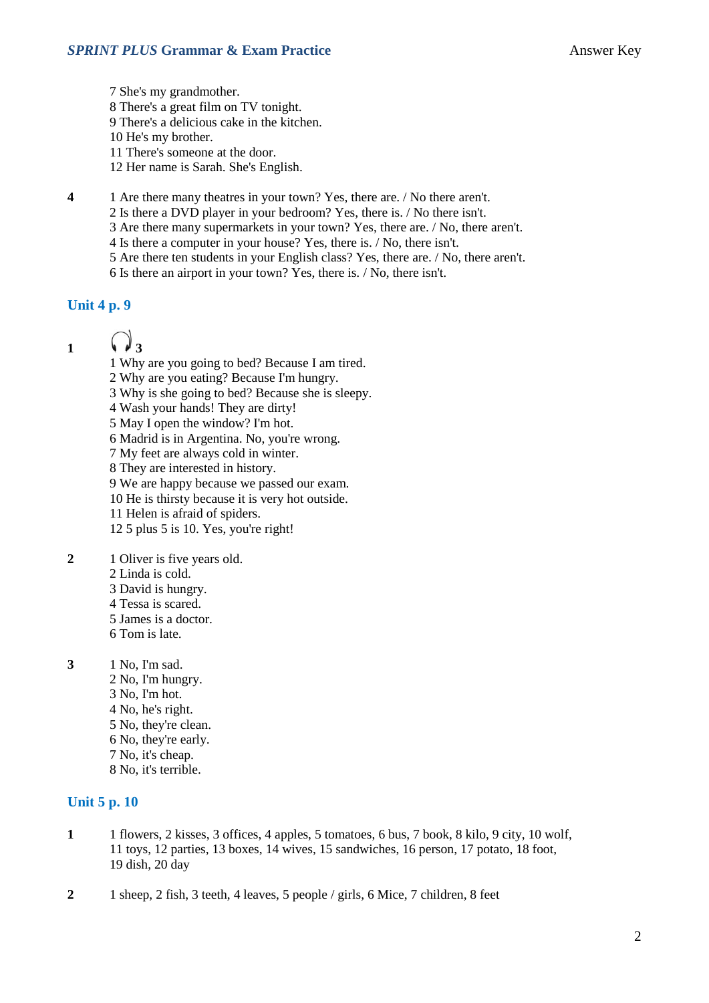7 She's my grandmother. 8 There's a great film on TV tonight. 9 There's a delicious cake in the kitchen. 10 He's my brother. 11 There's someone at the door. 12 Her name is Sarah. She's English.

**4** 1 Are there many theatres in your town? Yes, there are. / No there aren't.

2 Is there a DVD player in your bedroom? Yes, there is. / No there isn't.

3 Are there many supermarkets in your town? Yes, there are. / No, there aren't.

4 Is there a computer in your house? Yes, there is. / No, there isn't.

5 Are there ten students in your English class? Yes, there are. / No, there aren't.

6 Is there an airport in your town? Yes, there is. / No, there isn't.

#### **Unit 4 p. 9**

- 1  $\binom{3}{2}$ 
	- 1 Why are you going to bed? Because I am tired.
	- 2 Why are you eating? Because I'm hungry.
	- 3 Why is she going to bed? Because she is sleepy.
	- 4 Wash your hands! They are dirty!
	- 5 May I open the window? I'm hot.
	- 6 Madrid is in Argentina. No, you're wrong.
	- 7 My feet are always cold in winter.
	- 8 They are interested in history.
	- 9 We are happy because we passed our exam.
	- 10 He is thirsty because it is very hot outside.
	- 11 Helen is afraid of spiders.
	- 12 5 plus 5 is 10. Yes, you're right!
- **2** 1 Oliver is five years old.
	- 2 Linda is cold.
	- 3 David is hungry.
	- 4 Tessa is scared.
	- 5 James is a doctor.
	- 6 Tom is late.
- **3** 1 No, I'm sad.
	- 2 No, I'm hungry. 3 No, I'm hot. 4 No, he's right. 5 No, they're clean. 6 No, they're early. 7 No, it's cheap. 8 No, it's terrible.

#### **Unit 5 p. 10**

- **1** 1 flowers, 2 kisses, 3 offices, 4 apples, 5 tomatoes, 6 bus, 7 book, 8 kilo, 9 city, 10 wolf, 11 toys, 12 parties, 13 boxes, 14 wives, 15 sandwiches, 16 person, 17 potato, 18 foot, 19 dish, 20 day
- **2** 1 sheep, 2 fish, 3 teeth, 4 leaves, 5 people / girls, 6 Mice, 7 children, 8 feet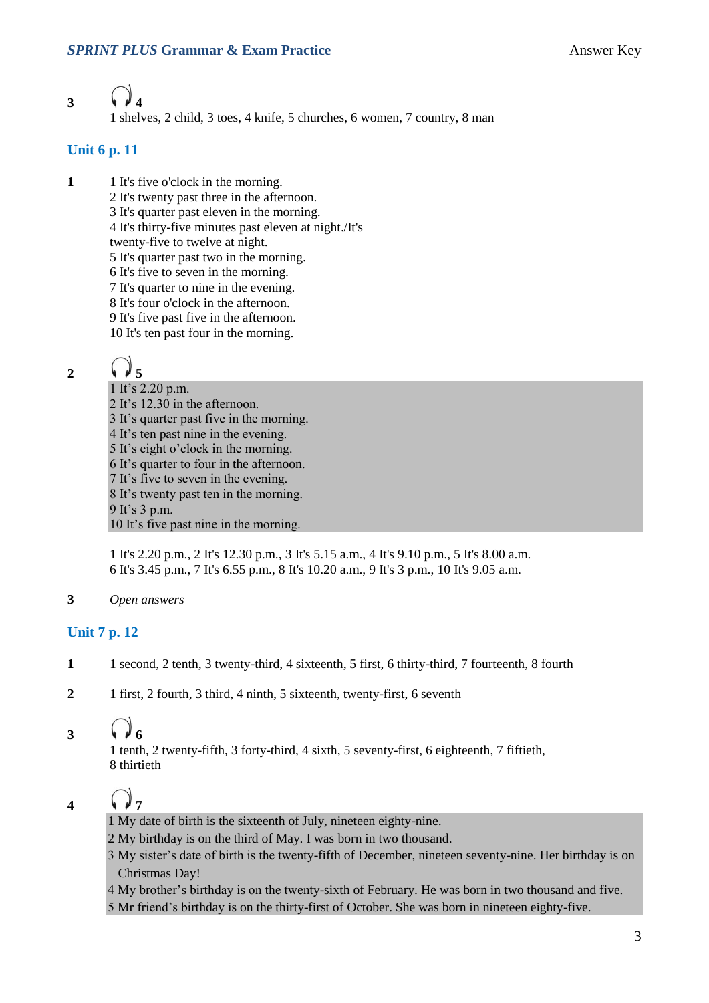# **3 4**

1 shelves, 2 child, 3 toes, 4 knife, 5 churches, 6 women, 7 country, 8 man

#### **Unit 6 p. 11**

- **1** 1 It's five o'clock in the morning.
	- 2 It's twenty past three in the afternoon.
	- 3 It's quarter past eleven in the morning.
	- 4 It's thirty-five minutes past eleven at night./It's
	- twenty-five to twelve at night.
	- 5 It's quarter past two in the morning.
	- 6 It's five to seven in the morning.
	- 7 It's quarter to nine in the evening.
	- 8 It's four o'clock in the afternoon.
	- 9 It's five past five in the afternoon. 10 It's ten past four in the morning.

# **2 5**

1 It's 2.20 p.m. 2 It's 12.30 in the afternoon. 3 It's quarter past five in the morning. 4 It's ten past nine in the evening. 5 It's eight o'clock in the morning. 6 It's quarter to four in the afternoon. 7 It's five to seven in the evening. 8 It's twenty past ten in the morning. 9 It's 3 p.m. 10 It's five past nine in the morning.

1 It's 2.20 p.m., 2 It's 12.30 p.m., 3 It's 5.15 a.m., 4 It's 9.10 p.m., 5 It's 8.00 a.m. 6 It's 3.45 p.m., 7 It's 6.55 p.m., 8 It's 10.20 a.m., 9 It's 3 p.m., 10 It's 9.05 a.m.

**3** *Open answers*

#### **Unit 7 p. 12**

- **1** 1 second, 2 tenth, 3 twenty-third, 4 sixteenth, 5 first, 6 thirty-third, 7 fourteenth, 8 fourth
- **2** 1 first, 2 fourth, 3 third, 4 ninth, 5 sixteenth, twenty-first, 6 seventh

### **3 6**

1 tenth, 2 twenty-fifth, 3 forty-third, 4 sixth, 5 seventy-first, 6 eighteenth, 7 fiftieth, 8 thirtieth

# **4 7**

- 1 My date of birth is the sixteenth of July, nineteen eighty-nine.
- 2 My birthday is on the third of May. I was born in two thousand.
- 3 My sister's date of birth is the twenty-fifth of December, nineteen seventy-nine. Her birthday is on Christmas Day!
- 4 My brother's birthday is on the twenty-sixth of February. He was born in two thousand and five.
- 5 Mr friend's birthday is on the thirty-first of October. She was born in nineteen eighty-five.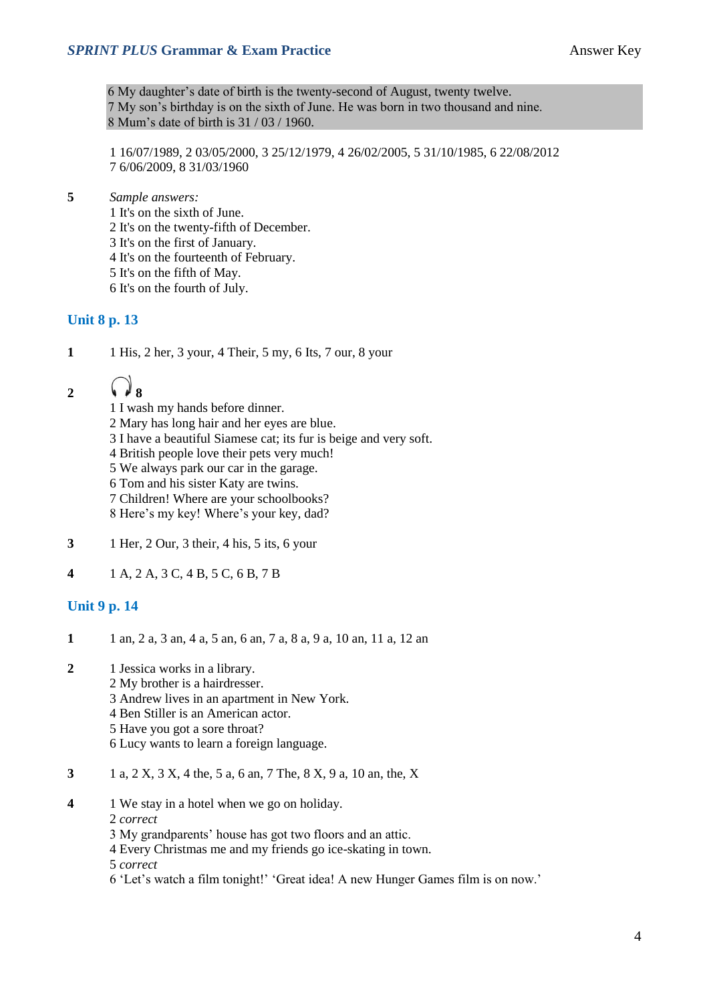#### **SPRINT PLUS Grammar & Exam Practice Answer Key**

6 My daughter's date of birth is the twenty-second of August, twenty twelve. 7 My son's birthday is on the sixth of June. He was born in two thousand and nine. 8 Mum's date of birth is 31 / 03 / 1960.

1 16/07/1989, 2 03/05/2000, 3 25/12/1979, 4 26/02/2005, 5 31/10/1985, 6 22/08/2012 7 6/06/2009, 8 31/03/1960

**5** *Sample answers:*

1 It's on the sixth of June. 2 It's on the twenty-fifth of December. 3 It's on the first of January. 4 It's on the fourteenth of February.

5 It's on the fifth of May.

6 It's on the fourth of July.

#### **Unit 8 p. 13**

**1** 1 His, 2 her, 3 your, 4 Their, 5 my, 6 Its, 7 our, 8 your

# 2  $\binom{3}{2}$

1 I wash my hands before dinner.

- 2 Mary has long hair and her eyes are blue.
- 3 I have a beautiful Siamese cat; its fur is beige and very soft.
- 4 British people love their pets very much!
- 5 We always park our car in the garage.
- 6 Tom and his sister Katy are twins.
- 7 Children! Where are your schoolbooks?
- 8 Here's my key! Where's your key, dad?
- **3** 1 Her, 2 Our, 3 their, 4 his, 5 its, 6 your
- **4** 1 A, 2 A, 3 C, 4 B, 5 C, 6 B, 7 B

#### **Unit 9 p. 14**

- **1** 1 an, 2 a, 3 an, 4 a, 5 an, 6 an, 7 a, 8 a, 9 a, 10 an, 11 a, 12 an
- **2** 1 Jessica works in a library.
	- 2 My brother is a hairdresser.
		- 3 Andrew lives in an apartment in New York.
		- 4 Ben Stiller is an American actor.
		- 5 Have you got a sore throat?
		- 6 Lucy wants to learn a foreign language.
- **3** 1 a, 2 X, 3 X, 4 the, 5 a, 6 an, 7 The, 8 X, 9 a, 10 an, the, X
- **4** 1 We stay in a hotel when we go on holiday.
	- 2 *correct*
	- 3 My grandparents' house has got two floors and an attic.
	- 4 Every Christmas me and my friends go ice-skating in town.
	- 5 *correct*
	- 6 'Let's watch a film tonight!' 'Great idea! A new Hunger Games film is on now.'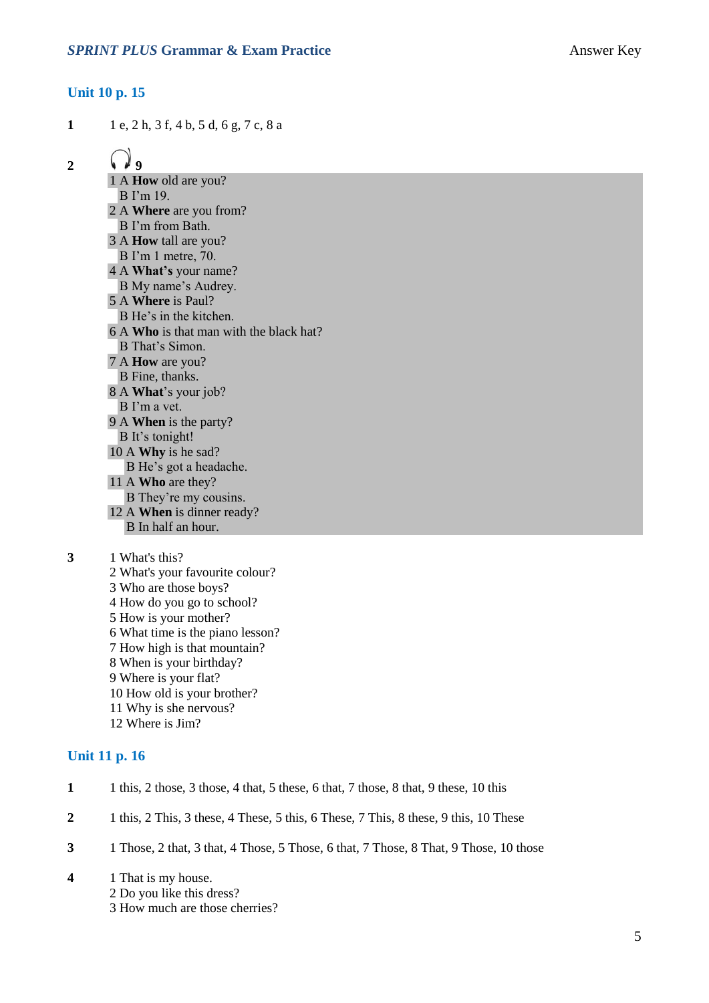#### **Unit 10 p. 15**

**1** 1 e, 2 h, 3 f, 4 b, 5 d, 6 g, 7 c, 8 a

2  $\sqrt{9}$ 

1 A **How** old are you? B I'm 19. 2 A **Where** are you from? B I'm from Bath. 3 A **How** tall are you? B I'm 1 metre, 70. 4 A **What's** your name? B My name's Audrey. 5 A **Where** is Paul? B He's in the kitchen. 6 A **Who** is that man with the black hat? B That's Simon. 7 A **How** are you? B Fine, thanks. 8 A **What**'s your job? B I'm a vet. 9 A **When** is the party? B It's tonight! 10 A **Why** is he sad? B He's got a headache. 11 A **Who** are they? B They're my cousins. 12 A **When** is dinner ready? B In half an hour.

**3** 1 What's this?

2 What's your favourite colour? 3 Who are those boys? 4 How do you go to school? 5 How is your mother? 6 What time is the piano lesson? 7 How high is that mountain? 8 When is your birthday? 9 Where is your flat? 10 How old is your brother? 11 Why is she nervous? 12 Where is Jim?

#### **Unit 11 p. 16**

- **1** 1 this, 2 those, 3 those, 4 that, 5 these, 6 that, 7 those, 8 that, 9 these, 10 this
- **2** 1 this, 2 This, 3 these, 4 These, 5 this, 6 These, 7 This, 8 these, 9 this, 10 These
- **3** 1 Those, 2 that, 3 that, 4 Those, 5 Those, 6 that, 7 Those, 8 That, 9 Those, 10 those
- **4** 1 That is my house.
	- 2 Do you like this dress?
	- 3 How much are those cherries?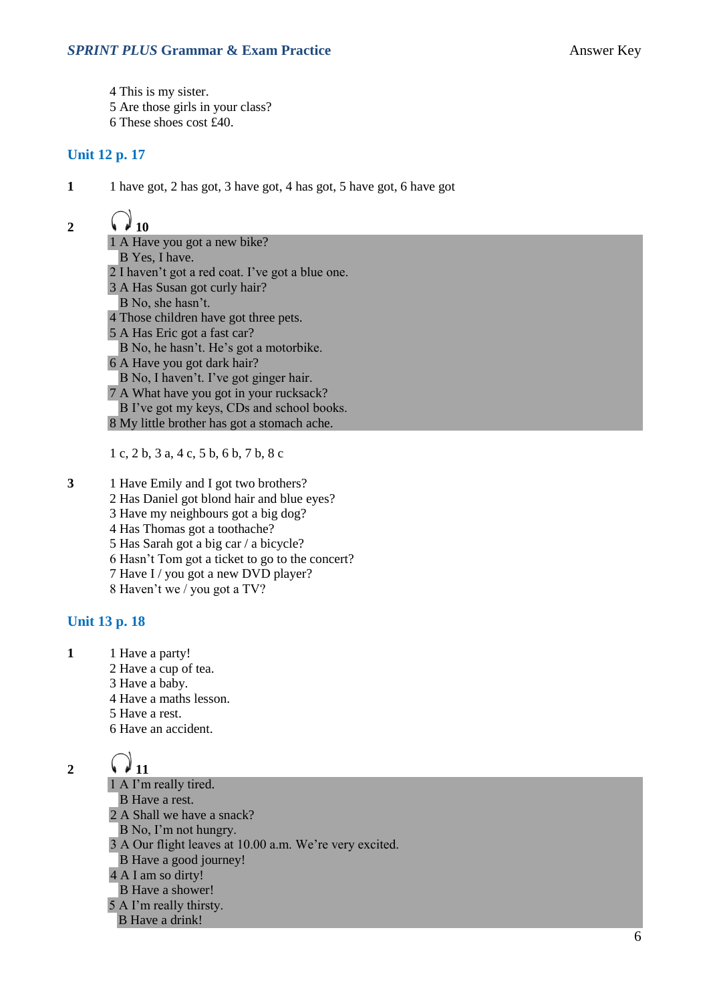4 This is my sister.

- 5 Are those girls in your class?
- 6 These shoes cost £40.

#### **Unit 12 p. 17**

**1** 1 have got, 2 has got, 3 have got, 4 has got, 5 have got, 6 have got

## 2  $\sqrt{10}$

1 A Have you got a new bike? B Yes, I have. 2 I haven't got a red coat. I've got a blue one. 3 A Has Susan got curly hair? B No, she hasn't. 4 Those children have got three pets. 5 A Has Eric got a fast car? B No, he hasn't. He's got a motorbike. 6 A Have you got dark hair? B No, I haven't. I've got ginger hair. 7 A What have you got in your rucksack? B I've got my keys, CDs and school books. 8 My little brother has got a stomach ache.

1 c, 2 b, 3 a, 4 c, 5 b, 6 b, 7 b, 8 c

**3** 1 Have Emily and I got two brothers? 2 Has Daniel got blond hair and blue eyes? 3 Have my neighbours got a big dog? 4 Has Thomas got a toothache? 5 Has Sarah got a big car / a bicycle? 6 Hasn't Tom got a ticket to go to the concert? 7 Have I / you got a new DVD player? 8 Haven't we / you got a TV?

#### **Unit 13 p. 18**

- **1** 1 Have a party!
	- 2 Have a cup of tea.
	- 3 Have a baby.
	- 4 Have a maths lesson.
	- 5 Have a rest.
	- 6 Have an accident.

- 2  $\binom{3}{11}$ 
	- 1 A I'm really tired. B Have a rest. 2 A Shall we have a snack? B No, I'm not hungry. 3 A Our flight leaves at 10.00 a.m. We're very excited. B Have a good journey! 4 A I am so dirty! B Have a shower! 5 A I'm really thirsty. B Have a drink!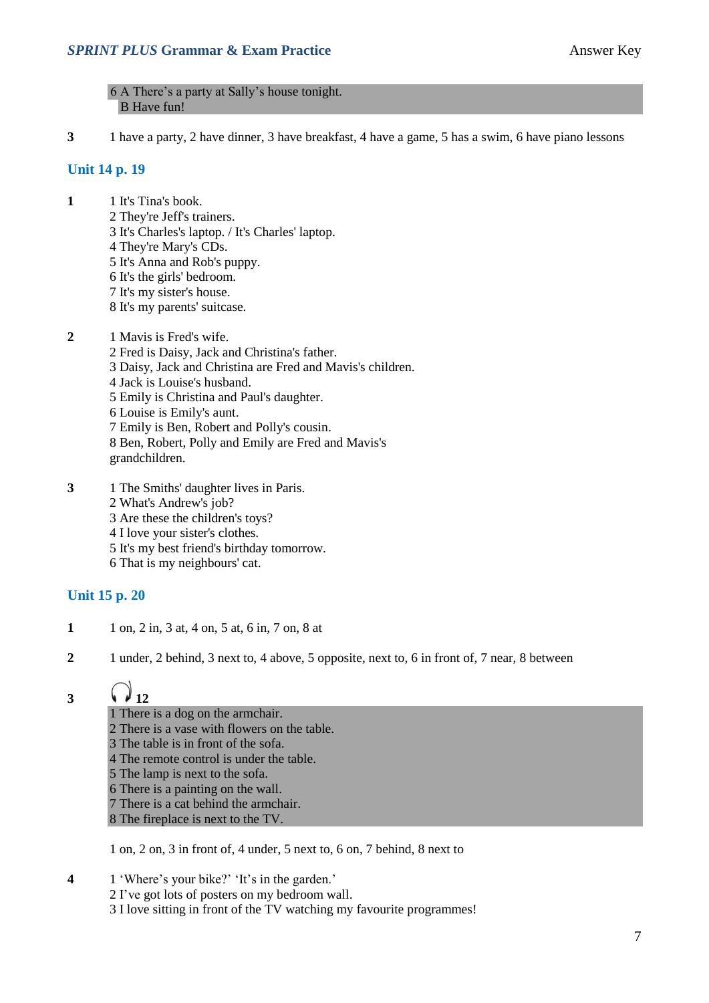6 A There's a party at Sally's house tonight. B Have fun!

**3** 1 have a party, 2 have dinner, 3 have breakfast, 4 have a game, 5 has a swim, 6 have piano lessons

#### **Unit 14 p. 19**

- **1** 1 It's Tina's book. 2 They're Jeff's trainers. 3 It's Charles's laptop. / It's Charles' laptop. 4 They're Mary's CDs. 5 It's Anna and Rob's puppy. 6 It's the girls' bedroom. 7 It's my sister's house. 8 It's my parents' suitcase.
- **2** 1 Mavis is Fred's wife. 2 Fred is Daisy, Jack and Christina's father. 3 Daisy, Jack and Christina are Fred and Mavis's children. 4 Jack is Louise's husband. 5 Emily is Christina and Paul's daughter. 6 Louise is Emily's aunt. 7 Emily is Ben, Robert and Polly's cousin. 8 Ben, Robert, Polly and Emily are Fred and Mavis's grandchildren.
- **3** 1 The Smiths' daughter lives in Paris. 2 What's Andrew's job? 3 Are these the children's toys? 4 I love your sister's clothes. 5 It's my best friend's birthday tomorrow. 6 That is my neighbours' cat.

#### **Unit 15 p. 20**

- **1** 1 on, 2 in, 3 at, 4 on, 5 at, 6 in, 7 on, 8 at
- **2** 1 under, 2 behind, 3 next to, 4 above, 5 opposite, next to, 6 in front of, 7 near, 8 between

### 3  $\sqrt{12}$

1 There is a dog on the armchair. 2 There is a vase with flowers on the table. 3 The table is in front of the sofa. 4 The remote control is under the table. 5 The lamp is next to the sofa. 6 There is a painting on the wall. 7 There is a cat behind the armchair. 8 The fireplace is next to the TV.

1 on, 2 on, 3 in front of, 4 under, 5 next to, 6 on, 7 behind, 8 next to

- **4** 1 'Where's your bike?' 'It's in the garden.'
	- 2 I've got lots of posters on my bedroom wall.
		- 3 I love sitting in front of the TV watching my favourite programmes!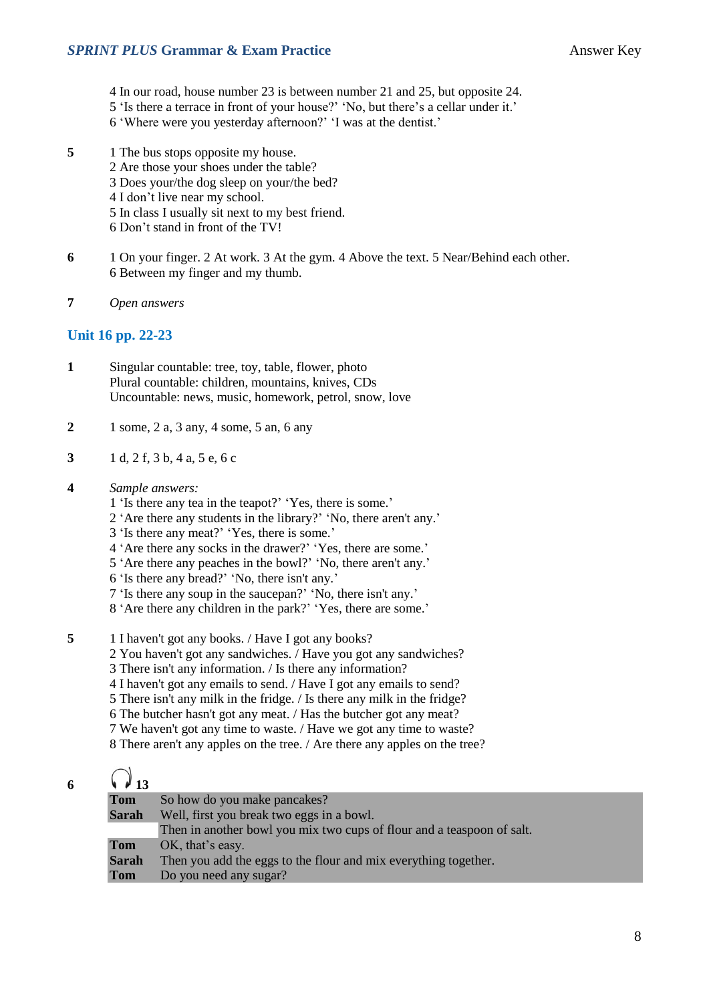- 4 In our road, house number 23 is between number 21 and 25, but opposite 24.
- 5 'Is there a terrace in front of your house?' 'No, but there's a cellar under it.'
- 6 'Where were you yesterday afternoon?' 'I was at the dentist.'
- **5** 1 The bus stops opposite my house.
	- 2 Are those your shoes under the table?
	- 3 Does your/the dog sleep on your/the bed?
	- 4 I don't live near my school.
	- 5 In class I usually sit next to my best friend.
	- 6 Don't stand in front of the TV!
- **6** 1 On your finger. 2 At work. 3 At the gym. 4 Above the text. 5 Near/Behind each other. 6 Between my finger and my thumb.
- **7** *Open answers*

#### **Unit 16 pp. 22-23**

- **1** Singular countable: tree, toy, table, flower, photo Plural countable: children, mountains, knives, CDs Uncountable: news, music, homework, petrol, snow, love
- **2** 1 some, 2 a, 3 any, 4 some, 5 an, 6 any
- **3** 1 d, 2 f, 3 b, 4 a, 5 e, 6 c
- **4** *Sample answers:*
	- 1 'Is there any tea in the teapot?' 'Yes, there is some.'
	- 2 'Are there any students in the library?' 'No, there aren't any.'
	- 3 'Is there any meat?' 'Yes, there is some.'
	- 4 'Are there any socks in the drawer?' 'Yes, there are some.'
	- 5 'Are there any peaches in the bowl?' 'No, there aren't any.'
	- 6 'Is there any bread?' 'No, there isn't any.'
	- 7 'Is there any soup in the saucepan?' 'No, there isn't any.'
	- 8 'Are there any children in the park?' 'Yes, there are some.'
- **5** 1 I haven't got any books. / Have I got any books?
	- 2 You haven't got any sandwiches. / Have you got any sandwiches?
	- 3 There isn't any information. / Is there any information?
	- 4 I haven't got any emails to send. / Have I got any emails to send?
	- 5 There isn't any milk in the fridge. / Is there any milk in the fridge?
	- 6 The butcher hasn't got any meat. / Has the butcher got any meat?
	- 7 We haven't got any time to waste. / Have we got any time to waste?
	- 8 There aren't any apples on the tree. / Are there any apples on the tree?

### $\bigcap$

| 6 | $\sqrt{4}$ 13 |                                                                        |
|---|---------------|------------------------------------------------------------------------|
|   | <b>Tom</b>    | So how do you make pancakes?                                           |
|   | <b>Sarah</b>  | Well, first you break two eggs in a bowl.                              |
|   |               | Then in another bowl you mix two cups of flour and a teaspoon of salt. |
|   | <b>Tom</b>    | OK, that's easy.                                                       |
|   | <b>Sarah</b>  | Then you add the eggs to the flour and mix everything together.        |
|   | Tom           | Do you need any sugar?                                                 |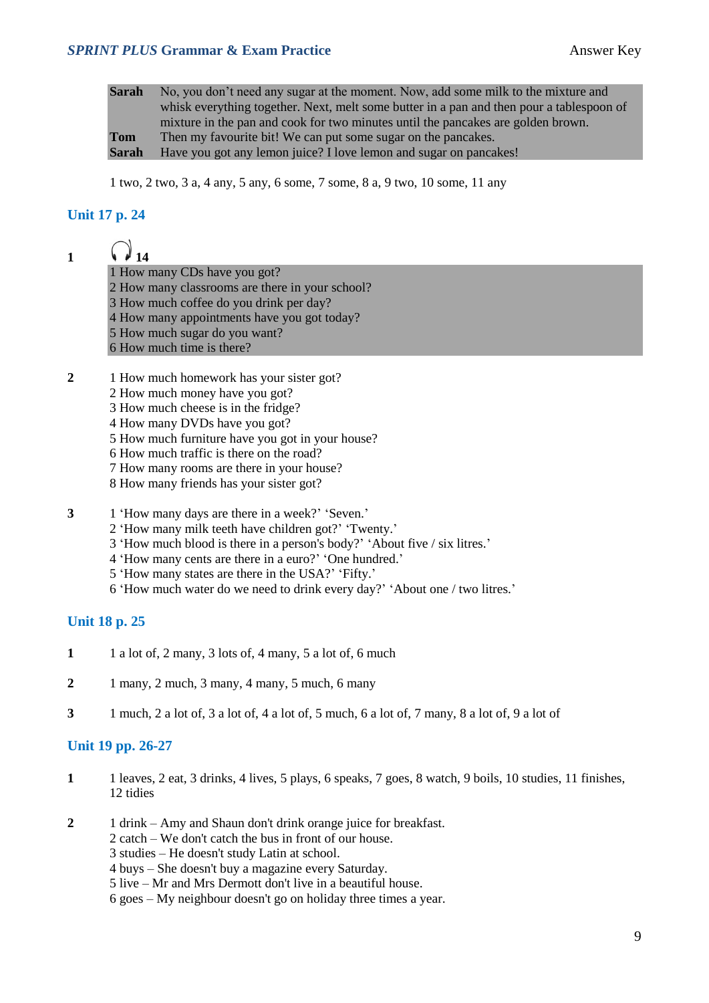#### **SPRINT PLUS Grammar & Exam Practice** Answer Key

**Sarah** No, you don't need any sugar at the moment. Now, add some milk to the mixture and whisk everything together. Next, melt some butter in a pan and then pour a tablespoon of mixture in the pan and cook for two minutes until the pancakes are golden brown. **Tom** Then my favourite bit! We can put some sugar on the pancakes. **Sarah** Have you got any lemon juice? I love lemon and sugar on pancakes!

1 two, 2 two, 3 a, 4 any, 5 any, 6 some, 7 some, 8 a, 9 two, 10 some, 11 any

#### **Unit 17 p. 24**

| M 14                         |
|------------------------------|
| 1 How many CDs have you got? |

2 How many classrooms are there in your school?

- 3 How many classrooms are there in your?
- 4 How many appointments have you got today?
- 5 How much sugar do you want?
- 6 How much time is there?
- **2** 1 How much homework has your sister got?
	- 2 How much money have you got?
	- 3 How much cheese is in the fridge?
	- 4 How many DVDs have you got?
	- 5 How much furniture have you got in your house?
	- 6 How much traffic is there on the road?
	- 7 How many rooms are there in your house?
	- 8 How many friends has your sister got?
- **3** 1 'How many days are there in a week?' 'Seven.'
	- 2 'How many milk teeth have children got?' 'Twenty.'
	- 3 'How much blood is there in a person's body?' 'About five / six litres.'
	- 4 'How many cents are there in a euro?' 'One hundred.'
	- 5 'How many states are there in the USA?' 'Fifty.'
	- 6 'How much water do we need to drink every day?' 'About one / two litres.'

#### **Unit 18 p. 25**

- **1** 1 a lot of, 2 many, 3 lots of, 4 many, 5 a lot of, 6 much
- **2** 1 many, 2 much, 3 many, 4 many, 5 much, 6 many
- **3** 1 much, 2 a lot of, 3 a lot of, 4 a lot of, 5 much, 6 a lot of, 7 many, 8 a lot of, 9 a lot of

#### **Unit 19 pp. 26-27**

- **1** 1 leaves, 2 eat, 3 drinks, 4 lives, 5 plays, 6 speaks, 7 goes, 8 watch, 9 boils, 10 studies, 11 finishes, 12 tidies
- **2** 1 drink Amy and Shaun don't drink orange juice for breakfast.
	- 2 catch We don't catch the bus in front of our house.
	- 3 studies He doesn't study Latin at school.
	- 4 buys She doesn't buy a magazine every Saturday.
	- 5 live Mr and Mrs Dermott don't live in a beautiful house.

6 goes – My neighbour doesn't go on holiday three times a year.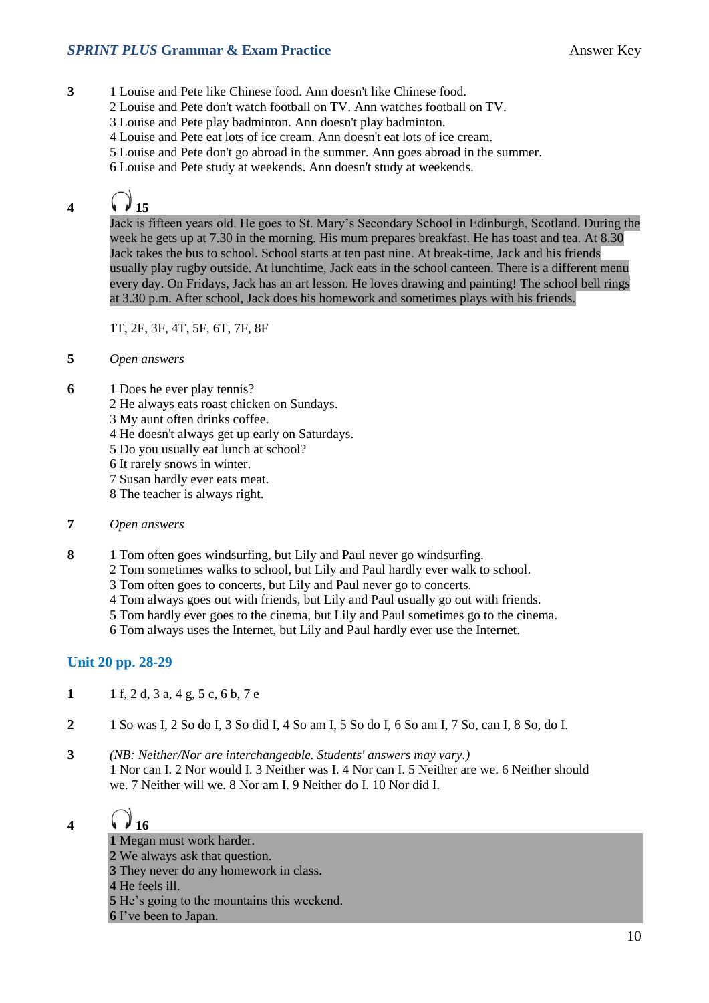#### **SPRINT PLUS Grammar & Exam Practice Answer Key**

- **3** 1 Louise and Pete like Chinese food. Ann doesn't like Chinese food.
	- 2 Louise and Pete don't watch football on TV. Ann watches football on TV.
	- 3 Louise and Pete play badminton. Ann doesn't play badminton.
	- 4 Louise and Pete eat lots of ice cream. Ann doesn't eat lots of ice cream.
	- 5 Louise and Pete don't go abroad in the summer. Ann goes abroad in the summer.
	- 6 Louise and Pete study at weekends. Ann doesn't study at weekends.

# **4**  $\bigcirc$  **15**

Jack is fifteen years old. He goes to St. Mary's Secondary School in Edinburgh, Scotland. During the week he gets up at 7.30 in the morning. His mum prepares breakfast. He has toast and tea. At 8.30 Jack takes the bus to school. School starts at ten past nine. At break-time, Jack and his friends usually play rugby outside. At lunchtime, Jack eats in the school canteen. There is a different menu every day. On Fridays, Jack has an art lesson. He loves drawing and painting! The school bell rings at 3.30 p.m. After school, Jack does his homework and sometimes plays with his friends.

1T, 2F, 3F, 4T, 5F, 6T, 7F, 8F

- **5** *Open answers*
- **6** 1 Does he ever play tennis?
	- 2 He always eats roast chicken on Sundays.
	- 3 My aunt often drinks coffee.
	- 4 He doesn't always get up early on Saturdays.
	- 5 Do you usually eat lunch at school?
	- 6 It rarely snows in winter.
	- 7 Susan hardly ever eats meat.
	- 8 The teacher is always right.
- **7** *Open answers*
- **8** 1 Tom often goes windsurfing, but Lily and Paul never go windsurfing.
	- 2 Tom sometimes walks to school, but Lily and Paul hardly ever walk to school.
	- 3 Tom often goes to concerts, but Lily and Paul never go to concerts.
	- 4 Tom always goes out with friends, but Lily and Paul usually go out with friends.
	- 5 Tom hardly ever goes to the cinema, but Lily and Paul sometimes go to the cinema.
	- 6 Tom always uses the Internet, but Lily and Paul hardly ever use the Internet.

#### **Unit 20 pp. 28-29**

- **1** 1 f, 2 d, 3 a, 4 g, 5 c, 6 b, 7 e
- **2** 1 So was I, 2 So do I, 3 So did I, 4 So am I, 5 So do I, 6 So am I, 7 So, can I, 8 So, do I.
- **3** *(NB: Neither/Nor are interchangeable. Students' answers may vary.)* 1 Nor can I. 2 Nor would I. 3 Neither was I. 4 Nor can I. 5 Neither are we. 6 Neither should we. 7 Neither will we. 8 Nor am I. 9 Neither do I. 10 Nor did I.

### **4 16**

 Megan must work harder. We always ask that question. They never do any homework in class. He feels ill. He's going to the mountains this weekend. I've been to Japan.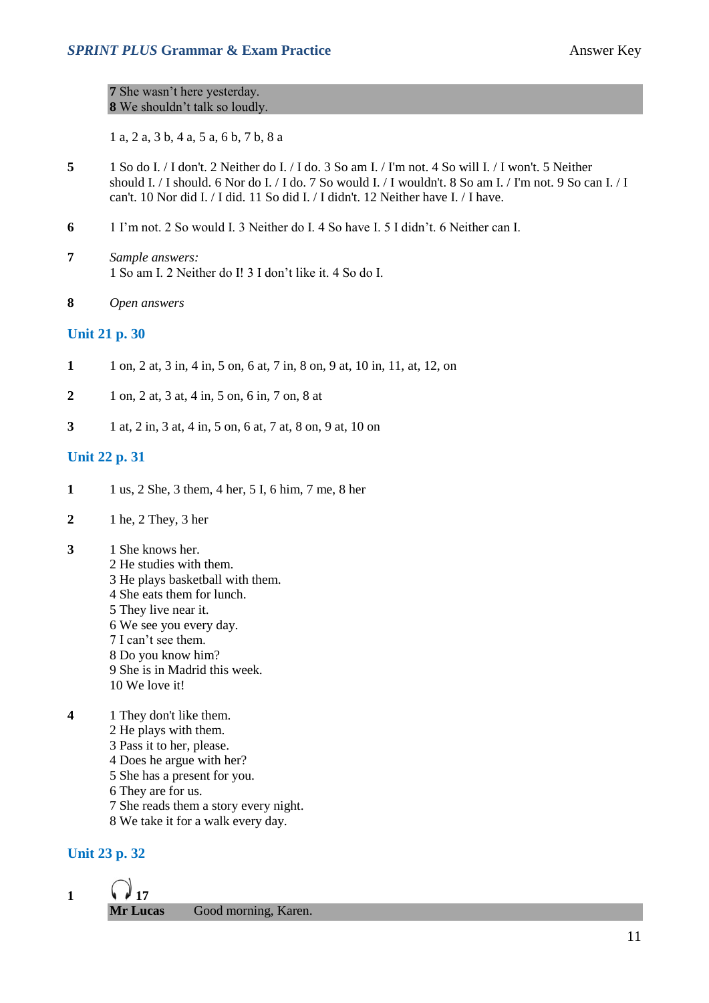#### **7** She wasn't here yesterday. **8** We shouldn't talk so loudly.

1 a, 2 a, 3 b, 4 a, 5 a, 6 b, 7 b, 8 a

- **5** 1 So do I. / I don't. 2 Neither do I. / I do. 3 So am I. / I'm not. 4 So will I. / I won't. 5 Neither should I. / I should. 6 Nor do I. / I do. 7 So would I. / I wouldn't. 8 So am I. / I'm not. 9 So can I. / I can't. 10 Nor did I. / I did. 11 So did I. / I didn't. 12 Neither have I. / I have.
- **6** 1 I'm not. 2 So would I. 3 Neither do I. 4 So have I. 5 I didn't. 6 Neither can I.
- **7** *Sample answers:* 1 So am I. 2 Neither do I! 3 I don't like it. 4 So do I.
- **8** *Open answers*

#### **Unit 21 p. 30**

- **1** 1 on, 2 at, 3 in, 4 in, 5 on, 6 at, 7 in, 8 on, 9 at, 10 in, 11, at, 12, on
- **2** 1 on, 2 at, 3 at, 4 in, 5 on, 6 in, 7 on, 8 at
- **3** 1 at, 2 in, 3 at, 4 in, 5 on, 6 at, 7 at, 8 on, 9 at, 10 on

#### **Unit 22 p. 31**

- **1** 1 us, 2 She, 3 them, 4 her, 5 I, 6 him, 7 me, 8 her
- **2** 1 he, 2 They, 3 her
- **3** 1 She knows her.
	- 2 He studies with them. 3 He plays basketball with them. 4 She eats them for lunch. 5 They live near it. 6 We see you every day. 7 I can't see them. 8 Do you know him? 9 She is in Madrid this week. 10 We love it!
- **4** 1 They don't like them. 2 He plays with them. 3 Pass it to her, please. 4 Does he argue with her? 5 She has a present for you. 6 They are for us. 7 She reads them a story every night. 8 We take it for a walk every day.

#### **Unit 23 p. 32**

1  $\sqrt{17}$ **Mr Lucas** Good morning, Karen.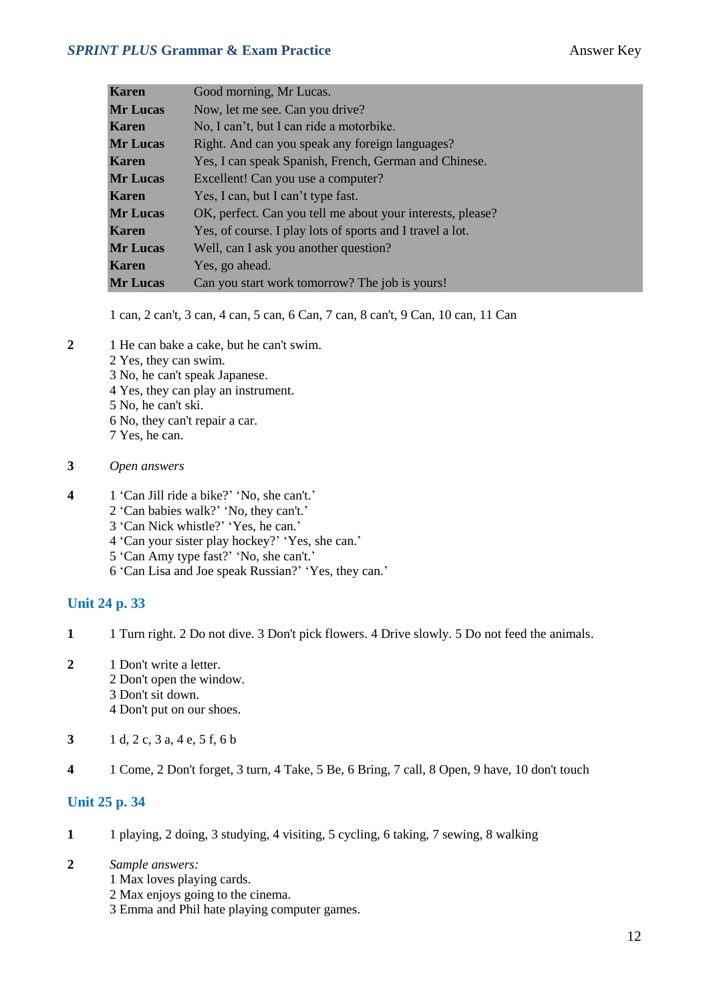#### **SPRINT PLUS Grammar & Exam Practice Answer Key**

| Karen           | Good morning, Mr Lucas.                                    |
|-----------------|------------------------------------------------------------|
| <b>Mr Lucas</b> | Now, let me see. Can you drive?                            |
| Karen           | No, I can't, but I can ride a motorbike.                   |
| <b>Mr Lucas</b> | Right. And can you speak any foreign languages?            |
| Karen           | Yes, I can speak Spanish, French, German and Chinese.      |
| <b>Mr Lucas</b> | Excellent! Can you use a computer?                         |
| Karen           | Yes, I can, but I can't type fast.                         |
| <b>Mr Lucas</b> | OK, perfect. Can you tell me about your interests, please? |
| Karen           | Yes, of course. I play lots of sports and I travel a lot.  |
| <b>Mr Lucas</b> | Well, can I ask you another question?                      |
| Karen           | Yes, go ahead.                                             |
| <b>Mr Lucas</b> | Can you start work tomorrow? The job is yours!             |

1 can, 2 can't, 3 can, 4 can, 5 can, 6 Can, 7 can, 8 can't, 9 Can, 10 can, 11 Can

- **2** 1 He can bake a cake, but he can't swim.
	- 2 Yes, they can swim.
	- 3 No, he can't speak Japanese.
	- 4 Yes, they can play an instrument.
	- 5 No, he can't ski.
	- 6 No, they can't repair a car.
	- 7 Yes, he can.
- **3** *Open answers*
- **4** 1 'Can Jill ride a bike?' 'No, she can't.'
	- 2 'Can babies walk?' 'No, they can't.'
	- 3 'Can Nick whistle?' 'Yes, he can.'
	- 4 'Can your sister play hockey?' 'Yes, she can.'
	- 5 'Can Amy type fast?' 'No, she can't.'
	- 6 'Can Lisa and Joe speak Russian?' 'Yes, they can.'

#### **Unit 24 p. 33**

- **1** 1 Turn right. 2 Do not dive. 3 Don't pick flowers. 4 Drive slowly. 5 Do not feed the animals.
- **2** 1 Don't write a letter. 2 Don't open the window.
	- 3 Don't sit down.
	- 4 Don't put on our shoes.
- **3** 1 d, 2 c, 3 a, 4 e, 5 f, 6 b
- **4** 1 Come, 2 Don't forget, 3 turn, 4 Take, 5 Be, 6 Bring, 7 call, 8 Open, 9 have, 10 don't touch

#### **Unit 25 p. 34**

- **1** 1 playing, 2 doing, 3 studying, 4 visiting, 5 cycling, 6 taking, 7 sewing, 8 walking
- **2** *Sample answers:*
	- 1 Max loves playing cards.
	- 2 Max enjoys going to the cinema.
	- 3 Emma and Phil hate playing computer games.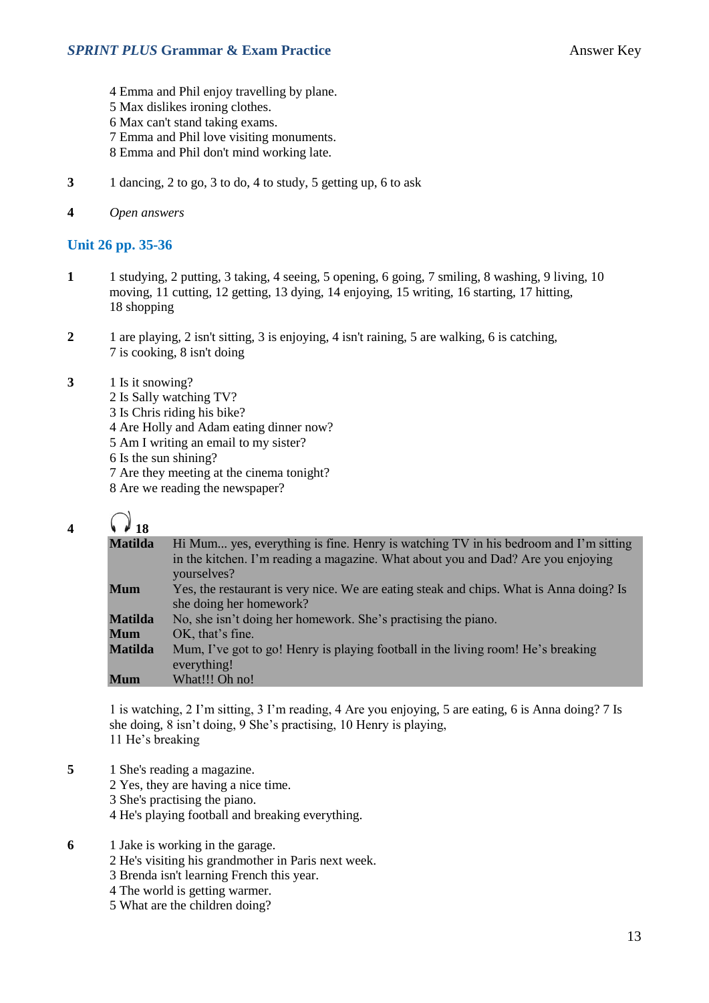- 4 Emma and Phil enjoy travelling by plane.
- 5 Max dislikes ironing clothes.
- 6 Max can't stand taking exams.
- 7 Emma and Phil love visiting monuments.
- 8 Emma and Phil don't mind working late.
- **3** 1 dancing, 2 to go, 3 to do, 4 to study, 5 getting up, 6 to ask
- **4** *Open answers*

#### **Unit 26 pp. 35-36**

- **1** 1 studying, 2 putting, 3 taking, 4 seeing, 5 opening, 6 going, 7 smiling, 8 washing, 9 living, 10 moving, 11 cutting, 12 getting, 13 dying, 14 enjoying, 15 writing, 16 starting, 17 hitting, 18 shopping
- **2** 1 are playing, 2 isn't sitting, 3 is enjoying, 4 isn't raining, 5 are walking, 6 is catching, 7 is cooking, 8 isn't doing
- **3** 1 Is it snowing?
	- 2 Is Sally watching TV?
	- 3 Is Chris riding his bike?
	- 4 Are Holly and Adam eating dinner now?
	- 5 Am I writing an email to my sister?
	- 6 Is the sun shining?
	- 7 Are they meeting at the cinema tonight?
	- 8 Are we reading the newspaper?

# **4**  $\Omega_{18}$

| <b>Matilda</b> | Hi Mum yes, everything is fine. Henry is watching TV in his bedroom and I'm sitting<br>in the kitchen. I'm reading a magazine. What about you and Dad? Are you enjoying<br>yourselves? |  |  |
|----------------|----------------------------------------------------------------------------------------------------------------------------------------------------------------------------------------|--|--|
| <b>Mum</b>     | Yes, the restaurant is very nice. We are eating steak and chips. What is Anna doing? Is<br>she doing her homework?                                                                     |  |  |
| <b>Matilda</b> | No, she isn't doing her homework. She's practising the piano.                                                                                                                          |  |  |
| <b>Mum</b>     | OK, that's fine.                                                                                                                                                                       |  |  |
| <b>Matilda</b> | Mum, I've got to go! Henry is playing football in the living room! He's breaking<br>everything!                                                                                        |  |  |
| <b>Mum</b>     | What!!! Oh no!                                                                                                                                                                         |  |  |

1 is watching, 2 I'm sitting, 3 I'm reading, 4 Are you enjoying, 5 are eating, 6 is Anna doing? 7 Is she doing, 8 isn't doing, 9 She's practising, 10 Henry is playing, 11 He's breaking

- **5** 1 She's reading a magazine.
	- 2 Yes, they are having a nice time.
	- 3 She's practising the piano.
	- 4 He's playing football and breaking everything.
- **6** 1 Jake is working in the garage.
	- 2 He's visiting his grandmother in Paris next week.
	- 3 Brenda isn't learning French this year.
	- 4 The world is getting warmer.
	- 5 What are the children doing?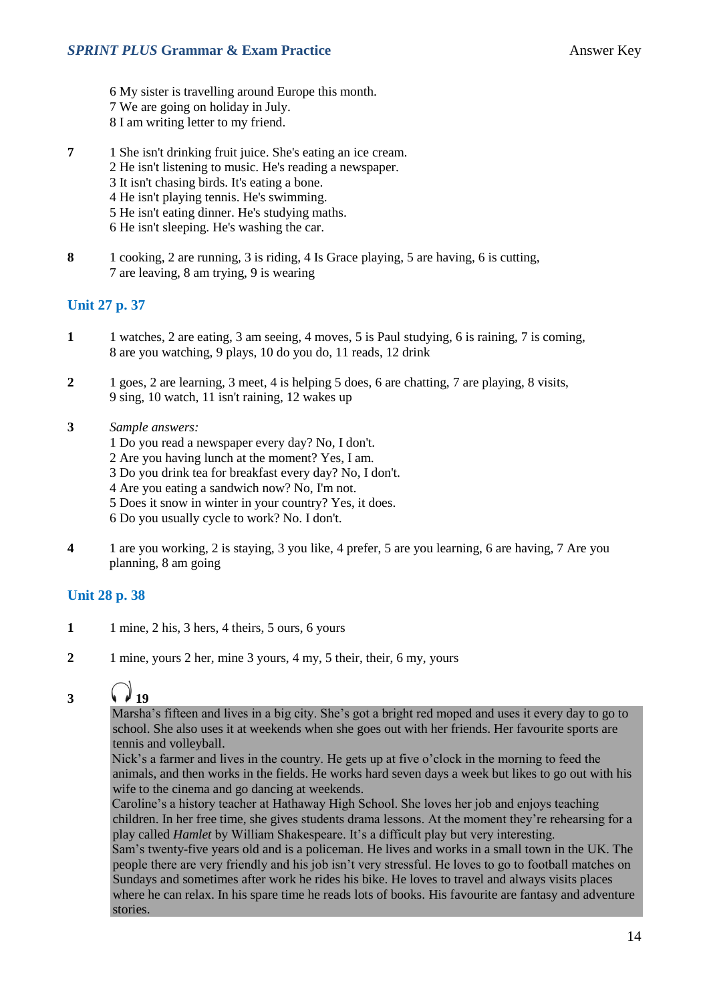- 6 My sister is travelling around Europe this month.
- 7 We are going on holiday in July.
- 8 I am writing letter to my friend.
- **7** 1 She isn't drinking fruit juice. She's eating an ice cream.
	- 2 He isn't listening to music. He's reading a newspaper.
	- 3 It isn't chasing birds. It's eating a bone.
	- 4 He isn't playing tennis. He's swimming.
	- 5 He isn't eating dinner. He's studying maths.
	- 6 He isn't sleeping. He's washing the car.
- **8** 1 cooking, 2 are running, 3 is riding, 4 Is Grace playing, 5 are having, 6 is cutting, 7 are leaving, 8 am trying, 9 is wearing

#### **Unit 27 p. 37**

- **1** 1 watches, 2 are eating, 3 am seeing, 4 moves, 5 is Paul studying, 6 is raining, 7 is coming, 8 are you watching, 9 plays, 10 do you do, 11 reads, 12 drink
- **2** 1 goes, 2 are learning, 3 meet, 4 is helping 5 does, 6 are chatting, 7 are playing, 8 visits, 9 sing, 10 watch, 11 isn't raining, 12 wakes up
- **3** *Sample answers:*
	- 1 Do you read a newspaper every day? No, I don't.
	- 2 Are you having lunch at the moment? Yes, I am.
	- 3 Do you drink tea for breakfast every day? No, I don't.
	- 4 Are you eating a sandwich now? No, I'm not.
	- 5 Does it snow in winter in your country? Yes, it does.
	- 6 Do you usually cycle to work? No. I don't.
- **4** 1 are you working, 2 is staying, 3 you like, 4 prefer, 5 are you learning, 6 are having, 7 Are you planning, 8 am going

#### **Unit 28 p. 38**

- 1 1 mine, 2 his, 3 hers, 4 theirs, 5 ours, 6 yours
- **2** 1 mine, yours 2 her, mine 3 yours, 4 my, 5 their, their, 6 my, yours

# 3  $\sqrt{19}$

Marsha's fifteen and lives in a big city. She's got a bright red moped and uses it every day to go to school. She also uses it at weekends when she goes out with her friends. Her favourite sports are tennis and volleyball.

Nick's a farmer and lives in the country. He gets up at five o'clock in the morning to feed the animals, and then works in the fields. He works hard seven days a week but likes to go out with his wife to the cinema and go dancing at weekends.

Caroline's a history teacher at Hathaway High School. She loves her job and enjoys teaching children. In her free time, she gives students drama lessons. At the moment they're rehearsing for a play called *Hamlet* by William Shakespeare. It's a difficult play but very interesting.

Sam's twenty-five years old and is a policeman. He lives and works in a small town in the UK. The people there are very friendly and his job isn't very stressful. He loves to go to football matches on Sundays and sometimes after work he rides his bike. He loves to travel and always visits places where he can relax. In his spare time he reads lots of books. His favourite are fantasy and adventure stories.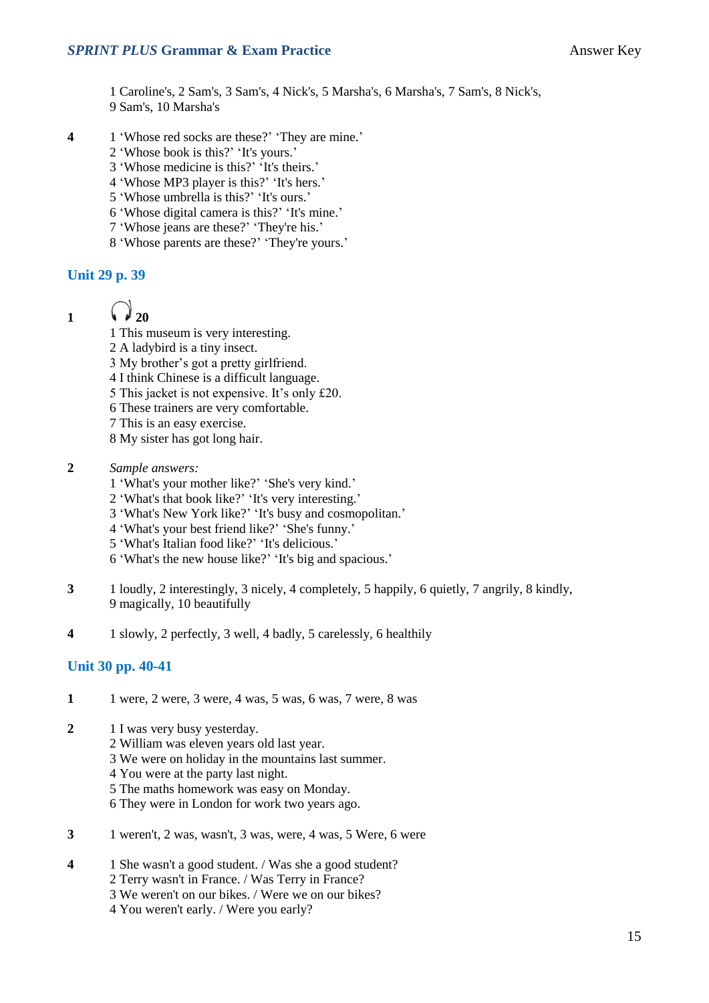#### **SPRINT PLUS Grammar & Exam Practice Answer Key Answer Key**

1 Caroline's, 2 Sam's, 3 Sam's, 4 Nick's, 5 Marsha's, 6 Marsha's, 7 Sam's, 8 Nick's, 9 Sam's, 10 Marsha's

- **4** 1 'Whose red socks are these?' 'They are mine.'
	- 2 'Whose book is this?' 'It's yours.'
	- 3 'Whose medicine is this?' 'It's theirs.'
	- 4 'Whose MP3 player is this?' 'It's hers.'
	- 5 'Whose umbrella is this?' 'It's ours.'
	- 6 'Whose digital camera is this?' 'It's mine.'
	- 7 'Whose jeans are these?' 'They're his.'
	- 8 'Whose parents are these?' 'They're yours.'

#### **Unit 29 p. 39**

1  $\sqrt{20}$ 

- 1 This museum is very interesting.
- 2 A ladybird is a tiny insect.
- 3 My brother's got a pretty girlfriend.
- 4 I think Chinese is a difficult language.
- 5 This jacket is not expensive. It's only £20.
- 6 These trainers are very comfortable.
- 7 This is an easy exercise.
- 8 My sister has got long hair.
- **2** *Sample answers:*
	- 1 'What's your mother like?' 'She's very kind.'
	- 2 'What's that book like?' 'It's very interesting.'
	- 3 'What's New York like?' 'It's busy and cosmopolitan.'
	- 4 'What's your best friend like?' 'She's funny.'
	- 5 'What's Italian food like?' 'It's delicious.'
	- 6 'What's the new house like?' 'It's big and spacious.'
- **3** 1 loudly, 2 interestingly, 3 nicely, 4 completely, 5 happily, 6 quietly, 7 angrily, 8 kindly, 9 magically, 10 beautifully
- **4** 1 slowly, 2 perfectly, 3 well, 4 badly, 5 carelessly, 6 healthily

#### **Unit 30 pp. 40-41**

- **1** 1 were, 2 were, 3 were, 4 was, 5 was, 6 was, 7 were, 8 was
- **2** 1 I was very busy yesterday.
	- 2 William was eleven years old last year.
	- 3 We were on holiday in the mountains last summer.
	- 4 You were at the party last night.
	- 5 The maths homework was easy on Monday.
	- 6 They were in London for work two years ago.
- **3** 1 weren't, 2 was, wasn't, 3 was, were, 4 was, 5 Were, 6 were
- **4** 1 She wasn't a good student. / Was she a good student? 2 Terry wasn't in France. / Was Terry in France? 3 We weren't on our bikes. / Were we on our bikes? 4 You weren't early. / Were you early?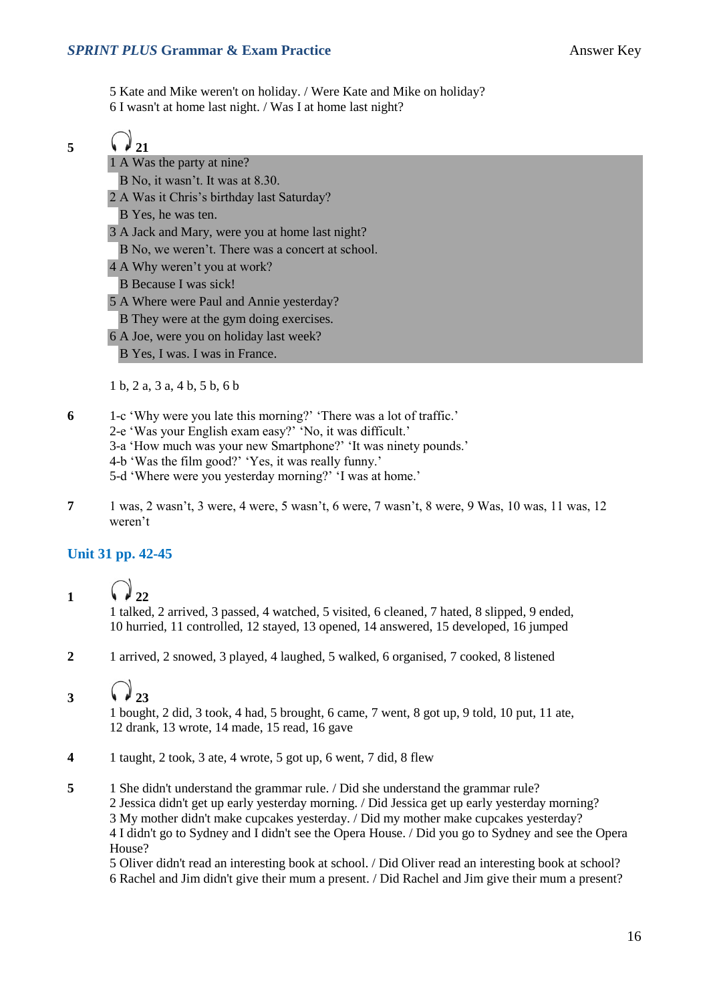5 Kate and Mike weren't on holiday. / Were Kate and Mike on holiday? 6 I wasn't at home last night. / Was I at home last night?

5  $\sqrt{21}$ 1 A Was the party at nine?

B No, it wasn't. It was at 8.30.

2 A Was it Chris's birthday last Saturday?

B Yes, he was ten.

3 A Jack and Mary, were you at home last night?

- B No, we weren't. There was a concert at school.
- 4 A Why weren't you at work?
- B Because I was sick!
- 5 A Where were Paul and Annie yesterday?
- B They were at the gym doing exercises.
- 6 A Joe, were you on holiday last week?

B Yes, I was. I was in France.

1 b, 2 a, 3 a, 4 b, 5 b, 6 b

- **6** 1-c 'Why were you late this morning?' 'There was a lot of traffic.'
	- 2-e 'Was your English exam easy?' 'No, it was difficult.'
	- 3-a 'How much was your new Smartphone?' 'It was ninety pounds.'
	- 4-b 'Was the film good?' 'Yes, it was really funny.'
	- 5-d 'Where were you yesterday morning?' 'I was at home.'
- **7** 1 was, 2 wasn't, 3 were, 4 were, 5 wasn't, 6 were, 7 wasn't, 8 were, 9 Was, 10 was, 11 was, 12 weren't

#### **Unit 31 pp. 42-45**

1  $\sqrt{22}$ 

1 talked, 2 arrived, 3 passed, 4 watched, 5 visited, 6 cleaned, 7 hated, 8 slipped, 9 ended, 10 hurried, 11 controlled, 12 stayed, 13 opened, 14 answered, 15 developed, 16 jumped

**2** 1 arrived, 2 snowed, 3 played, 4 laughed, 5 walked, 6 organised, 7 cooked, 8 listened

### 3  $\sqrt{23}$

1 bought, 2 did, 3 took, 4 had, 5 brought, 6 came, 7 went, 8 got up, 9 told, 10 put, 11 ate, 12 drank, 13 wrote, 14 made, 15 read, 16 gave

- **4** 1 taught, 2 took, 3 ate, 4 wrote, 5 got up, 6 went, 7 did, 8 flew
- **5** 1 She didn't understand the grammar rule. / Did she understand the grammar rule? 2 Jessica didn't get up early yesterday morning. / Did Jessica get up early yesterday morning? 3 My mother didn't make cupcakes yesterday. / Did my mother make cupcakes yesterday? 4 I didn't go to Sydney and I didn't see the Opera House. / Did you go to Sydney and see the Opera House?

5 Oliver didn't read an interesting book at school. / Did Oliver read an interesting book at school? 6 Rachel and Jim didn't give their mum a present. / Did Rachel and Jim give their mum a present?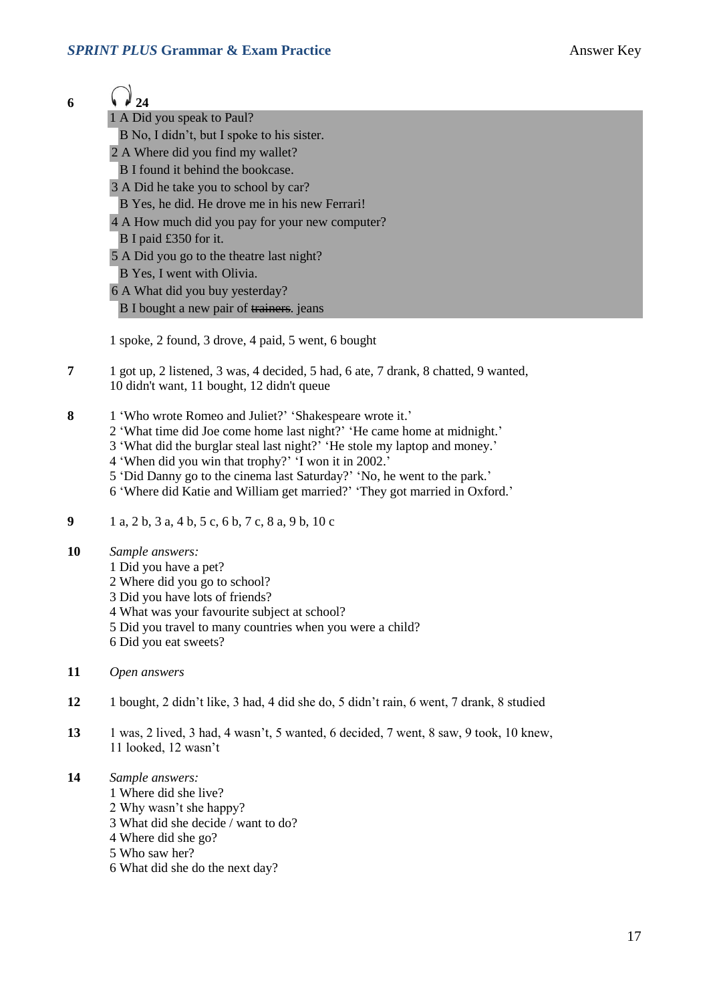| ۰.<br>I |  |
|---------|--|

 $\int_{24}$ 1 A Did you speak to Paul?

B No, I didn't, but I spoke to his sister.

- 2 A Where did you find my wallet?
- B I found it behind the bookcase.
- 3 A Did he take you to school by car?
- B Yes, he did. He drove me in his new Ferrari!
- 4 A How much did you pay for your new computer?
- B I paid £350 for it.
- 5 A Did you go to the theatre last night?
- B Yes, I went with Olivia.
- 6 A What did you buy yesterday?
- B I bought a new pair of trainers, jeans

1 spoke, 2 found, 3 drove, 4 paid, 5 went, 6 bought

- **7** 1 got up, 2 listened, 3 was, 4 decided, 5 had, 6 ate, 7 drank, 8 chatted, 9 wanted, 10 didn't want, 11 bought, 12 didn't queue
- **8** 1 'Who wrote Romeo and Juliet?' 'Shakespeare wrote it.'
	- 2 'What time did Joe come home last night?' 'He came home at midnight.'
	- 3 'What did the burglar steal last night?' 'He stole my laptop and money.'
	- 4 'When did you win that trophy?' 'I won it in 2002.'
	- 5 'Did Danny go to the cinema last Saturday?' 'No, he went to the park.'
	- 6 'Where did Katie and William get married?' 'They got married in Oxford.'
- **9** 1 a, 2 b, 3 a, 4 b, 5 c, 6 b, 7 c, 8 a, 9 b, 10 c

**10** *Sample answers:* 1 Did you have a pet?

- 2 Where did you go to school?
- 3 Did you have lots of friends?
- 4 What was your favourite subject at school?
- 5 Did you travel to many countries when you were a child?
- 6 Did you eat sweets?
- **11** *Open answers*
- **12** 1 bought, 2 didn't like, 3 had, 4 did she do, 5 didn't rain, 6 went, 7 drank, 8 studied
- **13** 1 was, 2 lived, 3 had, 4 wasn't, 5 wanted, 6 decided, 7 went, 8 saw, 9 took, 10 knew, 11 looked, 12 wasn't
- **14** *Sample answers:*
	- 1 Where did she live?
	- 2 Why wasn't she happy?
	- 3 What did she decide / want to do?
	- 4 Where did she go?
	- 5 Who saw her?
	- 6 What did she do the next day?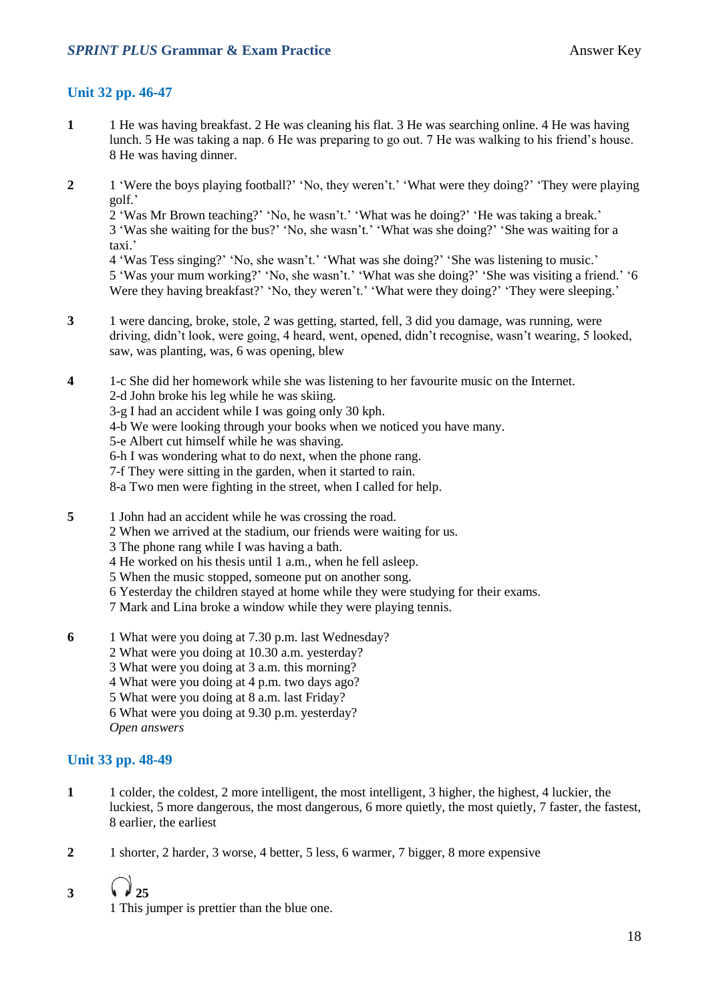#### **Unit 32 pp. 46-47**

- **1** 1 He was having breakfast. 2 He was cleaning his flat. 3 He was searching online. 4 He was having lunch. 5 He was taking a nap. 6 He was preparing to go out. 7 He was walking to his friend's house. 8 He was having dinner.
- **2** 1 'Were the boys playing football?' 'No, they weren't.' 'What were they doing?' 'They were playing golf.'

2 'Was Mr Brown teaching?' 'No, he wasn't.' 'What was he doing?' 'He was taking a break.' 3 'Was she waiting for the bus?' 'No, she wasn't.' 'What was she doing?' 'She was waiting for a taxi.'

4 'Was Tess singing?' 'No, she wasn't.' 'What was she doing?' 'She was listening to music.' 5 'Was your mum working?' 'No, she wasn't.' 'What was she doing?' 'She was visiting a friend.' '6 Were they having breakfast?' 'No, they weren't.' 'What were they doing?' 'They were sleeping.'

- **3** 1 were dancing, broke, stole, 2 was getting, started, fell, 3 did you damage, was running, were driving, didn't look, were going, 4 heard, went, opened, didn't recognise, wasn't wearing, 5 looked, saw, was planting, was, 6 was opening, blew
- **4** 1-c She did her homework while she was listening to her favourite music on the Internet. 2-d John broke his leg while he was skiing.
	- 3-g I had an accident while I was going only 30 kph.
	- 4-b We were looking through your books when we noticed you have many.
	- 5-e Albert cut himself while he was shaving.
	- 6-h I was wondering what to do next, when the phone rang.
	- 7-f They were sitting in the garden, when it started to rain.
	- 8-a Two men were fighting in the street, when I called for help.
- **5** 1 John had an accident while he was crossing the road.
	- 2 When we arrived at the stadium, our friends were waiting for us.
	- 3 The phone rang while I was having a bath.
	- 4 He worked on his thesis until 1 a.m., when he fell asleep.
	- 5 When the music stopped, someone put on another song.
	- 6 Yesterday the children stayed at home while they were studying for their exams.
	- 7 Mark and Lina broke a window while they were playing tennis.
- **6** 1 What were you doing at 7.30 p.m. last Wednesday?
	- 2 What were you doing at 10.30 a.m. yesterday?
	- 3 What were you doing at 3 a.m. this morning?
	- 4 What were you doing at 4 p.m. two days ago?
	- 5 What were you doing at 8 a.m. last Friday?

6 What were you doing at 9.30 p.m. yesterday?

*Open answers*

#### **Unit 33 pp. 48-49**

- **1** 1 colder, the coldest, 2 more intelligent, the most intelligent, 3 higher, the highest, 4 luckier, the luckiest, 5 more dangerous, the most dangerous, 6 more quietly, the most quietly, 7 faster, the fastest, 8 earlier, the earliest
- **2** 1 shorter, 2 harder, 3 worse, 4 better, 5 less, 6 warmer, 7 bigger, 8 more expensive
- 3  $\sqrt{25}$

1 This jumper is prettier than the blue one.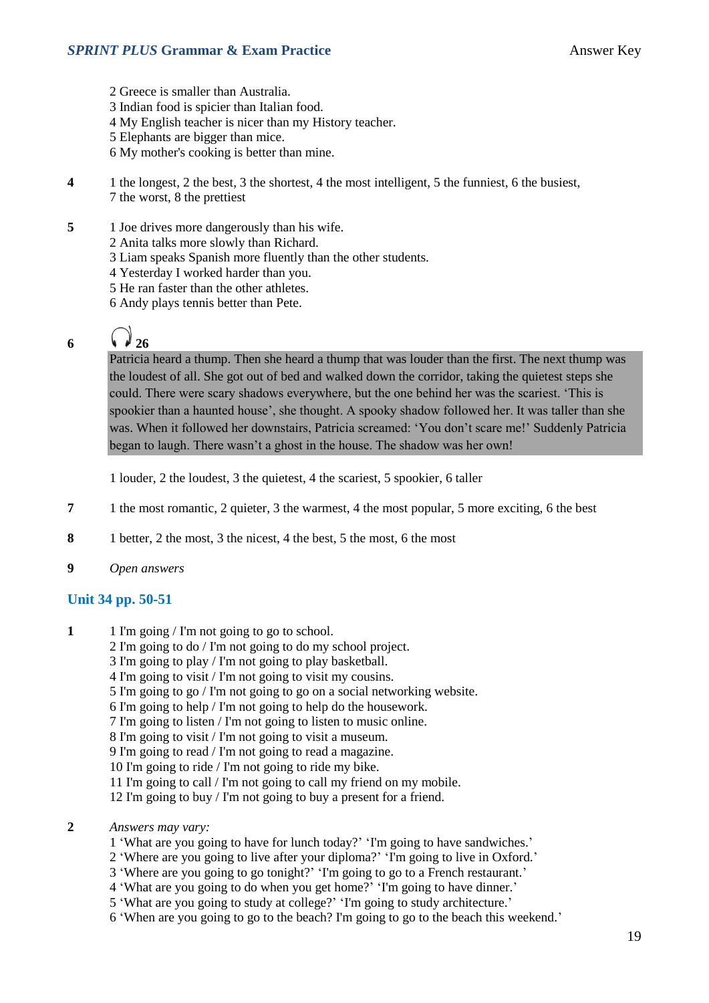2 Greece is smaller than Australia. 3 Indian food is spicier than Italian food. 4 My English teacher is nicer than my History teacher. 5 Elephants are bigger than mice. 6 My mother's cooking is better than mine.

- **4** 1 the longest, 2 the best, 3 the shortest, 4 the most intelligent, 5 the funniest, 6 the busiest, 7 the worst, 8 the prettiest
- **5** 1 Joe drives more dangerously than his wife.
	- 2 Anita talks more slowly than Richard.
	- 3 Liam speaks Spanish more fluently than the other students.
	- 4 Yesterday I worked harder than you.
	- 5 He ran faster than the other athletes.
	- 6 Andy plays tennis better than Pete.

# 6  $\sqrt{26}$

Patricia heard a thump. Then she heard a thump that was louder than the first. The next thump was the loudest of all. She got out of bed and walked down the corridor, taking the quietest steps she could. There were scary shadows everywhere, but the one behind her was the scariest. 'This is spookier than a haunted house', she thought. A spooky shadow followed her. It was taller than she was. When it followed her downstairs, Patricia screamed: 'You don't scare me!' Suddenly Patricia began to laugh. There wasn't a ghost in the house. The shadow was her own!

1 louder, 2 the loudest, 3 the quietest, 4 the scariest, 5 spookier, 6 taller

- **7** 1 the most romantic, 2 quieter, 3 the warmest, 4 the most popular, 5 more exciting, 6 the best
- **8** 1 better, 2 the most, 3 the nicest, 4 the best, 5 the most, 6 the most
- **9** *Open answers*

#### **Unit 34 pp. 50-51**

- **1** 1 I'm going / I'm not going to go to school.
	- 2 I'm going to do / I'm not going to do my school project.
	- 3 I'm going to play / I'm not going to play basketball.
	- 4 I'm going to visit / I'm not going to visit my cousins.
	- 5 I'm going to go / I'm not going to go on a social networking website.
	- 6 I'm going to help / I'm not going to help do the housework.
	- 7 I'm going to listen / I'm not going to listen to music online.
	- 8 I'm going to visit / I'm not going to visit a museum.
	- 9 I'm going to read / I'm not going to read a magazine.
	- 10 I'm going to ride / I'm not going to ride my bike.
	- 11 I'm going to call / I'm not going to call my friend on my mobile.
	- 12 I'm going to buy / I'm not going to buy a present for a friend.
- **2** *Answers may vary:*
	- 1 'What are you going to have for lunch today?' 'I'm going to have sandwiches.'
	- 2 'Where are you going to live after your diploma?' 'I'm going to live in Oxford.'
	- 3 'Where are you going to go tonight?' 'I'm going to go to a French restaurant.'
	- 4 'What are you going to do when you get home?' 'I'm going to have dinner.'
	- 5 'What are you going to study at college?' 'I'm going to study architecture.'
	- 6 'When are you going to go to the beach? I'm going to go to the beach this weekend.'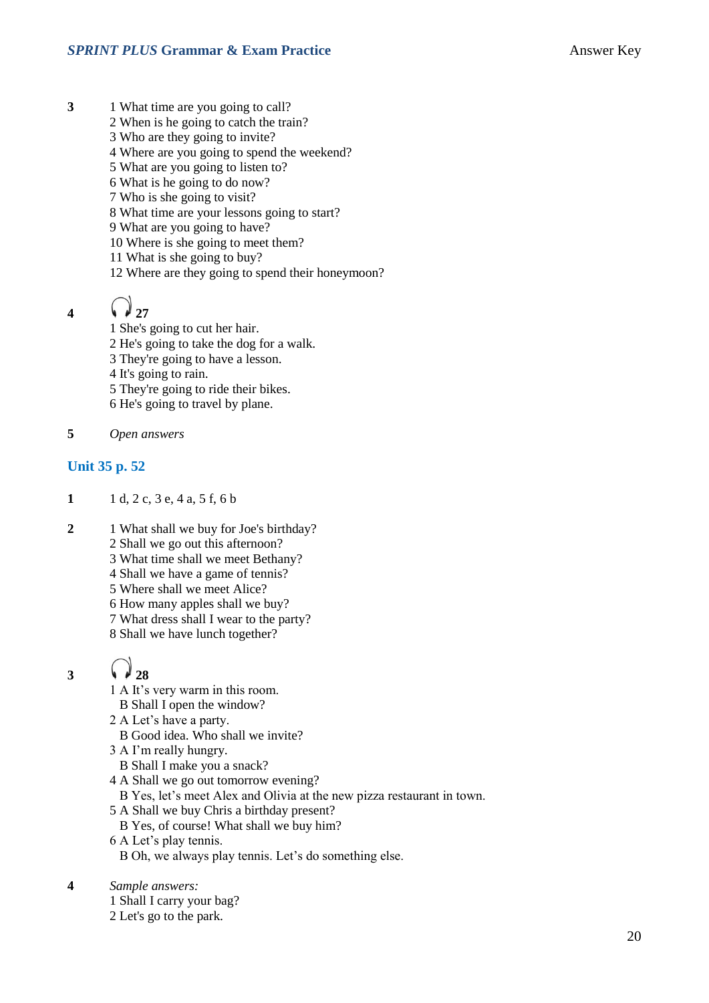- **3** 1 What time are you going to call?
	- 2 When is he going to catch the train?
	- 3 Who are they going to invite?
	- 4 Where are you going to spend the weekend?
	- 5 What are you going to listen to?
	- 6 What is he going to do now?
	- 7 Who is she going to visit?
	- 8 What time are your lessons going to start?
	- 9 What are you going to have?
	- 10 Where is she going to meet them?
	- 11 What is she going to buy?
	- 12 Where are they going to spend their honeymoon?
- 4  $\sqrt{27}$

1 She's going to cut her hair. 2 He's going to take the dog for a walk. 3 They're going to have a lesson. 4 It's going to rain. 5 They're going to ride their bikes.

- 6 He's going to travel by plane.
- **5** *Open answers*

#### **Unit 35 p. 52**

- **1** 1 d, 2 c, 3 e, 4 a, 5 f, 6 b
- 2 1 What shall we buy for Joe's birthday?
	- 2 Shall we go out this afternoon?
	- 3 What time shall we meet Bethany?
	- 4 Shall we have a game of tennis?
	- 5 Where shall we meet Alice?
	- 6 How many apples shall we buy?
	- 7 What dress shall I wear to the party?
	- 8 Shall we have lunch together?

### 3  $\sqrt{28}$

- 1 A It's very warm in this room.
	- B Shall I open the window?
- 2 A Let's have a party.
	- B Good idea. Who shall we invite?
- 3 A I'm really hungry.
	- B Shall I make you a snack?
- 4 A Shall we go out tomorrow evening?
- B Yes, let's meet Alex and Olivia at the new pizza restaurant in town.
- 5 A Shall we buy Chris a birthday present?
	- B Yes, of course! What shall we buy him?
- 6 A Let's play tennis.

B Oh, we always play tennis. Let's do something else.

- **4** *Sample answers:*
	- 1 Shall I carry your bag?
	- 2 Let's go to the park.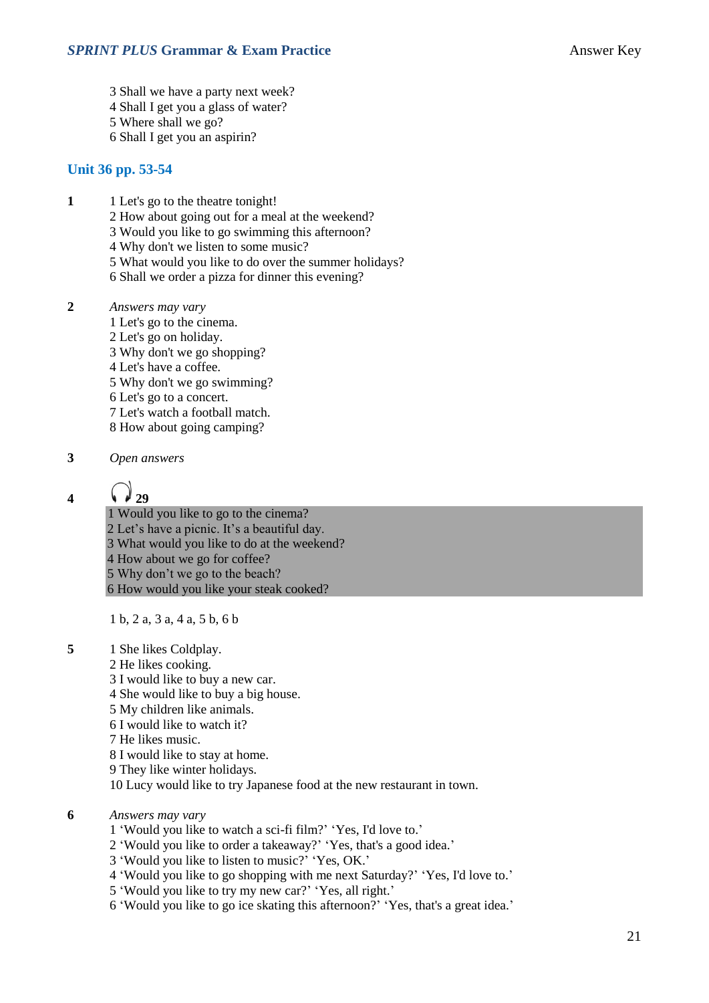- 3 Shall we have a party next week?
- 4 Shall I get you a glass of water?
- 5 Where shall we go?
- 6 Shall I get you an aspirin?

#### **Unit 36 pp. 53-54**

- **1** 1 Let's go to the theatre tonight!
	- 2 How about going out for a meal at the weekend?
	- 3 Would you like to go swimming this afternoon?
	- 4 Why don't we listen to some music?
	- 5 What would you like to do over the summer holidays?
	- 6 Shall we order a pizza for dinner this evening?
- **2** *Answers may vary*
	- 1 Let's go to the cinema.
	- 2 Let's go on holiday.
	- 3 Why don't we go shopping?
	- 4 Let's have a coffee.
	- 5 Why don't we go swimming?
	- 6 Let's go to a concert.
	- 7 Let's watch a football match.
	- 8 How about going camping?
- **3** *Open answers*

**4**  $\sqrt{29}$ 

- 1 Would you like to go to the cinema? 2 Let's have a picnic. It's a beautiful day.
- 3 What would you like to do at the weekend?
- 4 How about we go for coffee?
- 5 Why don't we go to the beach?

6 How would you like your steak cooked?

1 b, 2 a, 3 a, 4 a, 5 b, 6 b

- **5** 1 She likes Coldplay.
	- 2 He likes cooking.
	- 3 I would like to buy a new car.
	- 4 She would like to buy a big house.
	- 5 My children like animals.
	- 6 I would like to watch it?
	- 7 He likes music.
	- 8 I would like to stay at home.
	- 9 They like winter holidays.
	- 10 Lucy would like to try Japanese food at the new restaurant in town.
- **6** *Answers may vary*
	- 1 'Would you like to watch a sci-fi film?' 'Yes, I'd love to.'
	- 2 'Would you like to order a takeaway?' 'Yes, that's a good idea.'
	- 3 'Would you like to listen to music?' 'Yes, OK.'
	- 4 'Would you like to go shopping with me next Saturday?' 'Yes, I'd love to.'
	- 5 'Would you like to try my new car?' 'Yes, all right.'
	- 6 'Would you like to go ice skating this afternoon?' 'Yes, that's a great idea.'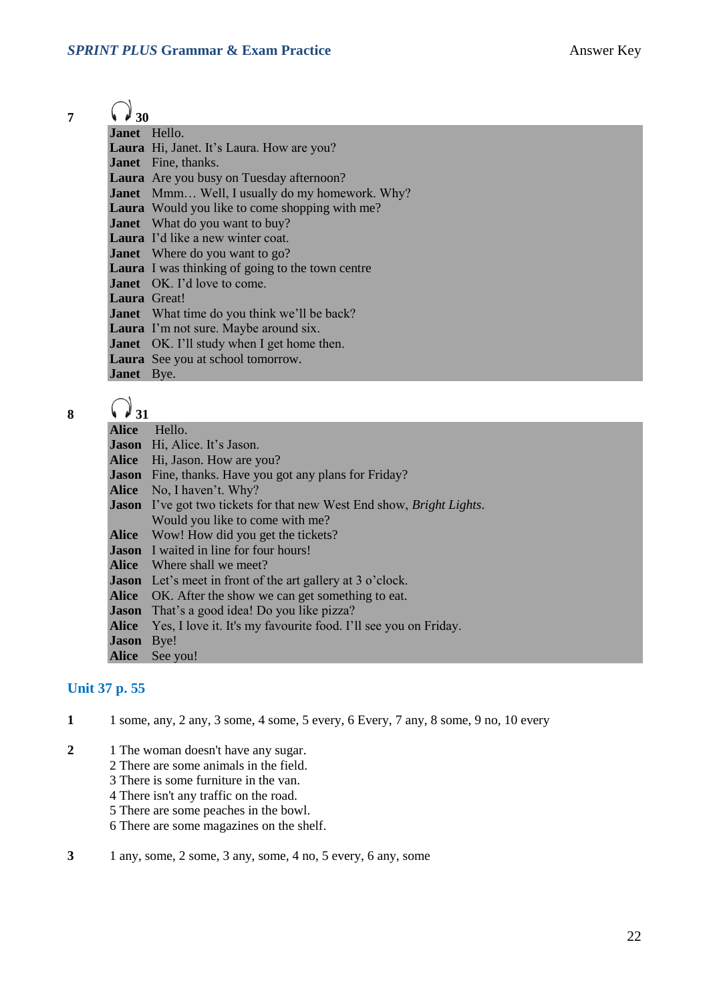# $7 \quad \bigodot \quad 30$

| , , ,v              |                                                         |
|---------------------|---------------------------------------------------------|
| Janet Hello.        |                                                         |
|                     | Laura Hi, Janet. It's Laura. How are you?               |
|                     | <b>Janet</b> Fine, thanks.                              |
|                     | <b>Laura</b> Are you busy on Tuesday afternoon?         |
|                     | <b>Janet</b> Mmm Well, I usually do my homework. Why?   |
|                     | <b>Laura</b> Would you like to come shopping with me?   |
|                     | <b>Janet</b> What do you want to buy?                   |
|                     | <b>Laura</b> I'd like a new winter coat.                |
|                     | <b>Janet</b> Where do you want to go?                   |
|                     | <b>Laura</b> I was thinking of going to the town centre |
|                     | <b>Janet</b> OK. I'd love to come.                      |
| <b>Laura</b> Great! |                                                         |
|                     | <b>Janet</b> What time do you think we'll be back?      |
|                     | Laura I'm not sure. Maybe around six.                   |
|                     | <b>Janet</b> OK. I'll study when I get home then.       |
|                     | Laura See you at school tomorrow.                       |
| <b>Janet</b> Bye.   |                                                         |

| x |  |
|---|--|
|   |  |

| 17.31             |                                                                              |  |  |
|-------------------|------------------------------------------------------------------------------|--|--|
| Alice             | Hello.                                                                       |  |  |
|                   | Jason Hi, Alice. It's Jason.                                                 |  |  |
|                   | Alice Hi, Jason. How are you?                                                |  |  |
|                   | <b>Jason</b> Fine, thanks. Have you got any plans for Friday?                |  |  |
|                   | <b>Alice</b> No, I haven't. Why?                                             |  |  |
|                   | <b>Jason</b> I've got two tickets for that new West End show, Bright Lights. |  |  |
|                   | Would you like to come with me?                                              |  |  |
|                   | <b>Alice</b> Wow! How did you get the tickets?                               |  |  |
|                   | <b>Jason</b> I waited in line for four hours!                                |  |  |
|                   | <b>Alice</b> Where shall we meet?                                            |  |  |
|                   | <b>Jason</b> Let's meet in front of the art gallery at 3 o'clock.            |  |  |
|                   | Alice OK. After the show we can get something to eat.                        |  |  |
|                   | <b>Jason</b> That's a good idea! Do you like pizza?                          |  |  |
|                   | Alice Yes, I love it. It's my favourite food. I'll see you on Friday.        |  |  |
| <b>Jason</b> Bye! |                                                                              |  |  |
|                   | Alice See you!                                                               |  |  |

#### **Unit 37 p. 55**

- **1** 1 some, any, 2 any, 3 some, 4 some, 5 every, 6 Every, 7 any, 8 some, 9 no, 10 every
- **2** 1 The woman doesn't have any sugar.
	- 2 There are some animals in the field.
	- 3 There is some furniture in the van.
	- 4 There isn't any traffic on the road.
	- 5 There are some peaches in the bowl.
	- 6 There are some magazines on the shelf.
- **3** 1 any, some, 2 some, 3 any, some, 4 no, 5 every, 6 any, some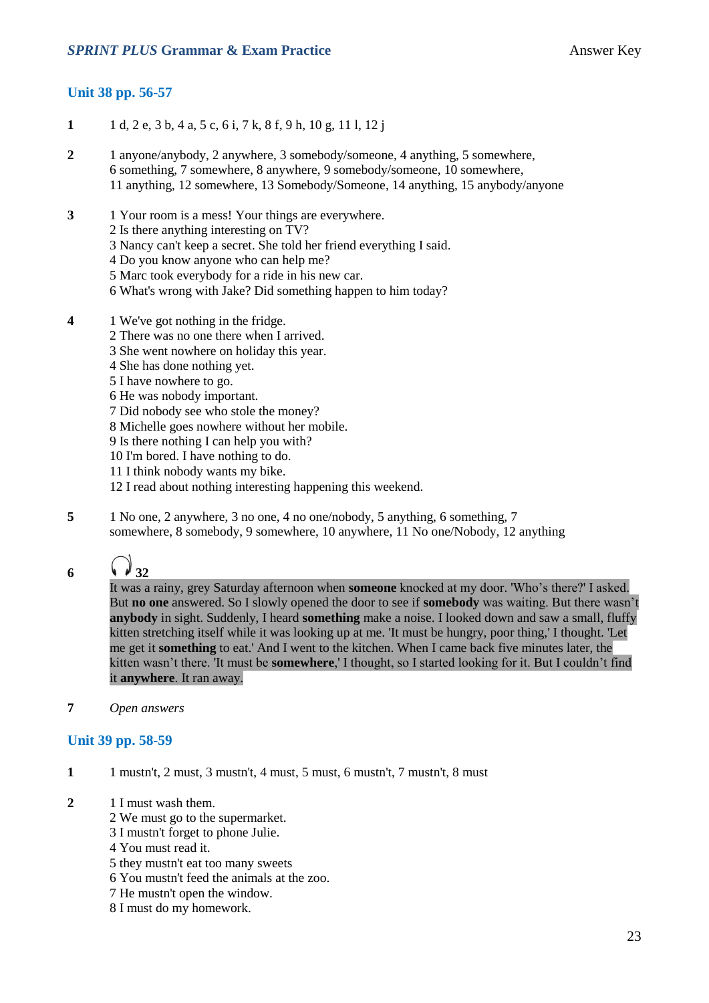#### **Unit 38 pp. 56-57**

- **1** 1 d, 2 e, 3 b, 4 a, 5 c, 6 i, 7 k, 8 f, 9 h, 10 g, 11 l, 12 j
- **2** 1 anyone/anybody, 2 anywhere, 3 somebody/someone, 4 anything, 5 somewhere, 6 something, 7 somewhere, 8 anywhere, 9 somebody/someone, 10 somewhere, 11 anything, 12 somewhere, 13 Somebody/Someone, 14 anything, 15 anybody/anyone
- **3** 1 Your room is a mess! Your things are everywhere.
	- 2 Is there anything interesting on TV?
	- 3 Nancy can't keep a secret. She told her friend everything I said.
	- 4 Do you know anyone who can help me?
	- 5 Marc took everybody for a ride in his new car.
	- 6 What's wrong with Jake? Did something happen to him today?
- **4** 1 We've got nothing in the fridge.
	- 2 There was no one there when I arrived.
	- 3 She went nowhere on holiday this year.
	- 4 She has done nothing yet.
	- 5 I have nowhere to go.
	- 6 He was nobody important.
	- 7 Did nobody see who stole the money?
	- 8 Michelle goes nowhere without her mobile.
	- 9 Is there nothing I can help you with?
	- 10 I'm bored. I have nothing to do.
	- 11 I think nobody wants my bike.
	- 12 I read about nothing interesting happening this weekend.
- **5** 1 No one, 2 anywhere, 3 no one, 4 no one/nobody, 5 anything, 6 something, 7 somewhere, 8 somebody, 9 somewhere, 10 anywhere, 11 No one/Nobody, 12 anything

# **6 32**

It was a rainy, grey Saturday afternoon when **someone** knocked at my door. 'Who's there?' I asked. But **no one** answered. So I slowly opened the door to see if **somebody** was waiting. But there wasn't **anybody** in sight. Suddenly, I heard **something** make a noise. I looked down and saw a small, fluffy kitten stretching itself while it was looking up at me. 'It must be hungry, poor thing,' I thought. 'Let me get it **something** to eat.' And I went to the kitchen. When I came back five minutes later, the kitten wasn't there. 'It must be **somewhere**,' I thought, so I started looking for it. But I couldn't find it **anywhere**. It ran away.

**7** *Open answers*

#### **Unit 39 pp. 58-59**

- **1** 1 mustn't, 2 must, 3 mustn't, 4 must, 5 must, 6 mustn't, 7 mustn't, 8 must
- **2** 1 I must wash them.
	- 2 We must go to the supermarket.
	- 3 I mustn't forget to phone Julie.
	- 4 You must read it.
	- 5 they mustn't eat too many sweets
	- 6 You mustn't feed the animals at the zoo.
	- 7 He mustn't open the window.
	- 8 I must do my homework.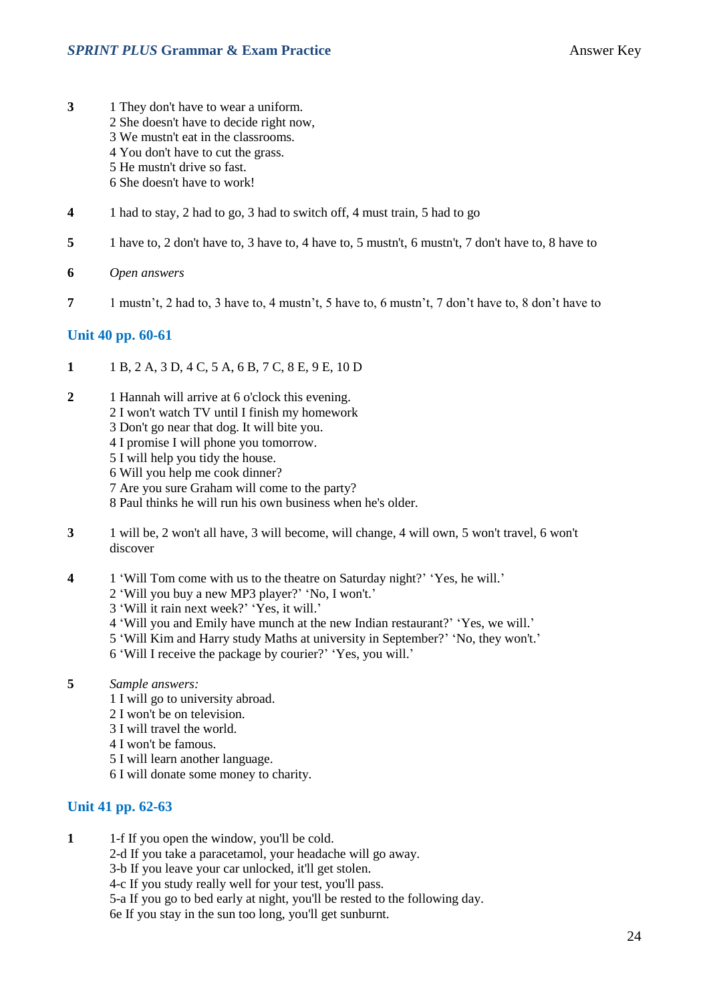- **3** 1 They don't have to wear a uniform.
	- 2 She doesn't have to decide right now,
	- 3 We mustn't eat in the classrooms.
	- 4 You don't have to cut the grass.
	- 5 He mustn't drive so fast.
	- 6 She doesn't have to work!
- **4** 1 had to stay, 2 had to go, 3 had to switch off, 4 must train, 5 had to go
- **5** 1 have to, 2 don't have to, 3 have to, 4 have to, 5 mustn't, 6 mustn't, 7 don't have to, 8 have to
- **6** *Open answers*
- **7** 1 mustn't, 2 had to, 3 have to, 4 mustn't, 5 have to, 6 mustn't, 7 don't have to, 8 don't have to

#### **Unit 40 pp. 60-61**

- **1** 1 B, 2 A, 3 D, 4 C, 5 A, 6 B, 7 C, 8 E, 9 E, 10 D
- **2** 1 Hannah will arrive at 6 o'clock this evening.
	- 2 I won't watch TV until I finish my homework
	- 3 Don't go near that dog. It will bite you.
	- 4 I promise I will phone you tomorrow.
	- 5 I will help you tidy the house.
	- 6 Will you help me cook dinner?
	- 7 Are you sure Graham will come to the party?
	- 8 Paul thinks he will run his own business when he's older.
- **3** 1 will be, 2 won't all have, 3 will become, will change, 4 will own, 5 won't travel, 6 won't discover
- **4** 1 'Will Tom come with us to the theatre on Saturday night?' 'Yes, he will.'
	- 2 'Will you buy a new MP3 player?' 'No, I won't.'
	- 3 'Will it rain next week?' 'Yes, it will.'
	- 4 'Will you and Emily have munch at the new Indian restaurant?' 'Yes, we will.'
	- 5 'Will Kim and Harry study Maths at university in September?' 'No, they won't.'
	- 6 'Will I receive the package by courier?' 'Yes, you will.'
- **5** *Sample answers:*
	- 1 I will go to university abroad.
	- 2 I won't be on television.
	- 3 I will travel the world.
	- 4 I won't be famous.
	- 5 I will learn another language.
	- 6 I will donate some money to charity.

#### **Unit 41 pp. 62-63**

- **1** 1-f If you open the window, you'll be cold.
	- 2-d If you take a paracetamol, your headache will go away.
	- 3-b If you leave your car unlocked, it'll get stolen.
	- 4-c If you study really well for your test, you'll pass.
	- 5-a If you go to bed early at night, you'll be rested to the following day.

6e If you stay in the sun too long, you'll get sunburnt.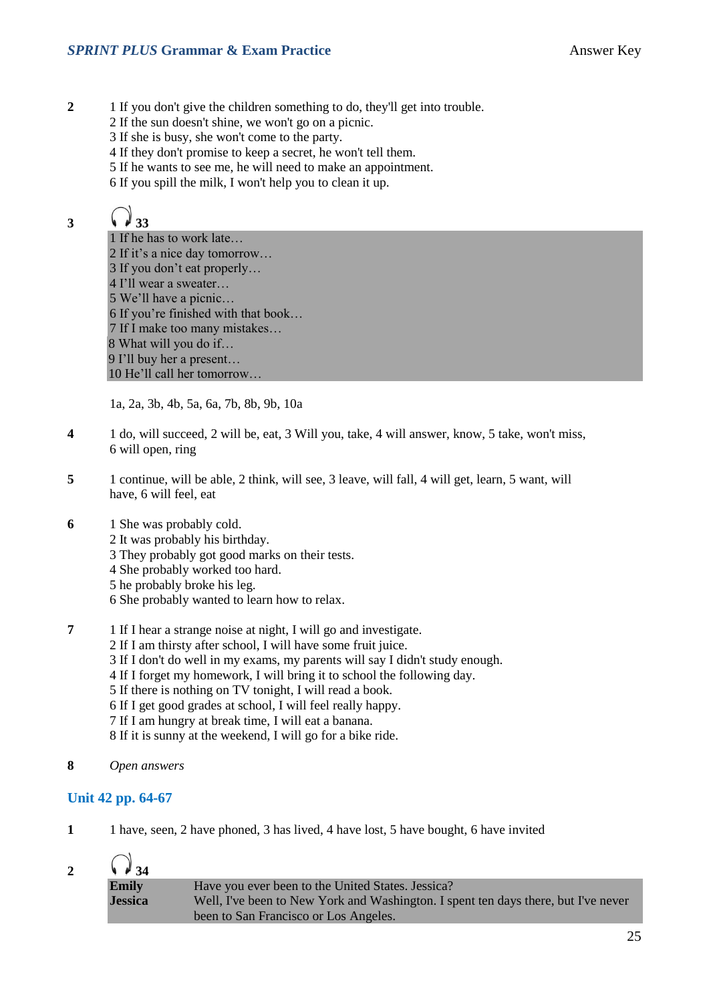- **2** 1 If you don't give the children something to do, they'll get into trouble.
	- 2 If the sun doesn't shine, we won't go on a picnic.
	- 3 If she is busy, she won't come to the party.
	- 4 If they don't promise to keep a secret, he won't tell them.
	- 5 If he wants to see me, he will need to make an appointment.
	- 6 If you spill the milk, I won't help you to clean it up.

# 3  $\sqrt{4}33$

 If he has to work late… If it's a nice day tomorrow… If you don't eat properly… I'll wear a sweater… We'll have a picnic… If you're finished with that book… If I make too many mistakes… 8 What will you do if… I'll buy her a present… He'll call her tomorrow…

1a, 2a, 3b, 4b, 5a, 6a, 7b, 8b, 9b, 10a

- **4** 1 do, will succeed, 2 will be, eat, 3 Will you, take, 4 will answer, know, 5 take, won't miss, 6 will open, ring
- **5** 1 continue, will be able, 2 think, will see, 3 leave, will fall, 4 will get, learn, 5 want, will have, 6 will feel, eat
- **6** 1 She was probably cold.
	- 2 It was probably his birthday.
	- 3 They probably got good marks on their tests.
	- 4 She probably worked too hard.
	- 5 he probably broke his leg.
	- 6 She probably wanted to learn how to relax.
- **7** 1 If I hear a strange noise at night, I will go and investigate.
	- 2 If I am thirsty after school, I will have some fruit juice.
	- 3 If I don't do well in my exams, my parents will say I didn't study enough.
	- 4 If I forget my homework, I will bring it to school the following day.
	- 5 If there is nothing on TV tonight, I will read a book.
	- 6 If I get good grades at school, I will feel really happy.
	- 7 If I am hungry at break time, I will eat a banana.
	- 8 If it is sunny at the weekend, I will go for a bike ride.
- **8** *Open answers*

#### **Unit 42 pp. 64-67**

**1** 1 have, seen, 2 have phoned, 3 has lived, 4 have lost, 5 have bought, 6 have invited

| $\sqrt{34}$    |                                                                                                                             |
|----------------|-----------------------------------------------------------------------------------------------------------------------------|
| <b>Emily</b>   | Have you ever been to the United States. Jessica?                                                                           |
| <b>Jessica</b> | Well, I've been to New York and Washington. I spent ten days there, but I've never<br>been to San Francisco or Los Angeles. |
|                |                                                                                                                             |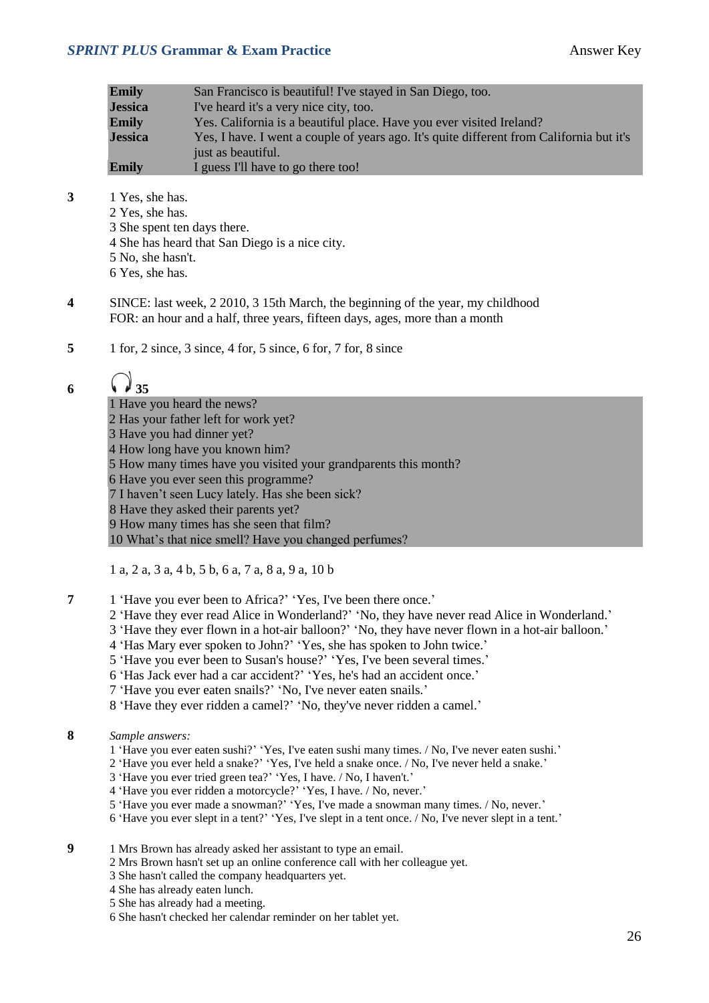#### **SPRINT PLUS Grammar & Exam Practice Answer Key Answer Key**

| Emily          | San Francisco is beautiful! I've stayed in San Diego, too.                               |
|----------------|------------------------------------------------------------------------------------------|
| <b>Jessica</b> | I've heard it's a very nice city, too.                                                   |
| Emily          | Yes. California is a beautiful place. Have you ever visited Ireland?                     |
| <b>Jessica</b> | Yes, I have. I went a couple of years ago. It's quite different from California but it's |
|                | just as beautiful.                                                                       |
| Emily          | I guess I'll have to go there too!                                                       |
|                |                                                                                          |

- **3** 1 Yes, she has. 2 Yes, she has. 3 She spent ten days there. 4 She has heard that San Diego is a nice city.
	- 5 No, she hasn't.
	- 6 Yes, she has.
- **4** SINCE: last week, 2 2010, 3 15th March, the beginning of the year, my childhood FOR: an hour and a half, three years, fifteen days, ages, more than a month
- **5** 1 for, 2 since, 3 since, 4 for, 5 since, 6 for, 7 for, 8 since

# 6  $\sqrt{35}$

- 1 Have you heard the news?
- 2 Has your father left for work yet?
- 3 Have you had dinner yet?
- 4 How long have you known him?
- 5 How many times have you visited your grandparents this month?
- 6 Have you ever seen this programme?
- 7 I haven't seen Lucy lately. Has she been sick?
- 8 Have they asked their parents yet?
- 9 How many times has she seen that film?

10 What's that nice smell? Have you changed perfumes?

1 a, 2 a, 3 a, 4 b, 5 b, 6 a, 7 a, 8 a, 9 a, 10 b

- **7** 1 'Have you ever been to Africa?' 'Yes, I've been there once.'
	- 2 'Have they ever read Alice in Wonderland?' 'No, they have never read Alice in Wonderland.'
	- 3 'Have they ever flown in a hot-air balloon?' 'No, they have never flown in a hot-air balloon.'
	- 4 'Has Mary ever spoken to John?' 'Yes, she has spoken to John twice.'
	- 5 'Have you ever been to Susan's house?' 'Yes, I've been several times.'
	- 6 'Has Jack ever had a car accident?' 'Yes, he's had an accident once.'
	- 7 'Have you ever eaten snails?' 'No, I've never eaten snails.'
	- 8 'Have they ever ridden a camel?' 'No, they've never ridden a camel.'
- **8** *Sample answers:*
	- 1 'Have you ever eaten sushi?' 'Yes, I've eaten sushi many times. / No, I've never eaten sushi.'
	- 2 'Have you ever held a snake?' 'Yes, I've held a snake once. / No, I've never held a snake.'
	- 3 'Have you ever tried green tea?' 'Yes, I have. / No, I haven't.'
	- 4 'Have you ever ridden a motorcycle?' 'Yes, I have. / No, never.'
	- 5 'Have you ever made a snowman?' 'Yes, I've made a snowman many times. / No, never.'
	- 6 'Have you ever slept in a tent?' 'Yes, I've slept in a tent once. / No, I've never slept in a tent.'
- **9** 1 Mrs Brown has already asked her assistant to type an email.
	- 2 Mrs Brown hasn't set up an online conference call with her colleague yet.
	- 3 She hasn't called the company headquarters yet.
	- 4 She has already eaten lunch.
	- 5 She has already had a meeting.
	- 6 She hasn't checked her calendar reminder on her tablet yet.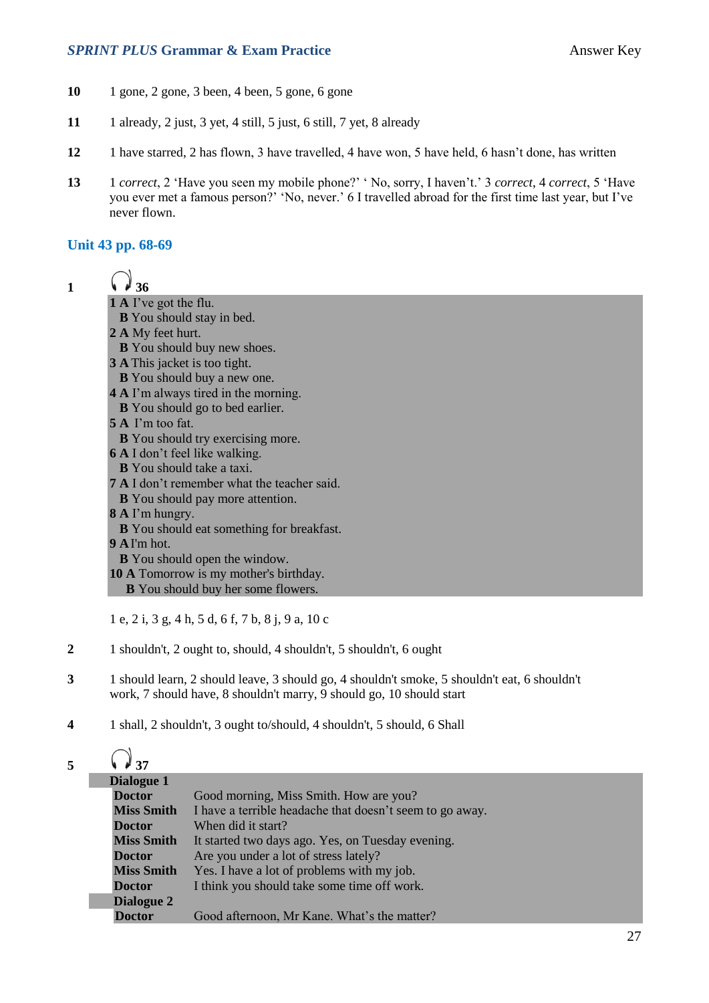#### **SPRINT PLUS Grammar & Exam Practice Answer Key Answer Key**

- **10** 1 gone, 2 gone, 3 been, 4 been, 5 gone, 6 gone
- **11** 1 already, 2 just, 3 yet, 4 still, 5 just, 6 still, 7 yet, 8 already
- **12** 1 have starred, 2 has flown, 3 have travelled, 4 have won, 5 have held, 6 hasn't done, has written
- **13** 1 *correct*, 2 'Have you seen my mobile phone?' ' No, sorry, I haven't.' 3 *correct*, 4 *correct*, 5 'Have you ever met a famous person?' 'No, never.' 6 I travelled abroad for the first time last year, but I've never flown.

#### **Unit 43 pp. 68-69**

| ı | W | 36 |
|---|---|----|

- **1 A** I've got the flu.
- **B** You should stay in bed.
- **2 A** My feet hurt.
- **B** You should buy new shoes.
- **3 A** This jacket is too tight.
- **B** You should buy a new one.
- **4 A** I'm always tired in the morning.
- **B** You should go to bed earlier.
- **5 A** I'm too fat.
- **B** You should try exercising more.
- **6 A** I don't feel like walking.
- **B** You should take a taxi.
- **7 A** I don't remember what the teacher said.
- **B** You should pay more attention.
- **8 A** I'm hungry.
- **B** You should eat something for breakfast.
- **9 A**I'm hot.
- **B** You should open the window.
- **10 A** Tomorrow is my mother's birthday.
	- **B** You should buy her some flowers.

1 e, 2 i, 3 g, 4 h, 5 d, 6 f, 7 b, 8 j, 9 a, 10 c

- **2** 1 shouldn't, 2 ought to, should, 4 shouldn't, 5 shouldn't, 6 ought
- **3** 1 should learn, 2 should leave, 3 should go, 4 shouldn't smoke, 5 shouldn't eat, 6 shouldn't work, 7 should have, 8 shouldn't marry, 9 should go, 10 should start
- **4** 1 shall, 2 shouldn't, 3 ought to/should, 4 shouldn't, 5 should, 6 Shall

| 5 | $\sqrt{4}$ 37     |                                                          |
|---|-------------------|----------------------------------------------------------|
|   | Dialogue 1        |                                                          |
|   | <b>Doctor</b>     | Good morning, Miss Smith. How are you?                   |
|   | <b>Miss Smith</b> | I have a terrible headache that doesn't seem to go away. |
|   | <b>Doctor</b>     | When did it start?                                       |
|   | <b>Miss Smith</b> | It started two days ago. Yes, on Tuesday evening.        |
|   | <b>Doctor</b>     | Are you under a lot of stress lately?                    |
|   | <b>Miss Smith</b> | Yes. I have a lot of problems with my job.               |
|   | <b>Doctor</b>     | I think you should take some time off work.              |
|   | Dialogue 2        |                                                          |
|   | <b>Doctor</b>     | Good afternoon, Mr Kane. What's the matter?              |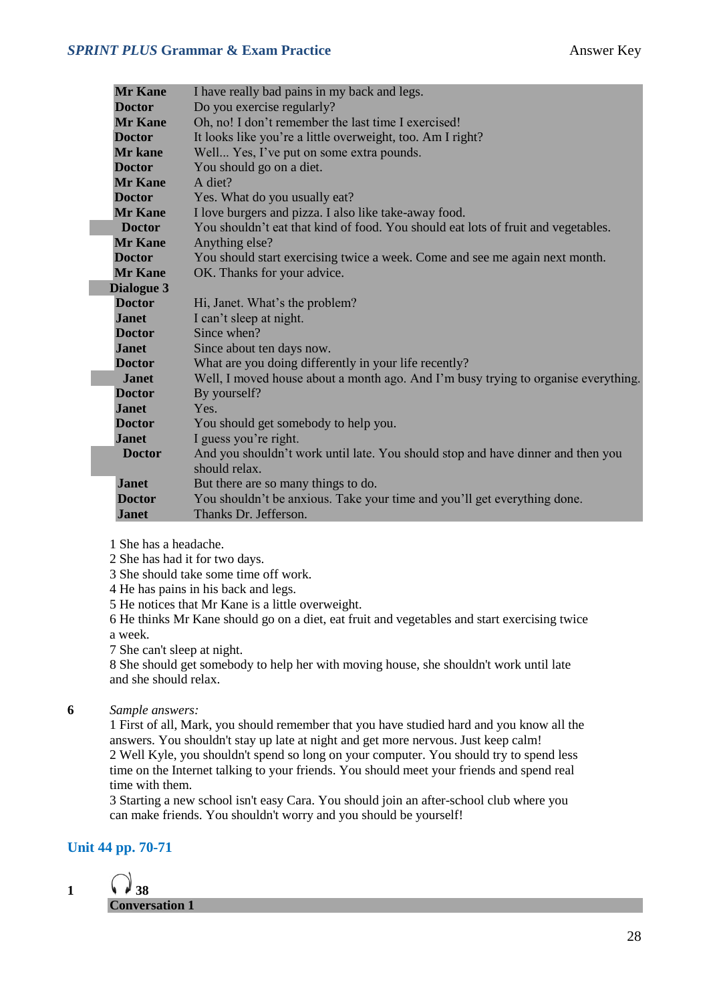#### **SPRINT PLUS Grammar & Exam Practice Answer Key**

| <b>Mr Kane</b> | I have really bad pains in my back and legs.                                       |  |  |  |
|----------------|------------------------------------------------------------------------------------|--|--|--|
| <b>Doctor</b>  | Do you exercise regularly?                                                         |  |  |  |
| <b>Mr Kane</b> | Oh, no! I don't remember the last time I exercised!                                |  |  |  |
| <b>Doctor</b>  | It looks like you're a little overweight, too. Am I right?                         |  |  |  |
| <b>Mr</b> kane | Well Yes, I've put on some extra pounds.                                           |  |  |  |
| <b>Doctor</b>  | You should go on a diet.                                                           |  |  |  |
| <b>Mr Kane</b> | A diet?                                                                            |  |  |  |
| <b>Doctor</b>  | Yes. What do you usually eat?                                                      |  |  |  |
| <b>Mr Kane</b> | I love burgers and pizza. I also like take-away food.                              |  |  |  |
| <b>Doctor</b>  | You shouldn't eat that kind of food. You should eat lots of fruit and vegetables.  |  |  |  |
| <b>Mr Kane</b> | Anything else?                                                                     |  |  |  |
| <b>Doctor</b>  | You should start exercising twice a week. Come and see me again next month.        |  |  |  |
| <b>Mr Kane</b> | OK. Thanks for your advice.                                                        |  |  |  |
| Dialogue 3     |                                                                                    |  |  |  |
| <b>Doctor</b>  | Hi, Janet. What's the problem?                                                     |  |  |  |
| <b>Janet</b>   | I can't sleep at night.                                                            |  |  |  |
| <b>Doctor</b>  | Since when?                                                                        |  |  |  |
| <b>Janet</b>   | Since about ten days now.                                                          |  |  |  |
| <b>Doctor</b>  | What are you doing differently in your life recently?                              |  |  |  |
| <b>Janet</b>   | Well, I moved house about a month ago. And I'm busy trying to organise everything. |  |  |  |
| <b>Doctor</b>  | By yourself?                                                                       |  |  |  |
| <b>Janet</b>   | Yes.                                                                               |  |  |  |
| <b>Doctor</b>  | You should get somebody to help you.                                               |  |  |  |
| <b>Janet</b>   | I guess you're right.                                                              |  |  |  |
| <b>Doctor</b>  | And you shouldn't work until late. You should stop and have dinner and then you    |  |  |  |
|                | should relax.                                                                      |  |  |  |
| <b>Janet</b>   | But there are so many things to do.                                                |  |  |  |
| <b>Doctor</b>  | You shouldn't be anxious. Take your time and you'll get everything done.           |  |  |  |
| <b>Janet</b>   | Thanks Dr. Jefferson.                                                              |  |  |  |

- 1 She has a headache.
- 2 She has had it for two days.
- 3 She should take some time off work.
- 4 He has pains in his back and legs.
- 5 He notices that Mr Kane is a little overweight.
- 6 He thinks Mr Kane should go on a diet, eat fruit and vegetables and start exercising twice a week.
- 7 She can't sleep at night.

8 She should get somebody to help her with moving house, she shouldn't work until late and she should relax.

**6** *Sample answers:*

1 First of all, Mark, you should remember that you have studied hard and you know all the answers. You shouldn't stay up late at night and get more nervous. Just keep calm! 2 Well Kyle, you shouldn't spend so long on your computer. You should try to spend less time on the Internet talking to your friends. You should meet your friends and spend real time with them.

3 Starting a new school isn't easy Cara. You should join an after-school club where you can make friends. You shouldn't worry and you should be yourself!

#### **Unit 44 pp. 70-71**

1  $\sqrt{38}$ **Conversation 1**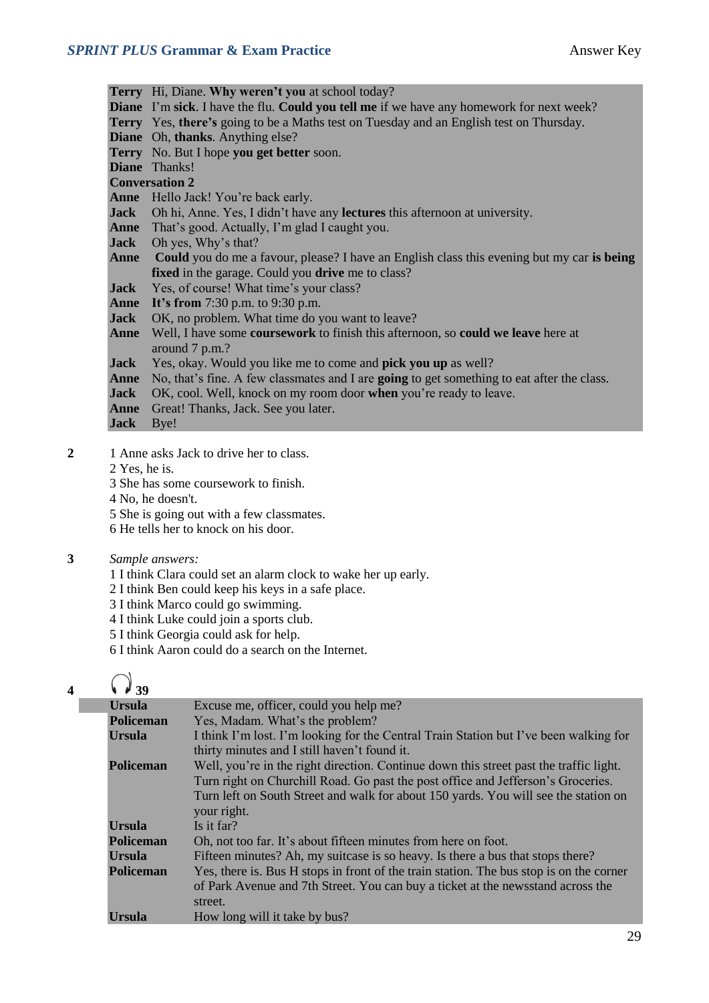**Terry** Hi, Diane. **Why weren't you** at school today? **Diane** I'm **sick**. I have the flu. **Could you tell me** if we have any homework for next week? **Terry** Yes, **there's** going to be a Maths test on Tuesday and an English test on Thursday. **Diane** Oh, **thanks**. Anything else? **Terry** No. But I hope **you get better** soon. **Diane** Thanks! **Conversation 2 Anne** Hello Jack! You're back early. **Jack** Oh hi, Anne. Yes, I didn't have any **lectures** this afternoon at university. **Anne** That's good. Actually, I'm glad I caught you. **Jack** Oh yes, Why's that? **Anne Could** you do me a favour, please? I have an English class this evening but my car **is being fixed** in the garage. Could you **drive** me to class? **Jack** Yes, of course! What time's your class? **Anne It's from** 7:30 p.m. to 9:30 p.m. **Jack** OK, no problem. What time do you want to leave? **Anne** Well, I have some **coursework** to finish this afternoon, so **could we leave** here at around 7 p.m.? **Jack** Yes, okay. Would you like me to come and **pick you up** as well? **Anne** No, that's fine. A few classmates and I are **going** to get something to eat after the class. **Jack** OK, cool. Well, knock on my room door **when** you're ready to leave. **Anne** Great! Thanks, Jack. See you later. **Jack** Bye!

- 2 1 Anne asks Jack to drive her to class.
	- 2 Yes, he is.
	- 3 She has some coursework to finish.
	- 4 No, he doesn't.
	- 5 She is going out with a few classmates.
	- 6 He tells her to knock on his door.

#### **3** *Sample answers:*

- 1 I think Clara could set an alarm clock to wake her up early.
- 2 I think Ben could keep his keys in a safe place.
- 3 I think Marco could go swimming.
- 4 I think Luke could join a sports club.
- 5 I think Georgia could ask for help.
- 6 I think Aaron could do a search on the Internet.

### $4 \t\sqrt{39}$

| I think I'm lost. I'm looking for the Central Train Station but I've been walking for   |
|-----------------------------------------------------------------------------------------|
|                                                                                         |
| Well, you're in the right direction. Continue down this street past the traffic light.  |
| Turn right on Churchill Road. Go past the post office and Jefferson's Groceries.        |
| Turn left on South Street and walk for about 150 yards. You will see the station on     |
|                                                                                         |
|                                                                                         |
|                                                                                         |
|                                                                                         |
| Yes, there is. Bus H stops in front of the train station. The bus stop is on the corner |
| of Park Avenue and 7th Street. You can buy a ticket at the newsstand across the         |
|                                                                                         |
|                                                                                         |
|                                                                                         |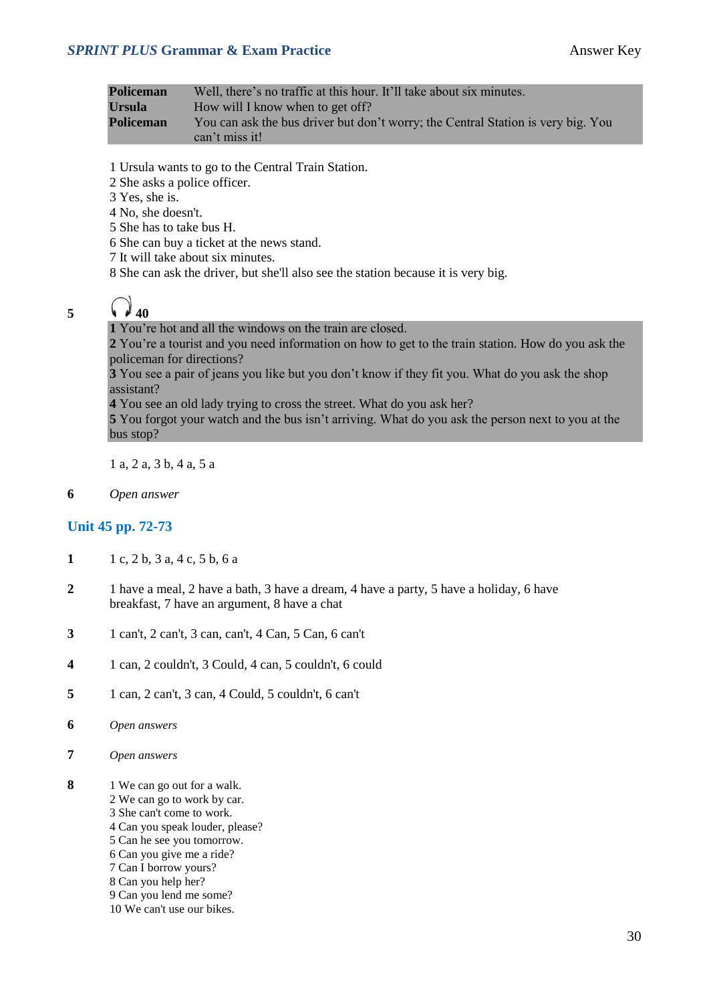#### **SPRINT PLUS Grammar & Exam Practice Answer Key**

| Policeman | Well, there's no traffic at this hour. It'll take about six minutes.                               |
|-----------|----------------------------------------------------------------------------------------------------|
| Ursula    | How will I know when to get off?                                                                   |
| Policeman | You can ask the bus driver but don't worry; the Central Station is very big. You<br>can't miss it! |

- 1 Ursula wants to go to the Central Train Station.
- 2 She asks a police officer.
- 3 Yes, she is.
- 4 No, she doesn't.
- 5 She has to take bus H.
- 6 She can buy a ticket at the news stand.
- 7 It will take about six minutes.
- 8 She can ask the driver, but she'll also see the station because it is very big.
- 

### 5  $\binom{3}{40}$

#### **1** You're hot and all the windows on the train are closed.

**2** You're a tourist and you need information on how to get to the train station. How do you ask the policeman for directions?

**3** You see a pair of jeans you like but you don't know if they fit you. What do you ask the shop assistant?

**4** You see an old lady trying to cross the street. What do you ask her?

**5** You forgot your watch and the bus isn't arriving. What do you ask the person next to you at the bus stop?

1 a, 2 a, 3 b, 4 a, 5 a

**6** *Open answer*

#### **Unit 45 pp. 72-73**

- **1** 1 c, 2 b, 3 a, 4 c, 5 b, 6 a
- **2** 1 have a meal, 2 have a bath, 3 have a dream, 4 have a party, 5 have a holiday, 6 have breakfast, 7 have an argument, 8 have a chat
- **3** 1 can't, 2 can't, 3 can, can't, 4 Can, 5 Can, 6 can't
- **4** 1 can, 2 couldn't, 3 Could, 4 can, 5 couldn't, 6 could
- **5** 1 can, 2 can't, 3 can, 4 Could, 5 couldn't, 6 can't
- **6** *Open answers*
- **7** *Open answers*
- **8** 1 We can go out for a walk.
	- 2 We can go to work by car.
	- 3 She can't come to work.
	- 4 Can you speak louder, please?
	- 5 Can he see you tomorrow.
	- 6 Can you give me a ride?
	- 7 Can I borrow yours?
	- 8 Can you help her? 9 Can you lend me some?
	- 10 We can't use our bikes.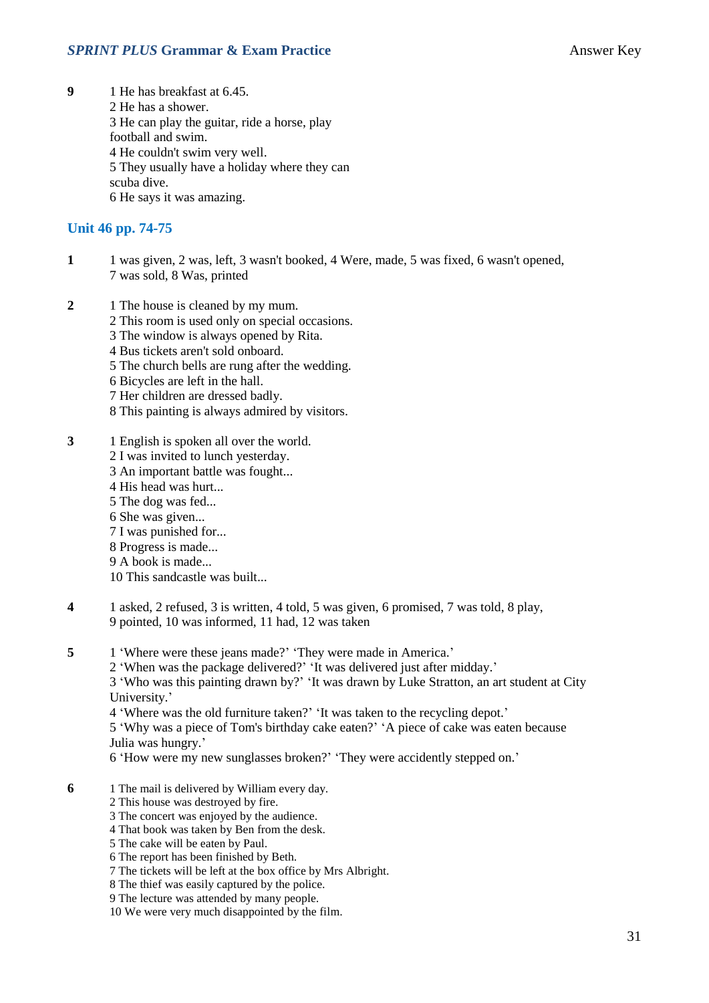**9** 1 He has breakfast at 6.45. 2 He has a shower. 3 He can play the guitar, ride a horse, play football and swim. 4 He couldn't swim very well. 5 They usually have a holiday where they can scuba dive. 6 He says it was amazing.

#### **Unit 46 pp. 74-75**

- **1** 1 was given, 2 was, left, 3 wasn't booked, 4 Were, made, 5 was fixed, 6 wasn't opened, 7 was sold, 8 Was, printed
- **2** 1 The house is cleaned by my mum. 2 This room is used only on special occasions.
	- 3 The window is always opened by Rita.
	- 4 Bus tickets aren't sold onboard.
	- 5 The church bells are rung after the wedding.
	- 6 Bicycles are left in the hall.
	- 7 Her children are dressed badly.
	- 8 This painting is always admired by visitors.
- **3** 1 English is spoken all over the world. 2 I was invited to lunch yesterday. 3 An important battle was fought... 4 His head was hurt...
	- 5 The dog was fed...
	- 6 She was given...
	- 7 I was punished for...
	- 8 Progress is made...
	- 9 A book is made...
	- 10 This sandcastle was built...
- **4** 1 asked, 2 refused, 3 is written, 4 told, 5 was given, 6 promised, 7 was told, 8 play, 9 pointed, 10 was informed, 11 had, 12 was taken
- **5** 1 'Where were these jeans made?' 'They were made in America.'
	- 2 'When was the package delivered?' 'It was delivered just after midday.'

3 'Who was this painting drawn by?' 'It was drawn by Luke Stratton, an art student at City University.'

4 'Where was the old furniture taken?' 'It was taken to the recycling depot.'

5 'Why was a piece of Tom's birthday cake eaten?' 'A piece of cake was eaten because Julia was hungry.'

6 'How were my new sunglasses broken?' 'They were accidently stepped on.'

- **6** 1 The mail is delivered by William every day.
	- 2 This house was destroyed by fire.
	- 3 The concert was enjoyed by the audience.
	- 4 That book was taken by Ben from the desk.
	- 5 The cake will be eaten by Paul.
	- 6 The report has been finished by Beth.
	- 7 The tickets will be left at the box office by Mrs Albright.
	- 8 The thief was easily captured by the police.
	- 9 The lecture was attended by many people.
	- 10 We were very much disappointed by the film.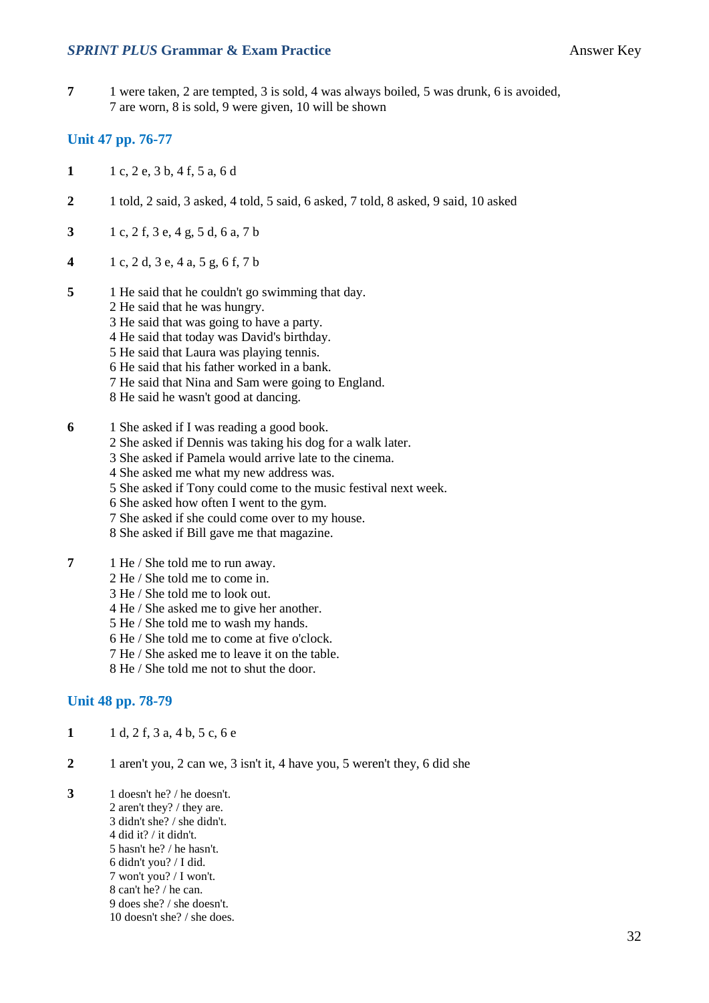#### **SPRINT PLUS Grammar & Exam Practice Answer Key**

**7** 1 were taken, 2 are tempted, 3 is sold, 4 was always boiled, 5 was drunk, 6 is avoided, 7 are worn, 8 is sold, 9 were given, 10 will be shown

#### **Unit 47 pp. 76-77**

- **1** 1 c, 2 e, 3 b, 4 f, 5 a, 6 d
- **2** 1 told, 2 said, 3 asked, 4 told, 5 said, 6 asked, 7 told, 8 asked, 9 said, 10 asked
- **3** 1 c, 2 f, 3 e, 4 g, 5 d, 6 a, 7 b
- **4** 1 c, 2 d, 3 e, 4 a, 5 g, 6 f, 7 b
- **5** 1 He said that he couldn't go swimming that day.
	- 2 He said that he was hungry.
	- 3 He said that was going to have a party.
	- 4 He said that today was David's birthday.
	- 5 He said that Laura was playing tennis.
	- 6 He said that his father worked in a bank.
	- 7 He said that Nina and Sam were going to England.
	- 8 He said he wasn't good at dancing.
- **6** 1 She asked if I was reading a good book.
	- 2 She asked if Dennis was taking his dog for a walk later.
	- 3 She asked if Pamela would arrive late to the cinema.
	- 4 She asked me what my new address was.
	- 5 She asked if Tony could come to the music festival next week.
	- 6 She asked how often I went to the gym.
	- 7 She asked if she could come over to my house.
	- 8 She asked if Bill gave me that magazine.
- **7** 1 He / She told me to run away.
	- 2 He / She told me to come in.
	- 3 He / She told me to look out.
	- 4 He / She asked me to give her another.
	- 5 He / She told me to wash my hands.
	- 6 He / She told me to come at five o'clock.
	- 7 He / She asked me to leave it on the table.
	- 8 He / She told me not to shut the door.

#### **Unit 48 pp. 78-79**

- **1** 1 d, 2 f, 3 a, 4 b, 5 c, 6 e
- **2** 1 aren't you, 2 can we, 3 isn't it, 4 have you, 5 weren't they, 6 did she
- **3** 1 doesn't he? / he doesn't. 2 aren't they? / they are. 3 didn't she? / she didn't. 4 did it? / it didn't. 5 hasn't he? / he hasn't. 6 didn't you? / I did. 7 won't you? / I won't. 8 can't he? / he can. 9 does she? / she doesn't. 10 doesn't she? / she does.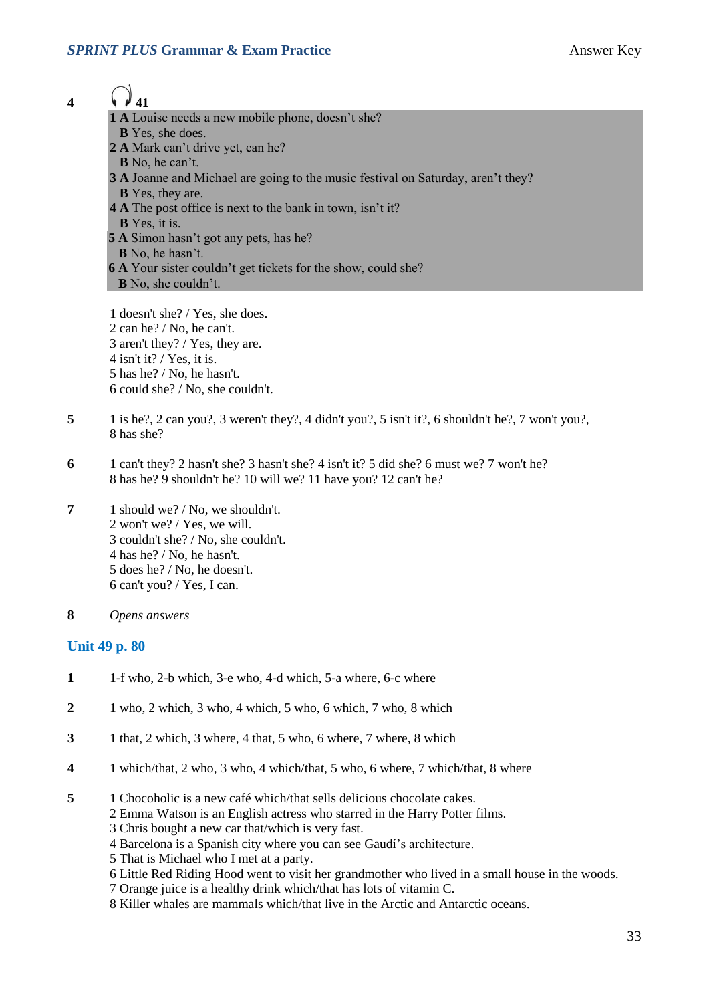- **4**  $\bigcirc$  **41** 
	- **1 A** Louise needs a new mobile phone, doesn't she?
	- **B** Yes, she does.
	- **2 A** Mark can't drive yet, can he?
	- **B** No, he can't.
	- **3 A** Joanne and Michael are going to the music festival on Saturday, aren't they?
	- **B** Yes, they are.
	- **4 A** The post office is next to the bank in town, isn't it?
	- **B** Yes, it is.
	- **5 A** Simon hasn't got any pets, has he?  **B** No, he hasn't. **6 A** Your sister couldn't get tickets for the show, could she?  **B** No, she couldn't.

1 doesn't she? / Yes, she does. 2 can he? / No, he can't. 3 aren't they? / Yes, they are. 4 isn't it? / Yes, it is. 5 has he? / No, he hasn't. 6 could she? / No, she couldn't.

- **5** 1 is he?, 2 can you?, 3 weren't they?, 4 didn't you?, 5 isn't it?, 6 shouldn't he?, 7 won't you?, 8 has she?
- **6** 1 can't they? 2 hasn't she? 3 hasn't she? 4 isn't it? 5 did she? 6 must we? 7 won't he? 8 has he? 9 shouldn't he? 10 will we? 11 have you? 12 can't he?
- **7** 1 should we? / No, we shouldn't. 2 won't we? / Yes, we will. 3 couldn't she? / No, she couldn't. 4 has he? / No, he hasn't. 5 does he? / No, he doesn't. 6 can't you? / Yes, I can.
- **8** *Opens answers*

#### **Unit 49 p. 80**

- **1** 1-f who, 2-b which, 3-e who, 4-d which, 5-a where, 6-c where
- **2** 1 who, 2 which, 3 who, 4 which, 5 who, 6 which, 7 who, 8 which
- **3** 1 that, 2 which, 3 where, 4 that, 5 who, 6 where, 7 where, 8 which
- **4** 1 which/that, 2 who, 3 who, 4 which/that, 5 who, 6 where, 7 which/that, 8 where
- **5** 1 Chocoholic is a new café which/that sells delicious chocolate cakes.
	- 2 Emma Watson is an English actress who starred in the Harry Potter films.
	- 3 Chris bought a new car that/which is very fast.
	- 4 Barcelona is a Spanish city where you can see Gaudí's architecture.
	- 5 That is Michael who I met at a party.
	- 6 Little Red Riding Hood went to visit her grandmother who lived in a small house in the woods.
	- 7 Orange juice is a healthy drink which/that has lots of vitamin C.
	- 8 Killer whales are mammals which/that live in the Arctic and Antarctic oceans.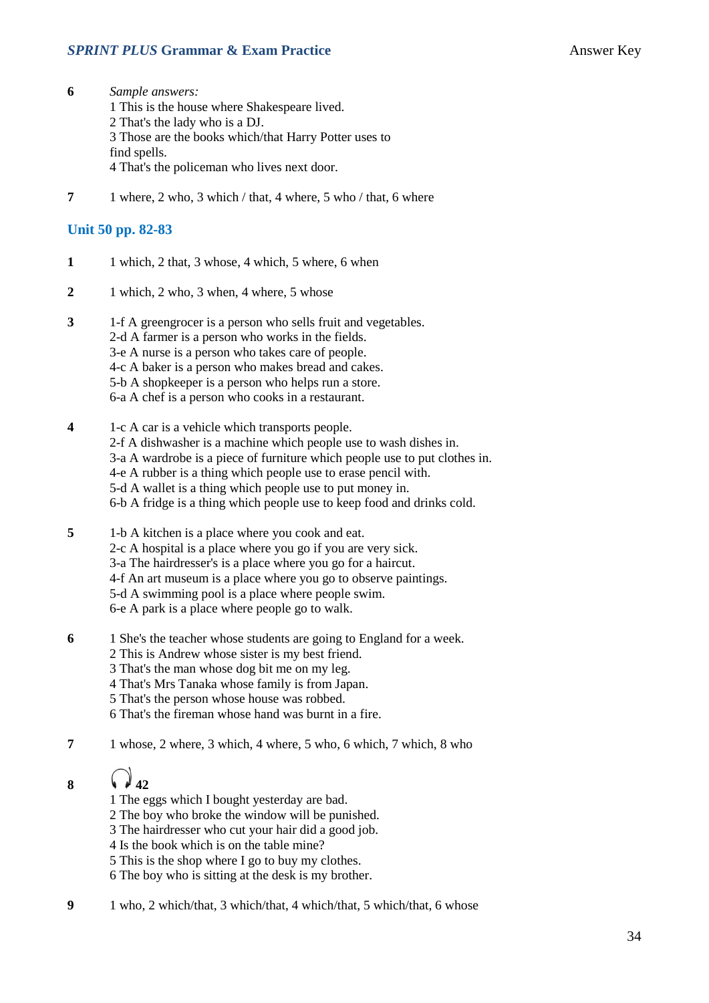#### **SPRINT PLUS Grammar & Exam Practice Answer Key Answer Key**

- **6** *Sample answers:* 1 This is the house where Shakespeare lived. 2 That's the lady who is a DJ. 3 Those are the books which/that Harry Potter uses to find spells. 4 That's the policeman who lives next door.
- **7** 1 where, 2 who, 3 which / that, 4 where, 5 who / that, 6 where

#### **Unit 50 pp. 82-83**

- **1** 1 which, 2 that, 3 whose, 4 which, 5 where, 6 when
- **2** 1 which, 2 who, 3 when, 4 where, 5 whose
- **3** 1-f A greengrocer is a person who sells fruit and vegetables. 2-d A farmer is a person who works in the fields. 3-e A nurse is a person who takes care of people. 4-c A baker is a person who makes bread and cakes. 5-b A shopkeeper is a person who helps run a store. 6-a A chef is a person who cooks in a restaurant.
- **4** 1-c A car is a vehicle which transports people. 2-f A dishwasher is a machine which people use to wash dishes in. 3-a A wardrobe is a piece of furniture which people use to put clothes in. 4-e A rubber is a thing which people use to erase pencil with. 5-d A wallet is a thing which people use to put money in. 6-b A fridge is a thing which people use to keep food and drinks cold.
- **5** 1-b A kitchen is a place where you cook and eat. 2-c A hospital is a place where you go if you are very sick. 3-a The hairdresser's is a place where you go for a haircut. 4-f An art museum is a place where you go to observe paintings. 5-d A swimming pool is a place where people swim. 6-e A park is a place where people go to walk.
- **6** 1 She's the teacher whose students are going to England for a week. 2 This is Andrew whose sister is my best friend.
	- 3 That's the man whose dog bit me on my leg.
	- 4 That's Mrs Tanaka whose family is from Japan.
	- 5 That's the person whose house was robbed.
	- 6 That's the fireman whose hand was burnt in a fire.
- **7** 1 whose, 2 where, 3 which, 4 where, 5 who, 6 which, 7 which, 8 who

# 8  $\sqrt{42}$

- 1 The eggs which I bought yesterday are bad.
- 2 The boy who broke the window will be punished.
- 3 The hairdresser who cut your hair did a good job.
- 4 Is the book which is on the table mine?
- 5 This is the shop where I go to buy my clothes.
- 6 The boy who is sitting at the desk is my brother.
- **9** 1 who, 2 which/that, 3 which/that, 4 which/that, 5 which/that, 6 whose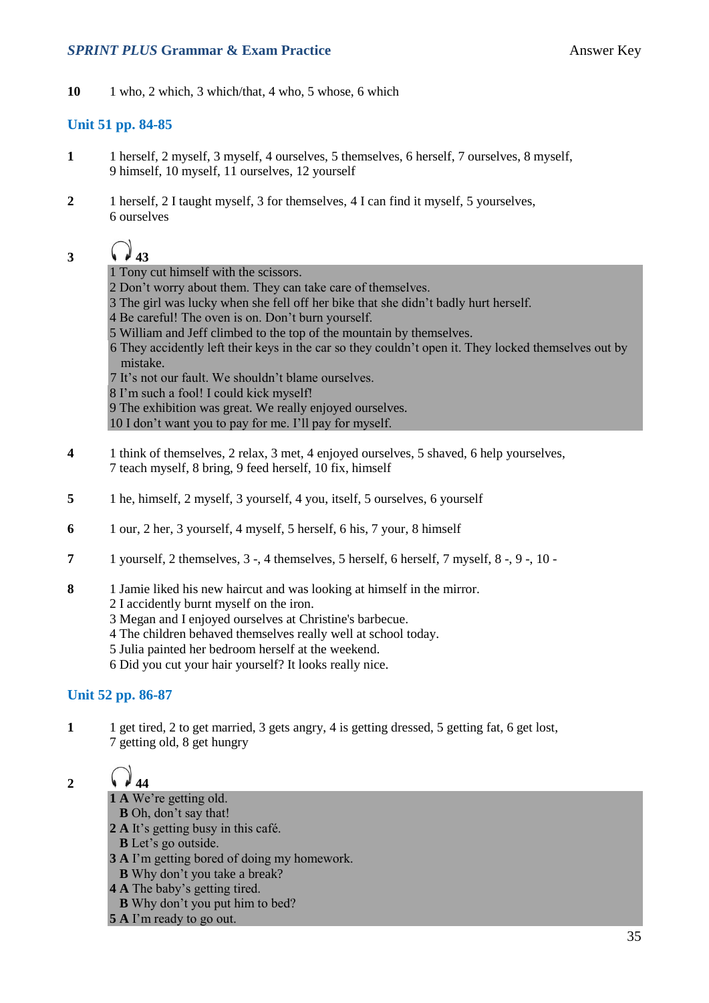#### **SPRINT PLUS Grammar & Exam Practice Answer Key Answer Key**

**10** 1 who, 2 which, 3 which/that, 4 who, 5 whose, 6 which

#### **Unit 51 pp. 84-85**

- **1** 1 herself, 2 myself, 3 myself, 4 ourselves, 5 themselves, 6 herself, 7 ourselves, 8 myself, 9 himself, 10 myself, 11 ourselves, 12 yourself
- **2** 1 herself, 2 I taught myself, 3 for themselves, 4 I can find it myself, 5 yourselves, 6 ourselves

 $3 \t\sqrt{43}$ 

1 Tony cut himself with the scissors.

2 Don't worry about them. They can take care of themselves.

- 3 The girl was lucky when she fell off her bike that she didn't badly hurt herself.
- 4 Be careful! The oven is on. Don't burn yourself.
- 5 William and Jeff climbed to the top of the mountain by themselves.
- 6 They accidently left their keys in the car so they couldn't open it. They locked themselves out by mistake.
- 7 It's not our fault. We shouldn't blame ourselves.
- 8 I'm such a fool! I could kick myself!
- 9 The exhibition was great. We really enjoyed ourselves.

10 I don't want you to pay for me. I'll pay for myself.

- **4** 1 think of themselves, 2 relax, 3 met, 4 enjoyed ourselves, 5 shaved, 6 help yourselves, 7 teach myself, 8 bring, 9 feed herself, 10 fix, himself
- **5** 1 he, himself, 2 myself, 3 yourself, 4 you, itself, 5 ourselves, 6 yourself
- **6** 1 our, 2 her, 3 yourself, 4 myself, 5 herself, 6 his, 7 your, 8 himself
- **7** 1 yourself, 2 themselves, 3 -, 4 themselves, 5 herself, 6 herself, 7 myself, 8 -, 9 -, 10 -
- **8** 1 Jamie liked his new haircut and was looking at himself in the mirror.
	- 2 I accidently burnt myself on the iron.
	- 3 Megan and I enjoyed ourselves at Christine's barbecue.
	- 4 The children behaved themselves really well at school today.
	- 5 Julia painted her bedroom herself at the weekend.
	- 6 Did you cut your hair yourself? It looks really nice.

#### **Unit 52 pp. 86-87**

**1** 1 get tired, 2 to get married, 3 gets angry, 4 is getting dressed, 5 getting fat, 6 get lost, 7 getting old, 8 get hungry

2  $\sqrt{44}$ 

**1 A** We're getting old.

- **B** Oh, don't say that!
- **2 A** It's getting busy in this café.
- **B** Let's go outside.
- **3 A** I'm getting bored of doing my homework.
- **B** Why don't you take a break?
- **4 A** The baby's getting tired.
- **B** Why don't you put him to bed?
- **5 A** I'm ready to go out.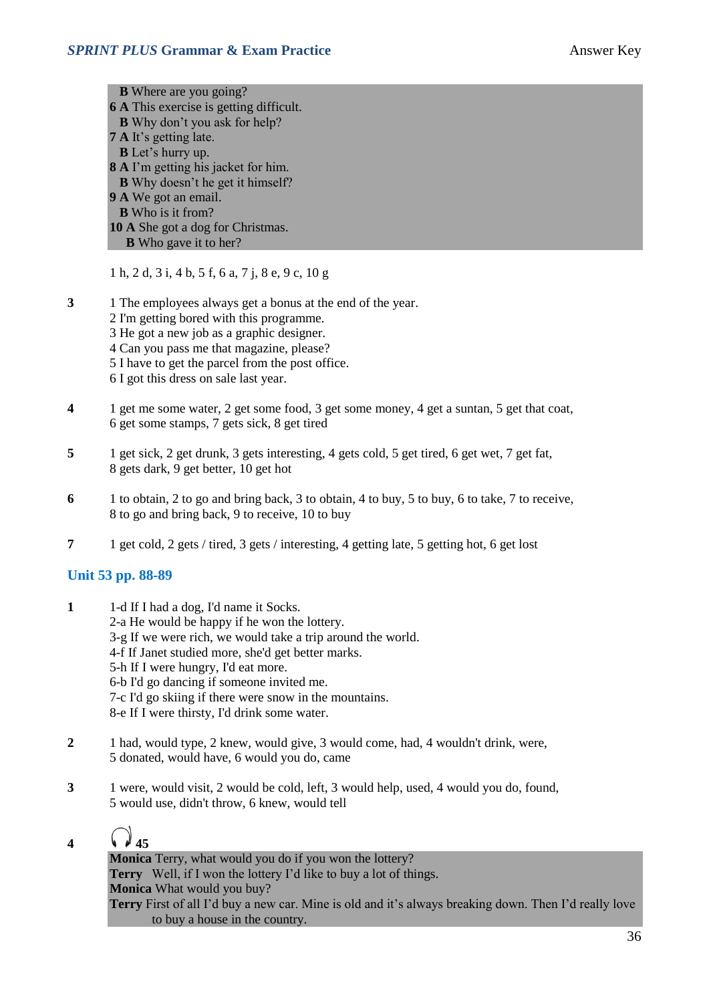**B** Where are you going? **6 A** This exercise is getting difficult. **B** Why don't you ask for help? **7 A** It's getting late. **B** Let's hurry up. **8 A** I'm getting his jacket for him. **B** Why doesn't he get it himself? **9 A** We got an email. **B** Who is it from? **10 A** She got a dog for Christmas. **B** Who gave it to her?

1 h, 2 d, 3 i, 4 b, 5 f, 6 a, 7 j, 8 e, 9 c, 10 g

**3** 1 The employees always get a bonus at the end of the year. 2 I'm getting bored with this programme. 3 He got a new job as a graphic designer. 4 Can you pass me that magazine, please? 5 I have to get the parcel from the post office. 6 I got this dress on sale last year.

- **4** 1 get me some water, 2 get some food, 3 get some money, 4 get a suntan, 5 get that coat, 6 get some stamps, 7 gets sick, 8 get tired
- **5** 1 get sick, 2 get drunk, 3 gets interesting, 4 gets cold, 5 get tired, 6 get wet, 7 get fat, 8 gets dark, 9 get better, 10 get hot
- **6** 1 to obtain, 2 to go and bring back, 3 to obtain, 4 to buy, 5 to buy, 6 to take, 7 to receive, 8 to go and bring back, 9 to receive, 10 to buy
- **7** 1 get cold, 2 gets / tired, 3 gets / interesting, 4 getting late, 5 getting hot, 6 get lost

#### **Unit 53 pp. 88-89**

- **1** 1-d If I had a dog, I'd name it Socks. 2-a He would be happy if he won the lottery. 3-g If we were rich, we would take a trip around the world. 4-f If Janet studied more, she'd get better marks. 5-h If I were hungry, I'd eat more. 6-b I'd go dancing if someone invited me. 7-c I'd go skiing if there were snow in the mountains. 8-e If I were thirsty, I'd drink some water.
- **2** 1 had, would type, 2 knew, would give, 3 would come, had, 4 wouldn't drink, were, 5 donated, would have, 6 would you do, came
- **3** 1 were, would visit, 2 would be cold, left, 3 would help, used, 4 would you do, found, 5 would use, didn't throw, 6 knew, would tell

## **4**  $\sqrt{45}$

**Monica** Terry, what would you do if you won the lottery? **Terry** Well, if I won the lottery I'd like to buy a lot of things. **Monica** What would you buy? **Terry** First of all I'd buy a new car. Mine is old and it's always breaking down. Then I'd really love to buy a house in the country.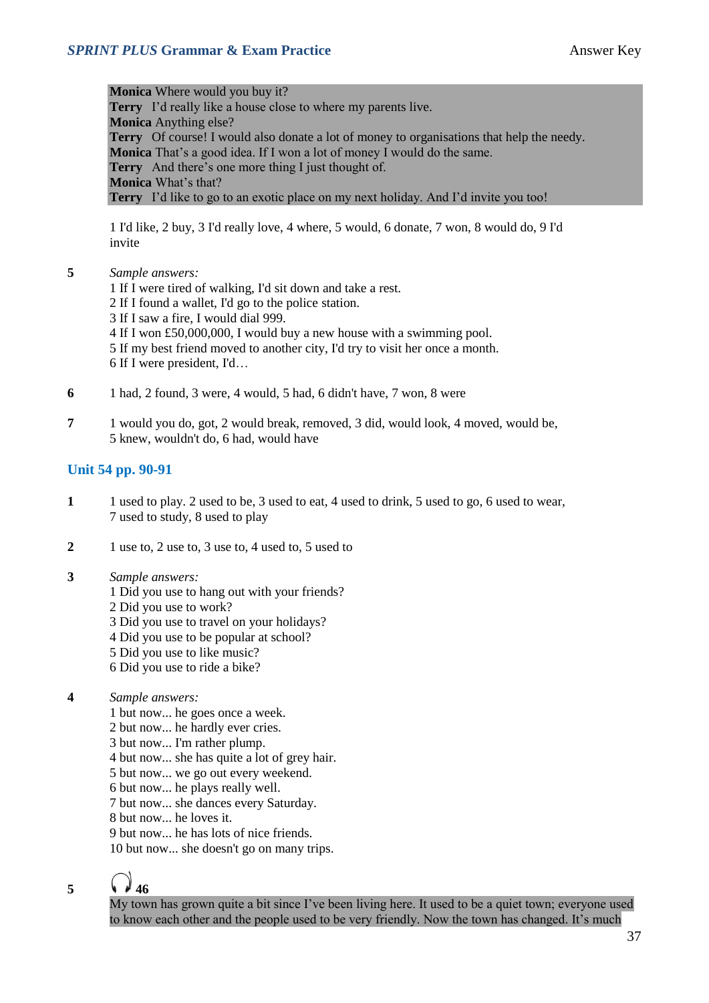**Monica** Where would you buy it? **Terry** I'd really like a house close to where my parents live. **Monica** Anything else? **Terry** Of course! I would also donate a lot of money to organisations that help the needy. **Monica** That's a good idea. If I won a lot of money I would do the same. **Terry** And there's one more thing I just thought of. **Monica** What's that? **Terry** I'd like to go to an exotic place on my next holiday. And I'd invite you too!

1 I'd like, 2 buy, 3 I'd really love, 4 where, 5 would, 6 donate, 7 won, 8 would do, 9 I'd invite

**5** *Sample answers:*

1 If I were tired of walking, I'd sit down and take a rest. 2 If I found a wallet, I'd go to the police station. 3 If I saw a fire, I would dial 999. 4 If I won £50,000,000, I would buy a new house with a swimming pool. 5 If my best friend moved to another city, I'd try to visit her once a month. 6 If I were president, I'd…

- **6** 1 had, 2 found, 3 were, 4 would, 5 had, 6 didn't have, 7 won, 8 were
- **7** 1 would you do, got, 2 would break, removed, 3 did, would look, 4 moved, would be, 5 knew, wouldn't do, 6 had, would have

#### **Unit 54 pp. 90-91**

- **1** 1 used to play. 2 used to be, 3 used to eat, 4 used to drink, 5 used to go, 6 used to wear, 7 used to study, 8 used to play
- **2** 1 use to, 2 use to, 3 use to, 4 used to, 5 used to
- **3** *Sample answers:*
	- 1 Did you use to hang out with your friends?
	- 2 Did you use to work?
	- 3 Did you use to travel on your holidays?
	- 4 Did you use to be popular at school?
	- 5 Did you use to like music?
	- 6 Did you use to ride a bike?
- **4** *Sample answers:*
	- 1 but now... he goes once a week.
	- 2 but now... he hardly ever cries.
	- 3 but now... I'm rather plump.
	- 4 but now... she has quite a lot of grey hair.
	- 5 but now... we go out every weekend.
	- 6 but now... he plays really well.
	- 7 but now... she dances every Saturday.
	- 8 but now... he loves it.
	- 9 but now he has lots of nice friends.

10 but now... she doesn't go on many trips.

5  $\sqrt{46}$ 

My town has grown quite a bit since I've been living here. It used to be a quiet town; everyone used to know each other and the people used to be very friendly. Now the town has changed. It's much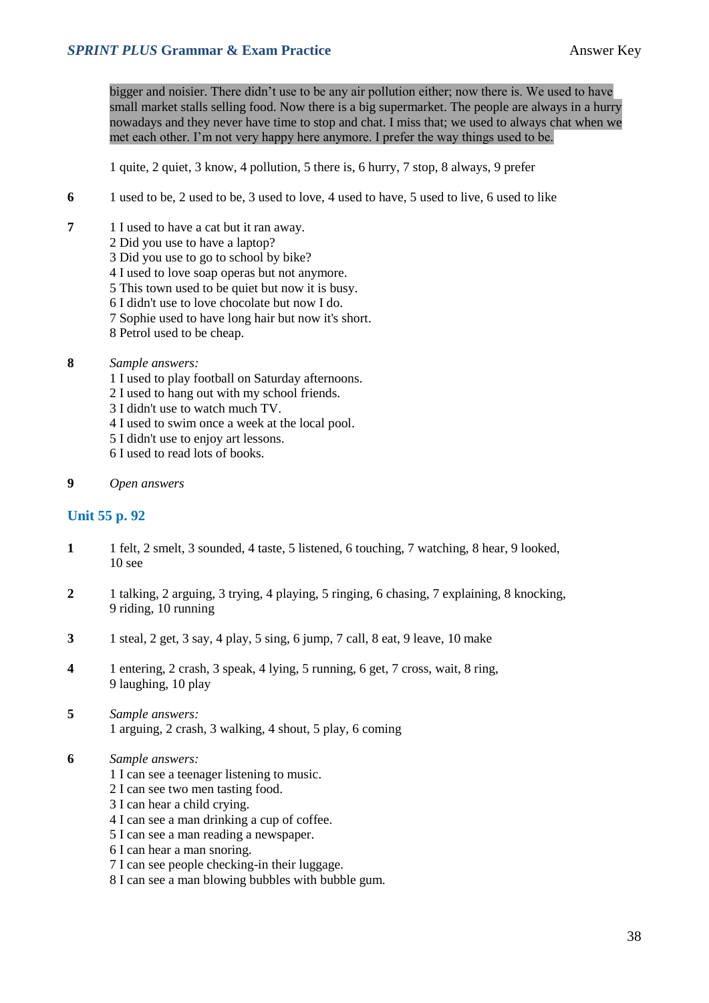bigger and noisier. There didn't use to be any air pollution either; now there is. We used to have small market stalls selling food. Now there is a big supermarket. The people are always in a hurry nowadays and they never have time to stop and chat. I miss that; we used to always chat when we met each other. I'm not very happy here anymore. I prefer the way things used to be.

1 quite, 2 quiet, 3 know, 4 pollution, 5 there is, 6 hurry, 7 stop, 8 always, 9 prefer

- **6** 1 used to be, 2 used to be, 3 used to love, 4 used to have, 5 used to live, 6 used to like
- **7** 1 I used to have a cat but it ran away.
	- 2 Did you use to have a laptop?
	- 3 Did you use to go to school by bike?
	- 4 I used to love soap operas but not anymore.
	- 5 This town used to be quiet but now it is busy.
	- 6 I didn't use to love chocolate but now I do.
	- 7 Sophie used to have long hair but now it's short.
	- 8 Petrol used to be cheap.
- **8** *Sample answers:*
	- 1 I used to play football on Saturday afternoons.
	- 2 I used to hang out with my school friends.
	- 3 I didn't use to watch much TV.
	- 4 I used to swim once a week at the local pool.
	- 5 I didn't use to enjoy art lessons.
	- 6 I used to read lots of books.
- **9** *Open answers*

#### **Unit 55 p. 92**

- **1** 1 felt, 2 smelt, 3 sounded, 4 taste, 5 listened, 6 touching, 7 watching, 8 hear, 9 looked, 10 see
- **2** 1 talking, 2 arguing, 3 trying, 4 playing, 5 ringing, 6 chasing, 7 explaining, 8 knocking, 9 riding, 10 running
- **3** 1 steal, 2 get, 3 say, 4 play, 5 sing, 6 jump, 7 call, 8 eat, 9 leave, 10 make
- **4** 1 entering, 2 crash, 3 speak, 4 lying, 5 running, 6 get, 7 cross, wait, 8 ring, 9 laughing, 10 play
- **5** *Sample answers:* 1 arguing, 2 crash, 3 walking, 4 shout, 5 play, 6 coming
- **6** *Sample answers:*
	- 1 I can see a teenager listening to music.
	- 2 I can see two men tasting food.
	- 3 I can hear a child crying.
	- 4 I can see a man drinking a cup of coffee.
	- 5 I can see a man reading a newspaper.
	- 6 I can hear a man snoring.
	- 7 I can see people checking-in their luggage.
	- 8 I can see a man blowing bubbles with bubble gum.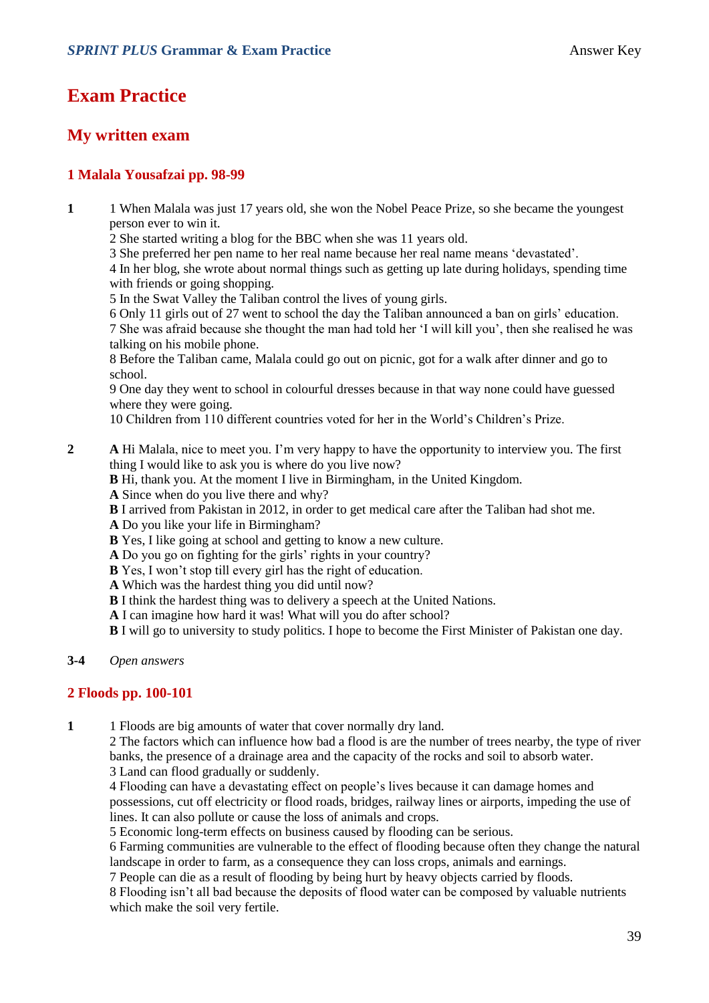### **Exam Practice**

### **My written exam**

#### **1 Malala Yousafzai pp. 98-99**

- **1** 1 When Malala was just 17 years old, she won the Nobel Peace Prize, so she became the youngest person ever to win it.
	- 2 She started writing a blog for the BBC when she was 11 years old.
	- 3 She preferred her pen name to her real name because her real name means 'devastated'.

4 In her blog, she wrote about normal things such as getting up late during holidays, spending time with friends or going shopping.

5 In the Swat Valley the Taliban control the lives of young girls.

6 Only 11 girls out of 27 went to school the day the Taliban announced a ban on girls' education. 7 She was afraid because she thought the man had told her 'I will kill you', then she realised he was talking on his mobile phone.

8 Before the Taliban came, Malala could go out on picnic, got for a walk after dinner and go to school.

9 One day they went to school in colourful dresses because in that way none could have guessed where they were going.

10 Children from 110 different countries voted for her in the World's Children's Prize.

- **2 A** Hi Malala, nice to meet you. I'm very happy to have the opportunity to interview you. The first thing I would like to ask you is where do you live now?
	- **B** Hi, thank you. At the moment I live in Birmingham, in the United Kingdom.
	- **A** Since when do you live there and why?
	- **B** I arrived from Pakistan in 2012, in order to get medical care after the Taliban had shot me.
	- **A** Do you like your life in Birmingham?
	- **B** Yes, I like going at school and getting to know a new culture.
	- **A** Do you go on fighting for the girls' rights in your country?
	- **B** Yes, I won't stop till every girl has the right of education.
	- **A** Which was the hardest thing you did until now?
	- **B** I think the hardest thing was to delivery a speech at the United Nations.
	- **A** I can imagine how hard it was! What will you do after school?
	- **B** I will go to university to study politics. I hope to become the First Minister of Pakistan one day.

#### **3-4** *Open answers*

#### **2 Floods pp. 100-101**

**1** 1 Floods are big amounts of water that cover normally dry land.

2 The factors which can influence how bad a flood is are the number of trees nearby, the type of river banks, the presence of a drainage area and the capacity of the rocks and soil to absorb water. 3 Land can flood gradually or suddenly.

4 Flooding can have a devastating effect on people's lives because it can damage homes and possessions, cut off electricity or flood roads, bridges, railway lines or airports, impeding the use of lines. It can also pollute or cause the loss of animals and crops.

5 Economic long-term effects on business caused by flooding can be serious.

6 Farming communities are vulnerable to the effect of flooding because often they change the natural landscape in order to farm, as a consequence they can loss crops, animals and earnings.

7 People can die as a result of flooding by being hurt by heavy objects carried by floods.

8 Flooding isn't all bad because the deposits of flood water can be composed by valuable nutrients which make the soil very fertile.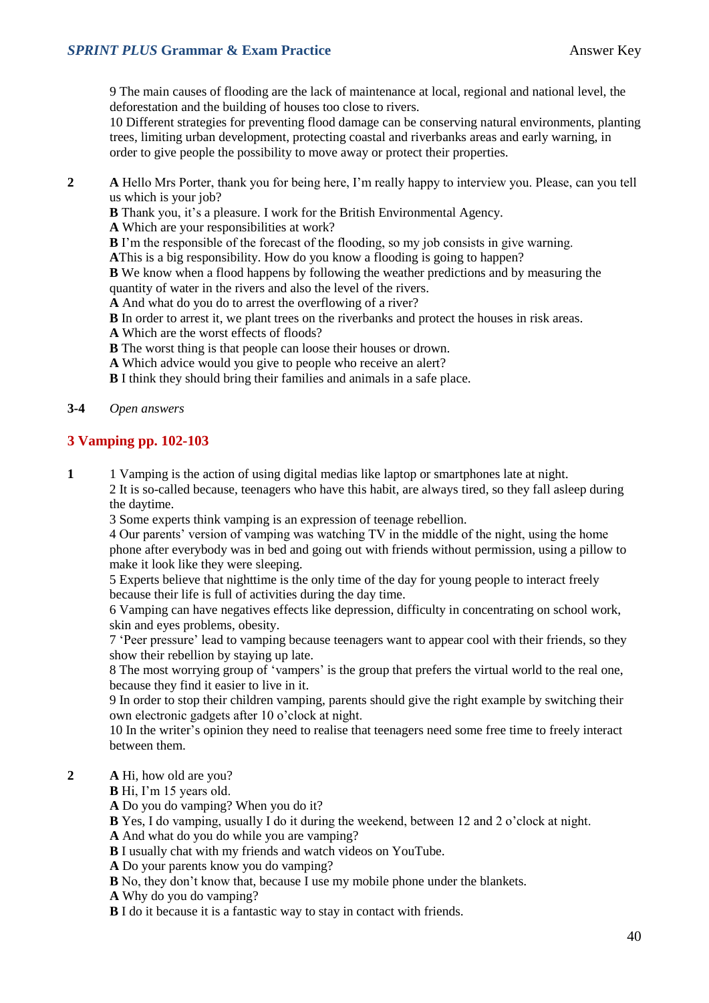9 The main causes of flooding are the lack of maintenance at local, regional and national level, the deforestation and the building of houses too close to rivers.

10 Different strategies for preventing flood damage can be conserving natural environments, planting trees, limiting urban development, protecting coastal and riverbanks areas and early warning, in order to give people the possibility to move away or protect their properties.

**2 A** Hello Mrs Porter, thank you for being here, I'm really happy to interview you. Please, can you tell us which is your job?

**B** Thank you, it's a pleasure. I work for the British Environmental Agency.

**A** Which are your responsibilities at work?

**B** I'm the responsible of the forecast of the flooding, so my job consists in give warning.

**A**This is a big responsibility. How do you know a flooding is going to happen?

**B** We know when a flood happens by following the weather predictions and by measuring the quantity of water in the rivers and also the level of the rivers.

**A** And what do you do to arrest the overflowing of a river?

**B** In order to arrest it, we plant trees on the riverbanks and protect the houses in risk areas.

**A** Which are the worst effects of floods?

**B** The worst thing is that people can loose their houses or drown.

**A** Which advice would you give to people who receive an alert?

**B** I think they should bring their families and animals in a safe place.

#### **3-4** *Open answers*

#### **3 Vamping pp. 102-103**

**1** 1 Vamping is the action of using digital medias like laptop or smartphones late at night.

2 It is so-called because, teenagers who have this habit, are always tired, so they fall asleep during the daytime.

3 Some experts think vamping is an expression of teenage rebellion.

4 Our parents' version of vamping was watching TV in the middle of the night, using the home phone after everybody was in bed and going out with friends without permission, using a pillow to make it look like they were sleeping.

5 Experts believe that nighttime is the only time of the day for young people to interact freely because their life is full of activities during the day time.

6 Vamping can have negatives effects like depression, difficulty in concentrating on school work, skin and eyes problems, obesity.

7 'Peer pressure' lead to vamping because teenagers want to appear cool with their friends, so they show their rebellion by staying up late.

8 The most worrying group of 'vampers' is the group that prefers the virtual world to the real one, because they find it easier to live in it.

9 In order to stop their children vamping, parents should give the right example by switching their own electronic gadgets after 10 o'clock at night.

10 In the writer's opinion they need to realise that teenagers need some free time to freely interact between them.

**2 A** Hi, how old are you?

**B** Hi, I'm 15 years old.

**A** Do you do vamping? When you do it?

**B** Yes, I do vamping, usually I do it during the weekend, between 12 and 2 o'clock at night.

**A** And what do you do while you are vamping?

**B** I usually chat with my friends and watch videos on YouTube.

**A** Do your parents know you do vamping?

**B** No, they don't know that, because I use my mobile phone under the blankets.

**A** Why do you do vamping?

**B** I do it because it is a fantastic way to stay in contact with friends.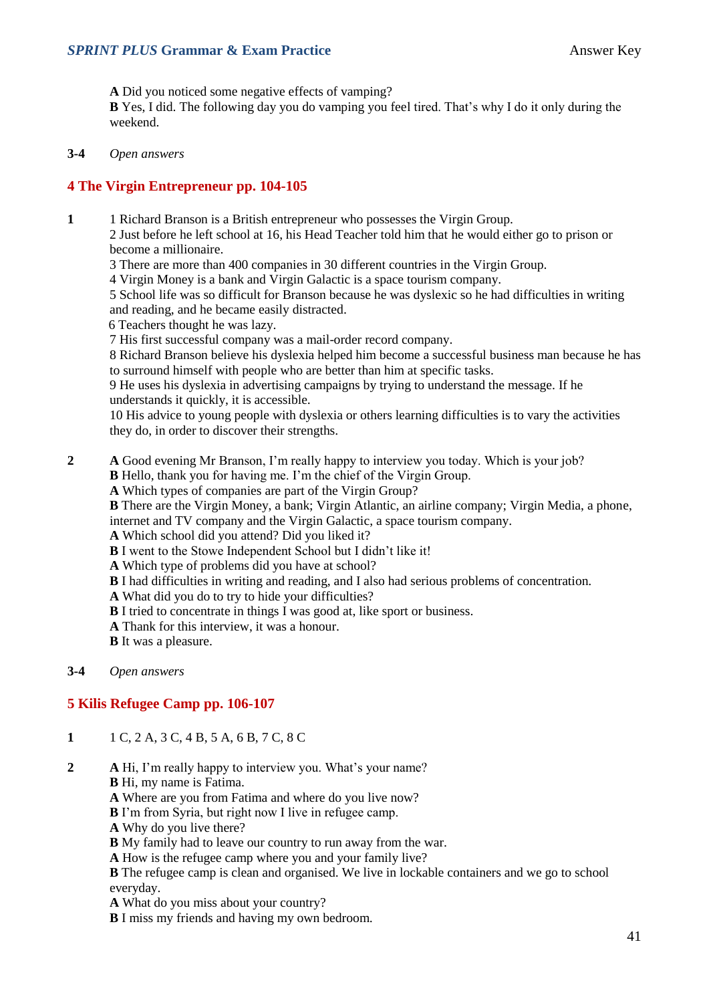**A** Did you noticed some negative effects of vamping? **B** Yes, I did. The following day you do vamping you feel tired. That's why I do it only during the weekend.

**3-4** *Open answers*

#### **4 The Virgin Entrepreneur pp. 104-105**

**1** 1 Richard Branson is a British entrepreneur who possesses the Virgin Group.

2 Just before he left school at 16, his Head Teacher told him that he would either go to prison or become a millionaire.

- 3 There are more than 400 companies in 30 different countries in the Virgin Group.
- 4 Virgin Money is a bank and Virgin Galactic is a space tourism company.
- 5 School life was so difficult for Branson because he was dyslexic so he had difficulties in writing and reading, and he became easily distracted.
- 6 Teachers thought he was lazy.
- 7 His first successful company was a mail-order record company.

8 Richard Branson believe his dyslexia helped him become a successful business man because he has to surround himself with people who are better than him at specific tasks.

9 He uses his dyslexia in advertising campaigns by trying to understand the message. If he understands it quickly, it is accessible.

10 His advice to young people with dyslexia or others learning difficulties is to vary the activities they do, in order to discover their strengths.

- **2 A** Good evening Mr Branson, I'm really happy to interview you today. Which is your job? **B** Hello, thank you for having me. I'm the chief of the Virgin Group.
	- **A** Which types of companies are part of the Virgin Group?

**B** There are the Virgin Money, a bank; Virgin Atlantic, an airline company; Virgin Media, a phone, internet and TV company and the Virgin Galactic, a space tourism company.

- **A** Which school did you attend? Did you liked it?
- **B** I went to the Stowe Independent School but I didn't like it!
- **A** Which type of problems did you have at school?
- **B** I had difficulties in writing and reading, and I also had serious problems of concentration.
- **A** What did you do to try to hide your difficulties?
- **B** I tried to concentrate in things I was good at, like sport or business.
- **A** Thank for this interview, it was a honour.
- **B** It was a pleasure.

#### **3-4** *Open answers*

#### **5 Kilis Refugee Camp pp. 106-107**

- **1** 1 C, 2 A, 3 C, 4 B, 5 A, 6 B, 7 C, 8 C
- **2 A** Hi, I'm really happy to interview you. What's your name?
	- **B** Hi, my name is Fatima.
	- **A** Where are you from Fatima and where do you live now?
	- **B** I'm from Syria, but right now I live in refugee camp.
	- **A** Why do you live there?
	- **B** My family had to leave our country to run away from the war.
	- **A** How is the refugee camp where you and your family live?

**B** The refugee camp is clean and organised. We live in lockable containers and we go to school everyday.

- **A** What do you miss about your country?
- **B** I miss my friends and having my own bedroom.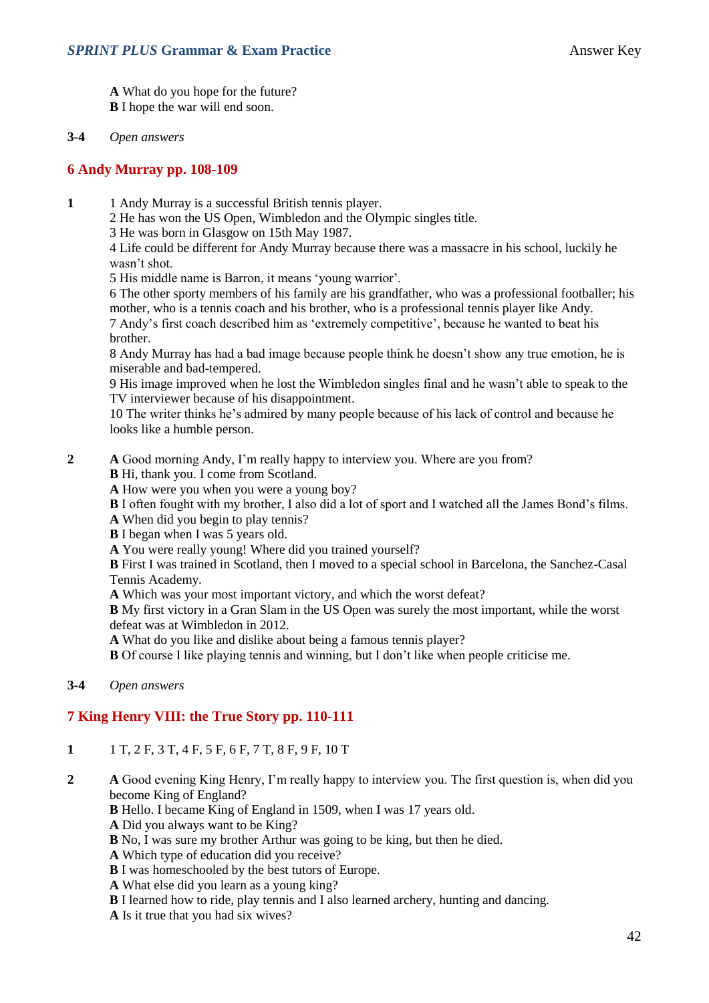**A** What do you hope for the future? **B** I hope the war will end soon.

#### **3-4** *Open answers*

#### **6 Andy Murray pp. 108-109**

- **1** 1 Andy Murray is a successful British tennis player.
	- 2 He has won the US Open, Wimbledon and the Olympic singles title.
	- 3 He was born in Glasgow on 15th May 1987.

4 Life could be different for Andy Murray because there was a massacre in his school, luckily he wasn't shot.

5 His middle name is Barron, it means 'young warrior'.

6 The other sporty members of his family are his grandfather, who was a professional footballer; his mother, who is a tennis coach and his brother, who is a professional tennis player like Andy.

7 Andy's first coach described him as 'extremely competitive', because he wanted to beat his brother.

8 Andy Murray has had a bad image because people think he doesn't show any true emotion, he is miserable and bad-tempered.

9 His image improved when he lost the Wimbledon singles final and he wasn't able to speak to the TV interviewer because of his disappointment.

10 The writer thinks he's admired by many people because of his lack of control and because he looks like a humble person.

- **2 A** Good morning Andy, I'm really happy to interview you. Where are you from?
	- **B** Hi, thank you. I come from Scotland.

**A** How were you when you were a young boy?

**B** I often fought with my brother, I also did a lot of sport and I watched all the James Bond's films.

**A** When did you begin to play tennis?

**B** I began when I was 5 years old.

**A** You were really young! Where did you trained yourself?

**B** First I was trained in Scotland, then I moved to a special school in Barcelona, the Sanchez-Casal Tennis Academy.

**A** Which was your most important victory, and which the worst defeat?

**B** My first victory in a Gran Slam in the US Open was surely the most important, while the worst defeat was at Wimbledon in 2012.

**A** What do you like and dislike about being a famous tennis player?

**B** Of course I like playing tennis and winning, but I don't like when people criticise me.

#### **3-4** *Open answers*

#### **7 King Henry VIII: the True Story pp. 110-111**

- **1** 1 T, 2 F, 3 T, 4 F, 5 F, 6 F, 7 T, 8 F, 9 F, 10 T
- **2 A** Good evening King Henry, I'm really happy to interview you. The first question is, when did you become King of England?

**B** Hello. I became King of England in 1509, when I was 17 years old.

- **A** Did you always want to be King?
- **B** No, I was sure my brother Arthur was going to be king, but then he died.
- **A** Which type of education did you receive?
- **B** I was homeschooled by the best tutors of Europe.
- **A** What else did you learn as a young king?
- **B** I learned how to ride, play tennis and I also learned archery, hunting and dancing.
- **A** Is it true that you had six wives?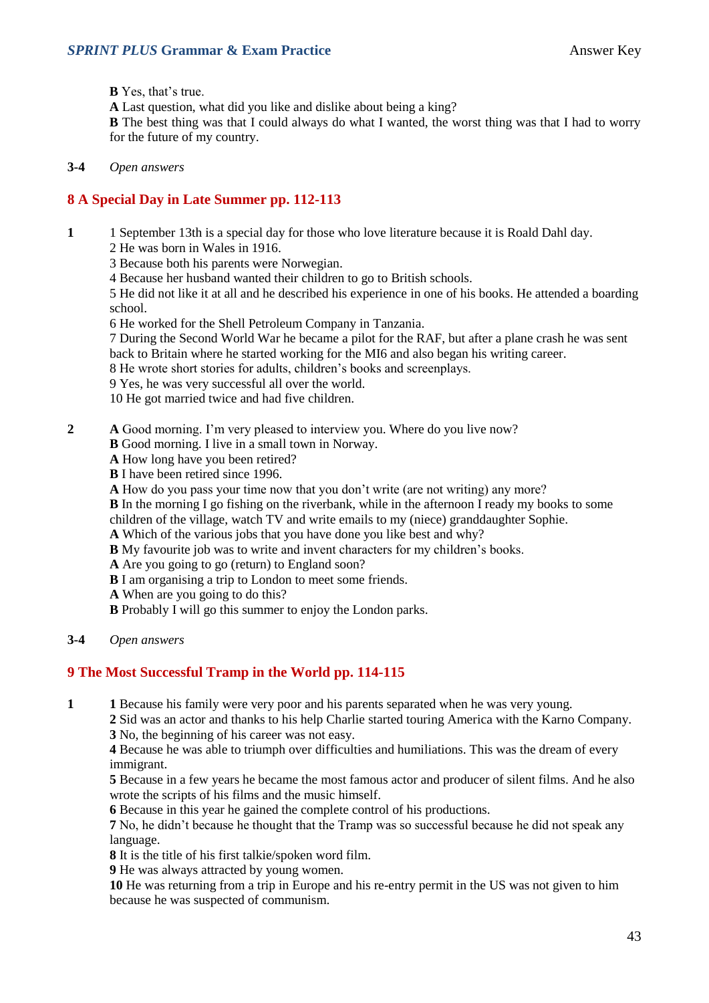**B** Yes, that's true.

**A** Last question, what did you like and dislike about being a king?

**B** The best thing was that I could always do what I wanted, the worst thing was that I had to worry for the future of my country.

**3-4** *Open answers*

#### **8 A Special Day in Late Summer pp. 112-113**

- **1** 1 September 13th is a special day for those who love literature because it is Roald Dahl day.
	- 2 He was born in Wales in 1916.
	- 3 Because both his parents were Norwegian.
	- 4 Because her husband wanted their children to go to British schools.

5 He did not like it at all and he described his experience in one of his books. He attended a boarding school.

6 He worked for the Shell Petroleum Company in Tanzania.

7 During the Second World War he became a pilot for the RAF, but after a plane crash he was sent back to Britain where he started working for the MI6 and also began his writing career.

8 He wrote short stories for adults, children's books and screenplays.

9 Yes, he was very successful all over the world.

10 He got married twice and had five children.

- **2 A** Good morning. I'm very pleased to interview you. Where do you live now?
	- **B** Good morning. I live in a small town in Norway.
	- **A** How long have you been retired?
	- **B** I have been retired since 1996.
	- **A** How do you pass your time now that you don't write (are not writing) any more?

**B** In the morning I go fishing on the riverbank, while in the afternoon I ready my books to some

children of the village, watch TV and write emails to my (niece) granddaughter Sophie.

**A** Which of the various jobs that you have done you like best and why?

**B** My favourite job was to write and invent characters for my children's books.

**A** Are you going to go (return) to England soon?

- **B** I am organising a trip to London to meet some friends.
- **A** When are you going to do this?
- **B** Probably I will go this summer to enjoy the London parks.
- **3-4** *Open answers*

#### **9 The Most Successful Tramp in the World pp. 114-115**

**1 1** Because his family were very poor and his parents separated when he was very young.

**2** Sid was an actor and thanks to his help Charlie started touring America with the Karno Company. **3** No, the beginning of his career was not easy.

**4** Because he was able to triumph over difficulties and humiliations. This was the dream of every immigrant.

**5** Because in a few years he became the most famous actor and producer of silent films. And he also wrote the scripts of his films and the music himself.

**6** Because in this year he gained the complete control of his productions.

**7** No, he didn't because he thought that the Tramp was so successful because he did not speak any language.

**8** It is the title of his first talkie/spoken word film.

**9** He was always attracted by young women.

**10** He was returning from a trip in Europe and his re-entry permit in the US was not given to him because he was suspected of communism.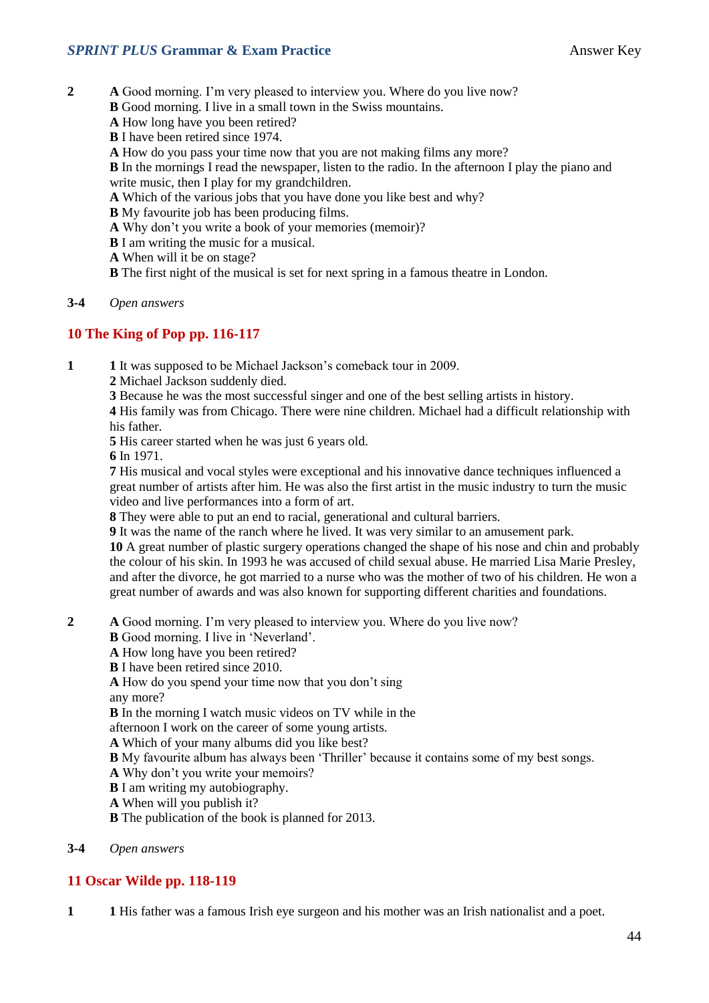- **2 A** Good morning. I'm very pleased to interview you. Where do you live now?
	- **B** Good morning. I live in a small town in the Swiss mountains.
	- **A** How long have you been retired?
	- **B** I have been retired since 1974.
	- **A** How do you pass your time now that you are not making films any more?

**B** In the mornings I read the newspaper, listen to the radio. In the afternoon I play the piano and write music, then I play for my grandchildren.

- **A** Which of the various jobs that you have done you like best and why?
- **B** My favourite job has been producing films.
- **A** Why don't you write a book of your memories (memoir)?
- **B** I am writing the music for a musical.
- **A** When will it be on stage?
- **B** The first night of the musical is set for next spring in a famous theatre in London.

#### **3-4** *Open answers*

#### **10 The King of Pop pp. 116-117**

- **1 1** It was supposed to be Michael Jackson's comeback tour in 2009.
	- **2** Michael Jackson suddenly died.
	- **3** Because he was the most successful singer and one of the best selling artists in history.

**4** His family was from Chicago. There were nine children. Michael had a difficult relationship with his father.

**5** His career started when he was just 6 years old.

**6** In 1971.

**7** His musical and vocal styles were exceptional and his innovative dance techniques influenced a great number of artists after him. He was also the first artist in the music industry to turn the music video and live performances into a form of art.

**8** They were able to put an end to racial, generational and cultural barriers.

**9** It was the name of the ranch where he lived. It was very similar to an amusement park.

**10** A great number of plastic surgery operations changed the shape of his nose and chin and probably the colour of his skin. In 1993 he was accused of child sexual abuse. He married Lisa Marie Presley, and after the divorce, he got married to a nurse who was the mother of two of his children. He won a great number of awards and was also known for supporting different charities and foundations.

- **2 A** Good morning. I'm very pleased to interview you. Where do you live now?
	- **B** Good morning. I live in 'Neverland'.
	- **A** How long have you been retired?
	- **B** I have been retired since 2010.

**A** How do you spend your time now that you don't sing

any more?

**B** In the morning I watch music videos on TV while in the

- afternoon I work on the career of some young artists.
- **A** Which of your many albums did you like best?
- **B** My favourite album has always been 'Thriller' because it contains some of my best songs.
- **A** Why don't you write your memoirs?
- **B** I am writing my autobiography.
- **A** When will you publish it?
- **B** The publication of the book is planned for 2013.
- **3-4** *Open answers*

#### **11 Oscar Wilde pp. 118-119**

**1 1** His father was a famous Irish eye surgeon and his mother was an Irish nationalist and a poet.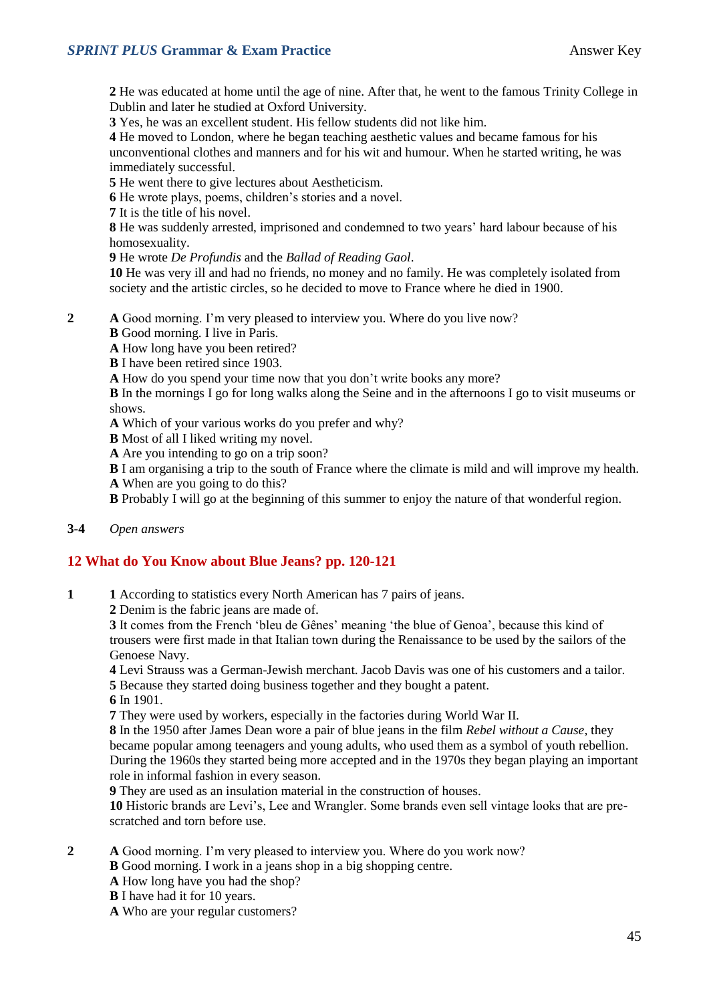**2** He was educated at home until the age of nine. After that, he went to the famous Trinity College in Dublin and later he studied at Oxford University.

**3** Yes, he was an excellent student. His fellow students did not like him.

**4** He moved to London, where he began teaching aesthetic values and became famous for his unconventional clothes and manners and for his wit and humour. When he started writing, he was immediately successful.

**5** He went there to give lectures about Aestheticism.

**6** He wrote plays, poems, children's stories and a novel.

**7** It is the title of his novel.

**8** He was suddenly arrested, imprisoned and condemned to two years' hard labour because of his homosexuality.

**9** He wrote *De Profundis* and the *Ballad of Reading Gaol*.

**10** He was very ill and had no friends, no money and no family. He was completely isolated from society and the artistic circles, so he decided to move to France where he died in 1900.

**2 A** Good morning. I'm very pleased to interview you. Where do you live now?

**B** Good morning. I live in Paris.

**A** How long have you been retired?

**B** I have been retired since 1903.

**A** How do you spend your time now that you don't write books any more?

**B** In the mornings I go for long walks along the Seine and in the afternoons I go to visit museums or shows.

**A** Which of your various works do you prefer and why?

**B** Most of all I liked writing my novel.

**A** Are you intending to go on a trip soon?

**B** I am organising a trip to the south of France where the climate is mild and will improve my health.

**A** When are you going to do this?

**B** Probably I will go at the beginning of this summer to enjoy the nature of that wonderful region.

#### **3-4** *Open answers*

#### **12 What do You Know about Blue Jeans? pp. 120-121**

**1 1** According to statistics every North American has 7 pairs of jeans.

**2** Denim is the fabric jeans are made of.

**3** It comes from the French 'bleu de Gênes' meaning 'the blue of Genoa', because this kind of trousers were first made in that Italian town during the Renaissance to be used by the sailors of the Genoese Navy.

**4** Levi Strauss was a German-Jewish merchant. Jacob Davis was one of his customers and a tailor. **5** Because they started doing business together and they bought a patent.

**6** In 1901.

**7** They were used by workers, especially in the factories during World War II.

**8** In the 1950 after James Dean wore a pair of blue jeans in the film *Rebel without a Cause*, they became popular among teenagers and young adults, who used them as a symbol of youth rebellion. During the 1960s they started being more accepted and in the 1970s they began playing an important role in informal fashion in every season.

**9** They are used as an insulation material in the construction of houses.

**10** Historic brands are Levi's, Lee and Wrangler. Some brands even sell vintage looks that are prescratched and torn before use.

- **2 A** Good morning. I'm very pleased to interview you. Where do you work now?
	- **B** Good morning. I work in a jeans shop in a big shopping centre.
	- **A** How long have you had the shop?
	- **B** I have had it for 10 years.
	- **A** Who are your regular customers?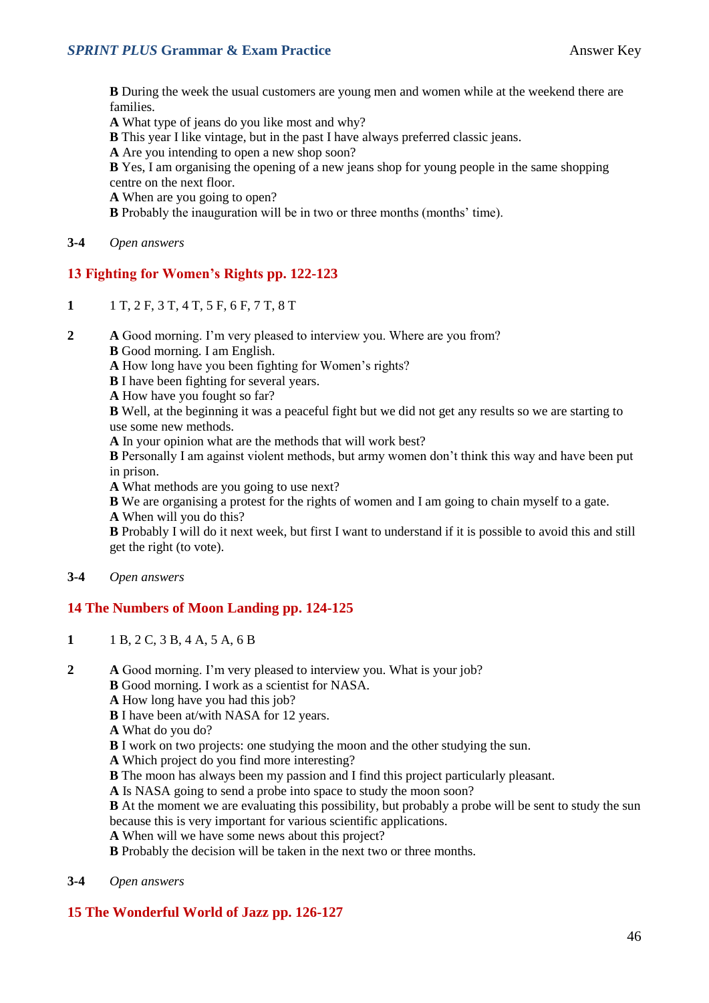**B** During the week the usual customers are young men and women while at the weekend there are families.

**A** What type of jeans do you like most and why?

**B** This year I like vintage, but in the past I have always preferred classic jeans.

**A** Are you intending to open a new shop soon?

**B** Yes, I am organising the opening of a new jeans shop for young people in the same shopping centre on the next floor.

**A** When are you going to open?

**B** Probably the inauguration will be in two or three months (months' time).

**3-4** *Open answers*

#### **13 Fighting for Women's Rights pp. 122-123**

- **1** 1 T, 2 F, 3 T, 4 T, 5 F, 6 F, 7 T, 8 T
- **2 A** Good morning. I'm very pleased to interview you. Where are you from?
	- **B** Good morning. I am English.

**A** How long have you been fighting for Women's rights?

**B** I have been fighting for several years.

**A** How have you fought so far?

**B** Well, at the beginning it was a peaceful fight but we did not get any results so we are starting to use some new methods.

**A** In your opinion what are the methods that will work best?

**B** Personally I am against violent methods, but army women don't think this way and have been put in prison.

**A** What methods are you going to use next?

**B** We are organising a protest for the rights of women and I am going to chain myself to a gate.

**A** When will you do this?

**B** Probably I will do it next week, but first I want to understand if it is possible to avoid this and still get the right (to vote).

#### **3-4** *Open answers*

#### **14 The Numbers of Moon Landing pp. 124-125**

- **1** 1 B, 2 C, 3 B, 4 A, 5 A, 6 B
- **2 A** Good morning. I'm very pleased to interview you. What is your job?

**B** Good morning. I work as a scientist for NASA.

- **A** How long have you had this job?
- **B** I have been at/with NASA for 12 years.
- **A** What do you do?
- **B** I work on two projects: one studying the moon and the other studying the sun.
- **A** Which project do you find more interesting?
- **B** The moon has always been my passion and I find this project particularly pleasant.
- **A** Is NASA going to send a probe into space to study the moon soon?

**B** At the moment we are evaluating this possibility, but probably a probe will be sent to study the sun because this is very important for various scientific applications.

- **A** When will we have some news about this project?
- **B** Probably the decision will be taken in the next two or three months.
- **3-4** *Open answers*

#### **15 The Wonderful World of Jazz pp. 126-127**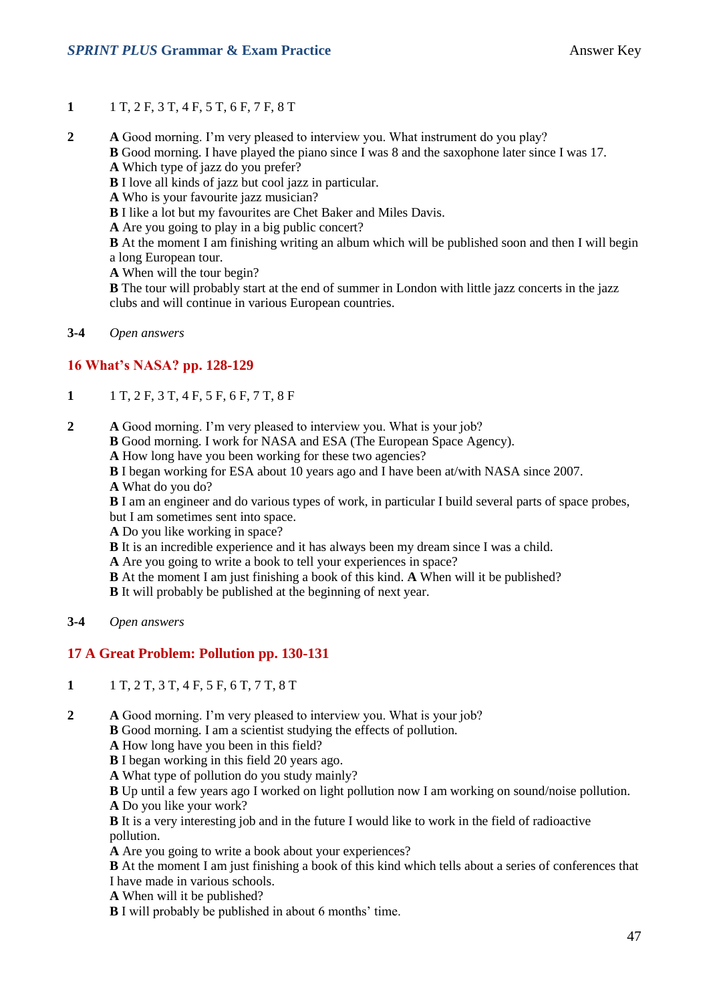- **1** 1 T, 2 F, 3 T, 4 F, 5 T, 6 F, 7 F, 8 T
- **2 A** Good morning. I'm very pleased to interview you. What instrument do you play?

**B** Good morning. I have played the piano since I was 8 and the saxophone later since I was 17. **A** Which type of jazz do you prefer?

- **B** I love all kinds of jazz but cool jazz in particular.
- **A** Who is your favourite jazz musician?
- **B** I like a lot but my favourites are Chet Baker and Miles Davis.
- **A** Are you going to play in a big public concert?

**B** At the moment I am finishing writing an album which will be published soon and then I will begin a long European tour.

**A** When will the tour begin?

**B** The tour will probably start at the end of summer in London with little jazz concerts in the jazz clubs and will continue in various European countries.

**3-4** *Open answers*

#### **16 What's NASA? pp. 128-129**

- **1** 1 T, 2 F, 3 T, 4 F, 5 F, 6 F, 7 T, 8 F
- **2 A** Good morning. I'm very pleased to interview you. What is your job?
	- **B** Good morning. I work for NASA and ESA (The European Space Agency).
	- **A** How long have you been working for these two agencies?
	- **B** I began working for ESA about 10 years ago and I have been at/with NASA since 2007.
	- **A** What do you do?

**B** I am an engineer and do various types of work, in particular I build several parts of space probes, but I am sometimes sent into space.

- **A** Do you like working in space?
- **B** It is an incredible experience and it has always been my dream since I was a child.
- **A** Are you going to write a book to tell your experiences in space?
- **B** At the moment I am just finishing a book of this kind. **A** When will it be published?

**B** It will probably be published at the beginning of next year.

**3-4** *Open answers*

#### **17 A Great Problem: Pollution pp. 130-131**

- **1** 1 T, 2 T, 3 T, 4 F, 5 F, 6 T, 7 T, 8 T
- **2 A** Good morning. I'm very pleased to interview you. What is your job?

**B** Good morning. I am a scientist studying the effects of pollution.

- **A** How long have you been in this field?
- **B** I began working in this field 20 years ago.
- **A** What type of pollution do you study mainly?

**B** Up until a few years ago I worked on light pollution now I am working on sound/noise pollution.

**A** Do you like your work?

**B** It is a very interesting job and in the future I would like to work in the field of radioactive pollution.

**A** Are you going to write a book about your experiences?

**B** At the moment I am just finishing a book of this kind which tells about a series of conferences that I have made in various schools.

**A** When will it be published?

**B** I will probably be published in about 6 months' time.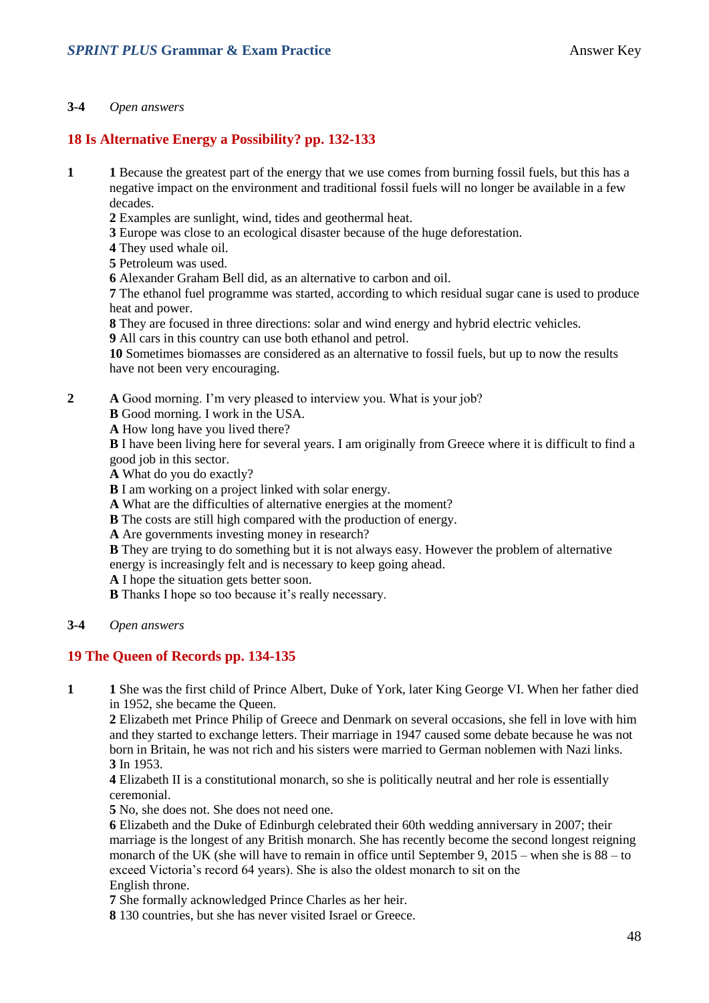#### **3-4** *Open answers*

#### **18 Is Alternative Energy a Possibility? pp. 132-133**

- **1 1** Because the greatest part of the energy that we use comes from burning fossil fuels, but this has a negative impact on the environment and traditional fossil fuels will no longer be available in a few decades.
	- **2** Examples are sunlight, wind, tides and geothermal heat.
	- **3** Europe was close to an ecological disaster because of the huge deforestation.
	- **4** They used whale oil.
	- **5** Petroleum was used.
	- **6** Alexander Graham Bell did, as an alternative to carbon and oil.

**7** The ethanol fuel programme was started, according to which residual sugar cane is used to produce heat and power.

**8** They are focused in three directions: solar and wind energy and hybrid electric vehicles.

**9** All cars in this country can use both ethanol and petrol.

**10** Sometimes biomasses are considered as an alternative to fossil fuels, but up to now the results have not been very encouraging.

**2 A** Good morning. I'm very pleased to interview you. What is your job?

**B** Good morning. I work in the USA.

**A** How long have you lived there?

**B** I have been living here for several years. I am originally from Greece where it is difficult to find a good job in this sector.

**A** What do you do exactly?

**B** I am working on a project linked with solar energy.

**A** What are the difficulties of alternative energies at the moment?

**B** The costs are still high compared with the production of energy.

**A** Are governments investing money in research?

**B** They are trying to do something but it is not always easy. However the problem of alternative energy is increasingly felt and is necessary to keep going ahead.

**A** I hope the situation gets better soon.

**B** Thanks I hope so too because it's really necessary.

**3-4** *Open answers*

#### **19 The Queen of Records pp. 134-135**

**1 1** She was the first child of Prince Albert, Duke of York, later King George VI. When her father died in 1952, she became the Queen.

**2** Elizabeth met Prince Philip of Greece and Denmark on several occasions, she fell in love with him and they started to exchange letters. Their marriage in 1947 caused some debate because he was not born in Britain, he was not rich and his sisters were married to German noblemen with Nazi links. **3** In 1953.

**4** Elizabeth II is a constitutional monarch, so she is politically neutral and her role is essentially ceremonial.

**5** No, she does not. She does not need one.

**6** Elizabeth and the Duke of Edinburgh celebrated their 60th wedding anniversary in 2007; their marriage is the longest of any British monarch. She has recently become the second longest reigning monarch of the UK (she will have to remain in office until September 9, 2015 – when she is 88 – to exceed Victoria's record 64 years). She is also the oldest monarch to sit on the English throne.

**7** She formally acknowledged Prince Charles as her heir.

**8** 130 countries, but she has never visited Israel or Greece.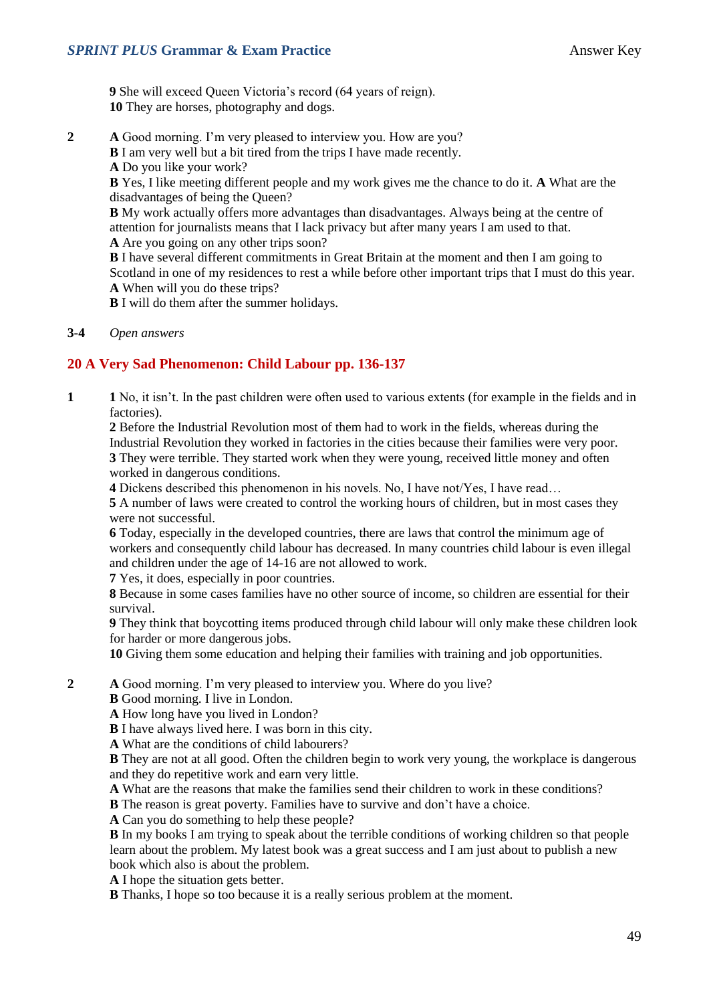**9** She will exceed Queen Victoria's record (64 years of reign). **10** They are horses, photography and dogs.

- **2 A** Good morning. I'm very pleased to interview you. How are you?
	- **B** I am very well but a bit tired from the trips I have made recently. **A** Do you like your work?

**B** Yes, I like meeting different people and my work gives me the chance to do it. **A** What are the disadvantages of being the Queen?

**B** My work actually offers more advantages than disadvantages. Always being at the centre of attention for journalists means that I lack privacy but after many years I am used to that. **A** Are you going on any other trips soon?

**B** I have several different commitments in Great Britain at the moment and then I am going to Scotland in one of my residences to rest a while before other important trips that I must do this year. **A** When will you do these trips?

**B** I will do them after the summer holidays.

**3-4** *Open answers*

#### **20 A Very Sad Phenomenon: Child Labour pp. 136-137**

**1 1** No, it isn't. In the past children were often used to various extents (for example in the fields and in factories).

**2** Before the Industrial Revolution most of them had to work in the fields, whereas during the Industrial Revolution they worked in factories in the cities because their families were very poor. **3** They were terrible. They started work when they were young, received little money and often worked in dangerous conditions.

**4** Dickens described this phenomenon in his novels. No, I have not/Yes, I have read…

**5** A number of laws were created to control the working hours of children, but in most cases they were not successful.

**6** Today, especially in the developed countries, there are laws that control the minimum age of workers and consequently child labour has decreased. In many countries child labour is even illegal and children under the age of 14-16 are not allowed to work.

**7** Yes, it does, especially in poor countries.

**8** Because in some cases families have no other source of income, so children are essential for their survival.

**9** They think that boycotting items produced through child labour will only make these children look for harder or more dangerous jobs.

**10** Giving them some education and helping their families with training and job opportunities.

**2 A** Good morning. I'm very pleased to interview you. Where do you live?

**B** Good morning. I live in London.

**A** How long have you lived in London?

**B** I have always lived here. I was born in this city.

**A** What are the conditions of child labourers?

**B** They are not at all good. Often the children begin to work very young, the workplace is dangerous and they do repetitive work and earn very little.

**A** What are the reasons that make the families send their children to work in these conditions?

**B** The reason is great poverty. Families have to survive and don't have a choice.

**A** Can you do something to help these people?

**B** In my books I am trying to speak about the terrible conditions of working children so that people learn about the problem. My latest book was a great success and I am just about to publish a new book which also is about the problem.

**A** I hope the situation gets better.

**B** Thanks, I hope so too because it is a really serious problem at the moment.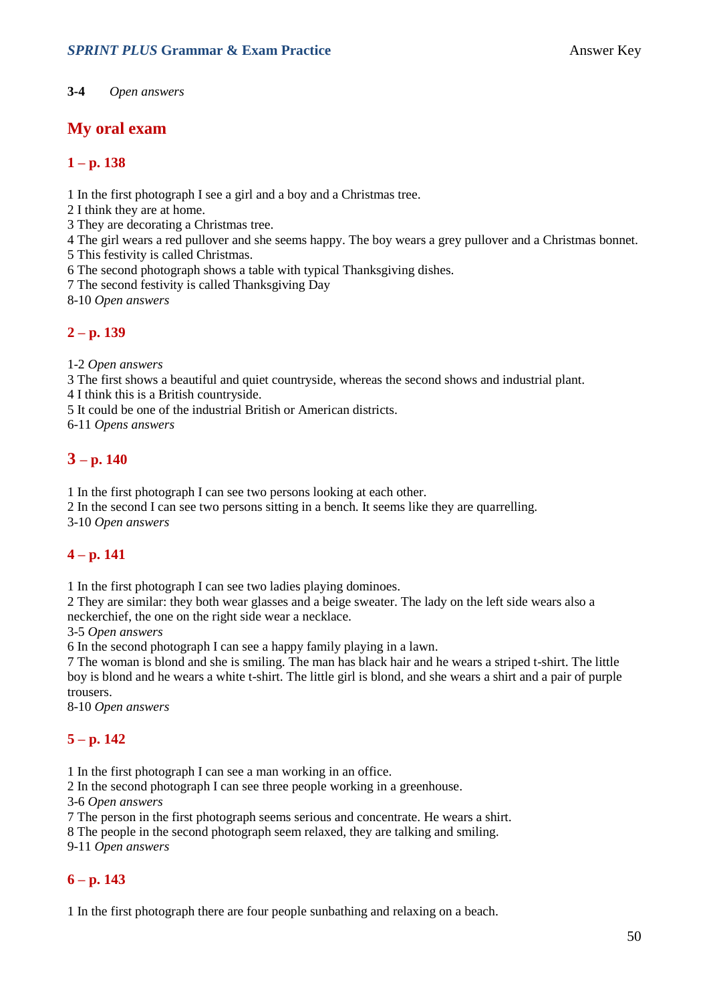**3-4** *Open answers*

### **My oral exam**

#### **1 – p. 138**

1 In the first photograph I see a girl and a boy and a Christmas tree.

2 I think they are at home.

3 They are decorating a Christmas tree.

4 The girl wears a red pullover and she seems happy. The boy wears a grey pullover and a Christmas bonnet.

5 This festivity is called Christmas.

6 The second photograph shows a table with typical Thanksgiving dishes.

7 The second festivity is called Thanksgiving Day

8-10 *Open answers*

#### **2 – p. 139**

1-2 *Open answers*

3 The first shows a beautiful and quiet countryside, whereas the second shows and industrial plant.

4 I think this is a British countryside.

5 It could be one of the industrial British or American districts.

6-11 *Opens answers*

### **3 – p. 140**

1 In the first photograph I can see two persons looking at each other.

2 In the second I can see two persons sitting in a bench. It seems like they are quarrelling.

3-10 *Open answers*

#### **4 – p. 141**

1 In the first photograph I can see two ladies playing dominoes.

2 They are similar: they both wear glasses and a beige sweater. The lady on the left side wears also a neckerchief, the one on the right side wear a necklace.

3-5 *Open answers*

6 In the second photograph I can see a happy family playing in a lawn.

7 The woman is blond and she is smiling. The man has black hair and he wears a striped t-shirt. The little boy is blond and he wears a white t-shirt. The little girl is blond, and she wears a shirt and a pair of purple trousers.

8-10 *Open answers*

### **5 – p. 142**

1 In the first photograph I can see a man working in an office.

2 In the second photograph I can see three people working in a greenhouse.

3-6 *Open answers*

7 The person in the first photograph seems serious and concentrate. He wears a shirt.

8 The people in the second photograph seem relaxed, they are talking and smiling.

9-11 *Open answers*

#### **6 – p. 143**

1 In the first photograph there are four people sunbathing and relaxing on a beach.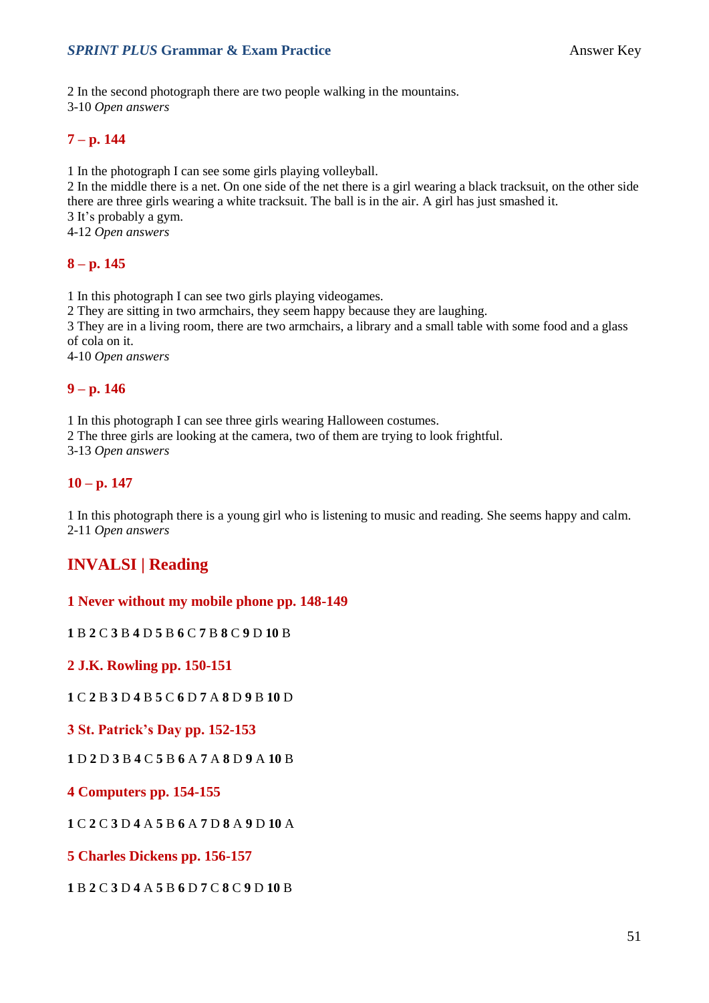#### **SPRINT PLUS Grammar & Exam Practice Answer Key**

2 In the second photograph there are two people walking in the mountains.

3-10 *Open answers*

#### **7 – p. 144**

1 In the photograph I can see some girls playing volleyball.

2 In the middle there is a net. On one side of the net there is a girl wearing a black tracksuit, on the other side there are three girls wearing a white tracksuit. The ball is in the air. A girl has just smashed it. 3 It's probably a gym.

4-12 *Open answers*

#### **8 – p. 145**

1 In this photograph I can see two girls playing videogames.

2 They are sitting in two armchairs, they seem happy because they are laughing.

3 They are in a living room, there are two armchairs, a library and a small table with some food and a glass of cola on it.

4-10 *Open answers*

#### **9 – p. 146**

1 In this photograph I can see three girls wearing Halloween costumes.

2 The three girls are looking at the camera, two of them are trying to look frightful.

3-13 *Open answers*

#### **10 – p. 147**

1 In this photograph there is a young girl who is listening to music and reading. She seems happy and calm. 2-11 *Open answers*

### **INVALSI | Reading**

#### **1 Never without my mobile phone pp. 148-149**

**1** B **2** C **3** B **4** D **5** B **6** C **7** B **8** C **9** D **10** B

**2 J.K. Rowling pp. 150-151**

**1** C **2** B **3** D **4** B **5** C **6** D **7** A **8** D **9** B **10** D

**3 St. Patrick's Day pp. 152-153**

**1** D **2** D **3** B **4** C **5** B **6** A **7** A **8** D **9** A **10** B

**4 Computers pp. 154-155**

**1** C **2** C **3** D **4** A **5** B **6** A **7** D **8** A **9** D **10** A

**5 Charles Dickens pp. 156-157**

**1** B **2** C **3** D **4** A **5** B **6** D **7** C **8** C **9** D **10** B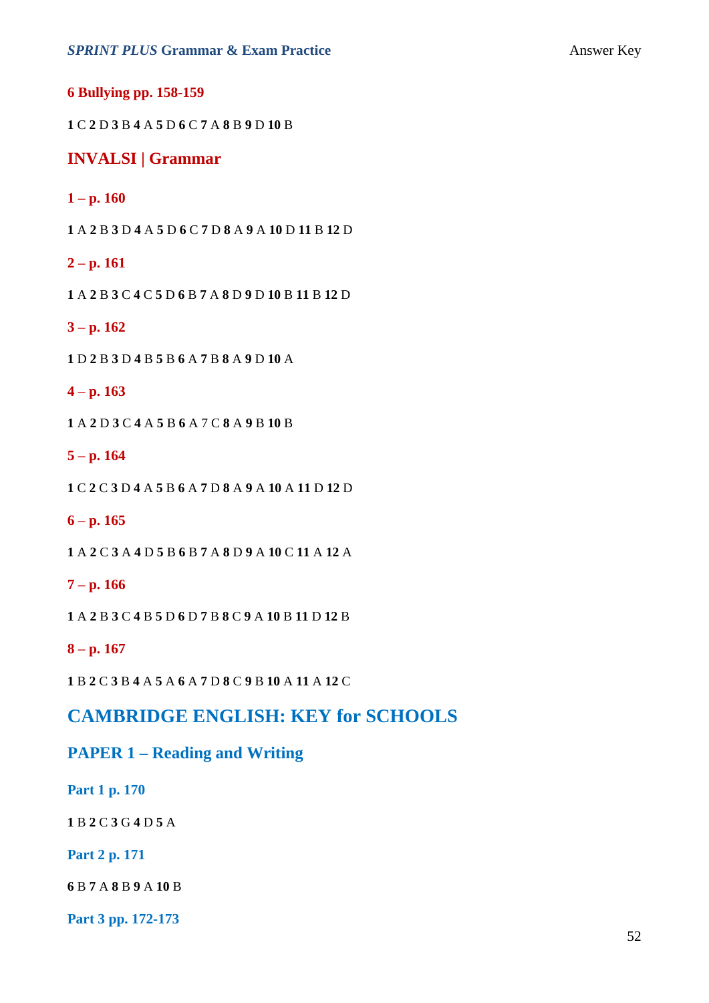**6 Bullying pp. 158-159**

C **2** D **3** B **4** A **5** D **6** C **7** A **8** B **9** D **10** B

#### **INVALSI | Grammar**

#### $1 - p. 160$

A **2** B **3** D **4** A **5** D **6** C **7** D **8** A **9** A **10** D **11** B **12** D

#### **– p. 161**

A **2** B **3** C **4** C **5** D **6** B **7** A **8** D **9** D **10** B **11** B **12** D

#### **– p. 162**

D **2** B **3** D **4** B **5** B **6** A **7** B **8** A **9** D **10** A

#### **– p. 163**

A **2** D **3** C **4** A **5** B **6** A 7 C **8** A **9** B **10** B

#### **– p. 164**

C **2** C **3** D **4** A **5** B **6** A **7** D **8** A **9** A **10** A **11** D **12** D

#### **– p. 165**

A **2** C **3** A **4** D **5** B **6** B **7** A **8** D **9** A **10** C **11** A **12** A

#### **– p. 166**

A **2** B **3** C **4** B **5** D **6** D **7** B **8** C **9** A **10** B **11** D **12** B

#### **– p. 167**

B **2** C **3** B **4** A **5** A **6** A **7** D **8** C **9** B **10** A **11** A **12** C

### **CAMBRIDGE ENGLISH: KEY for SCHOOLS**

### **PAPER 1 – Reading and Writing**

**Part 1 p. 170**

B **2** C **3** G **4** D **5** A

**Part 2 p. 171**

B **7** A **8** B **9** A **10** B

**Part 3 pp. 172-173**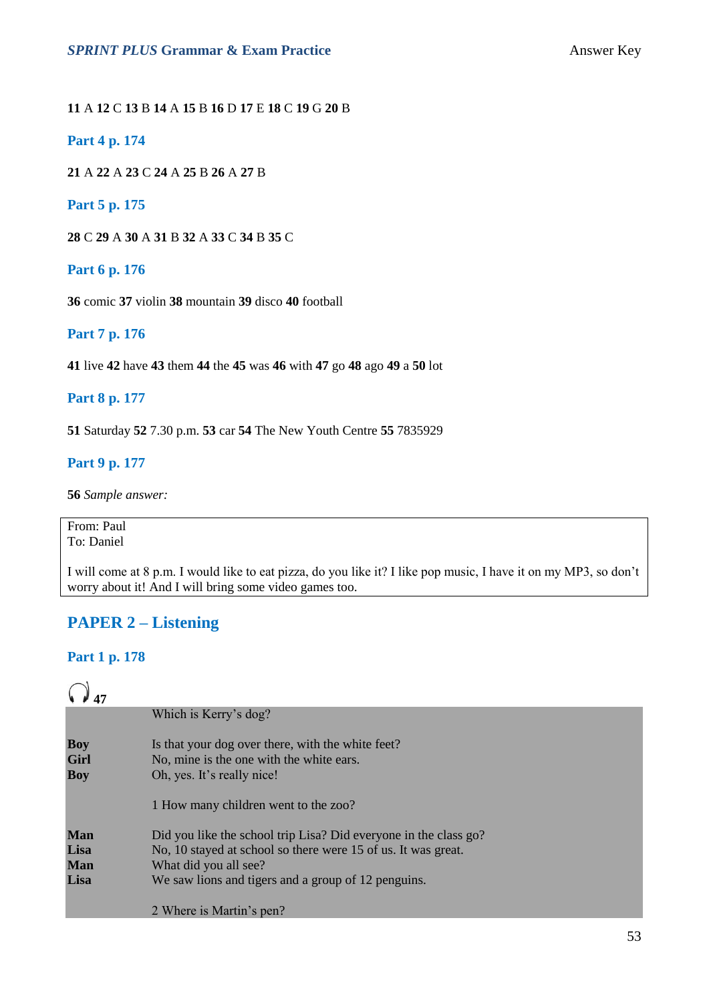#### **11** A **12** C **13** B **14** A **15** B **16** D **17** E **18** C **19** G **20** B

#### **Part 4 p. 174**

**21** A **22** A **23** C **24** A **25** B **26** A **27** B

#### **Part 5 p. 175**

**28** C **29** A **30** A **31** B **32** A **33** C **34** B **35** C

#### **Part 6 p. 176**

**36** comic **37** violin **38** mountain **39** disco **40** football

#### **Part 7 p. 176**

**41** live **42** have **43** them **44** the **45** was **46** with **47** go **48** ago **49** a **50** lot

#### **Part 8 p. 177**

**51** Saturday **52** 7.30 p.m. **53** car **54** The New Youth Centre **55** 7835929

#### **Part 9 p. 177**

**56** *Sample answer:*

#### From: Paul To: Daniel

I will come at 8 p.m. I would like to eat pizza, do you like it? I like pop music, I have it on my MP3, so don't worry about it! And I will bring some video games too.

### **PAPER 2 – Listening**

#### **Part 1 p. 178**

# $Q_{17}$

|                                  | Which is Kerry's dog?                                                                                                       |
|----------------------------------|-----------------------------------------------------------------------------------------------------------------------------|
| <b>Boy</b><br>Girl<br><b>Boy</b> | Is that your dog over there, with the white feet?<br>No, mine is the one with the white ears.<br>Oh, yes. It's really nice! |
|                                  | 1 How many children went to the zoo?                                                                                        |
| <b>Man</b>                       | Did you like the school trip Lisa? Did everyone in the class go?                                                            |
| Lisa                             | No, 10 stayed at school so there were 15 of us. It was great.                                                               |
| <b>Man</b>                       | What did you all see?                                                                                                       |
| Lisa                             | We saw lions and tigers and a group of 12 penguins.                                                                         |
|                                  | 2 Where is Martin's pen?                                                                                                    |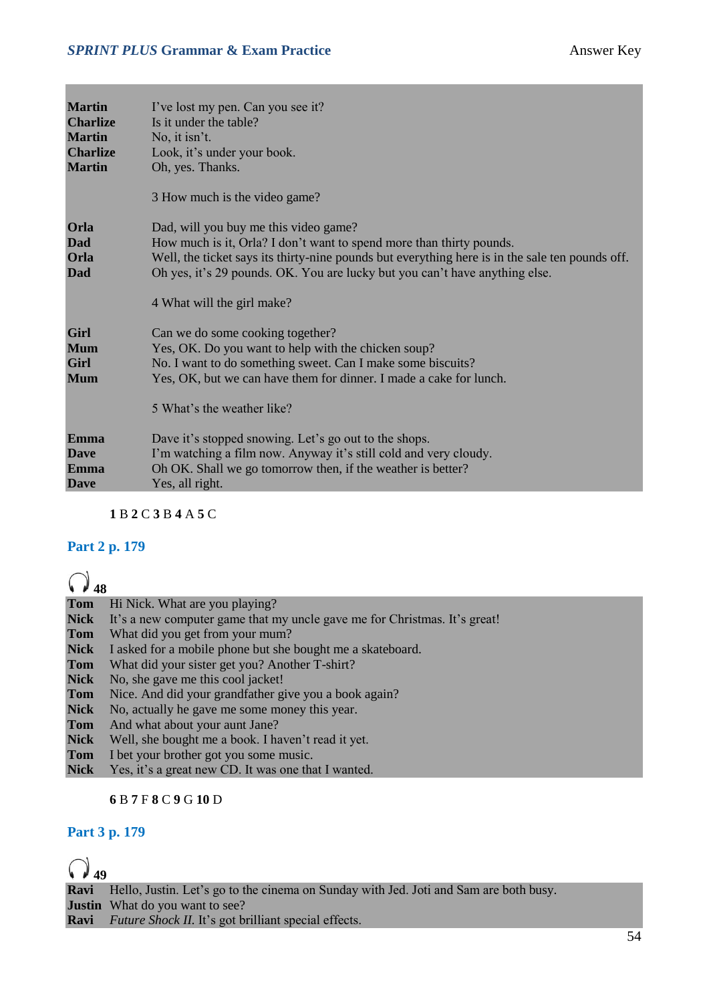| <b>Martin</b><br><b>Charlize</b><br><b>Martin</b><br><b>Charlize</b><br><b>Martin</b> | I've lost my pen. Can you see it?<br>Is it under the table?<br>No, it isn't.<br>Look, it's under your book.<br>Oh, yes. Thanks.<br>3 How much is the video game?                                                                                                                                                              |
|---------------------------------------------------------------------------------------|-------------------------------------------------------------------------------------------------------------------------------------------------------------------------------------------------------------------------------------------------------------------------------------------------------------------------------|
| Orla<br>Dad<br>Orla<br>Dad                                                            | Dad, will you buy me this video game?<br>How much is it, Orla? I don't want to spend more than thirty pounds.<br>Well, the ticket says its thirty-nine pounds but everything here is in the sale ten pounds off.<br>Oh yes, it's 29 pounds. OK. You are lucky but you can't have anything else.<br>4 What will the girl make? |
| Girl<br><b>Mum</b><br>Girl<br><b>Mum</b>                                              | Can we do some cooking together?<br>Yes, OK. Do you want to help with the chicken soup?<br>No. I want to do something sweet. Can I make some biscuits?<br>Yes, OK, but we can have them for dinner. I made a cake for lunch.<br>5 What's the weather like?                                                                    |
| Emma<br><b>Dave</b><br>Emma<br><b>Dave</b>                                            | Dave it's stopped snowing. Let's go out to the shops.<br>I'm watching a film now. Anyway it's still cold and very cloudy.<br>Oh OK. Shall we go tomorrow then, if the weather is better?<br>Yes, all right.                                                                                                                   |

**1** B **2** C **3** B **4** A **5** C

#### **Part 2 p. 179**

# $Q_{\text{18}}$

|             | <b>Tom</b> Hi Nick. What are you playing?                                 |
|-------------|---------------------------------------------------------------------------|
| <b>Nick</b> | It's a new computer game that my uncle gave me for Christmas. It's great! |
| <b>Tom</b>  | What did you get from your mum?                                           |
| <b>Nick</b> | I asked for a mobile phone but she bought me a skateboard.                |
| Tom         | What did your sister get you? Another T-shirt?                            |
| <b>Nick</b> | No, she gave me this cool jacket!                                         |
| Tom         | Nice. And did your grandfather give you a book again?                     |
| <b>Nick</b> | No, actually he gave me some money this year.                             |
| <b>Tom</b>  | And what about your aunt Jane?                                            |
| <b>Nick</b> | Well, she bought me a book. I haven't read it yet.                        |
| Tom         | I bet your brother got you some music.                                    |
| <b>Nick</b> | Yes, it's a great new CD. It was one that I wanted.                       |

#### **6** B **7** F **8** C **9** G **10** D

#### **Part 3 p. 179**

# **6**

**Ravi** Hello, Justin. Let's go to the cinema on Sunday with Jed. Joti and Sam are both busy. **Justin** What do you want to see? **Ravi** *Future Shock II.* It's got brilliant special effects.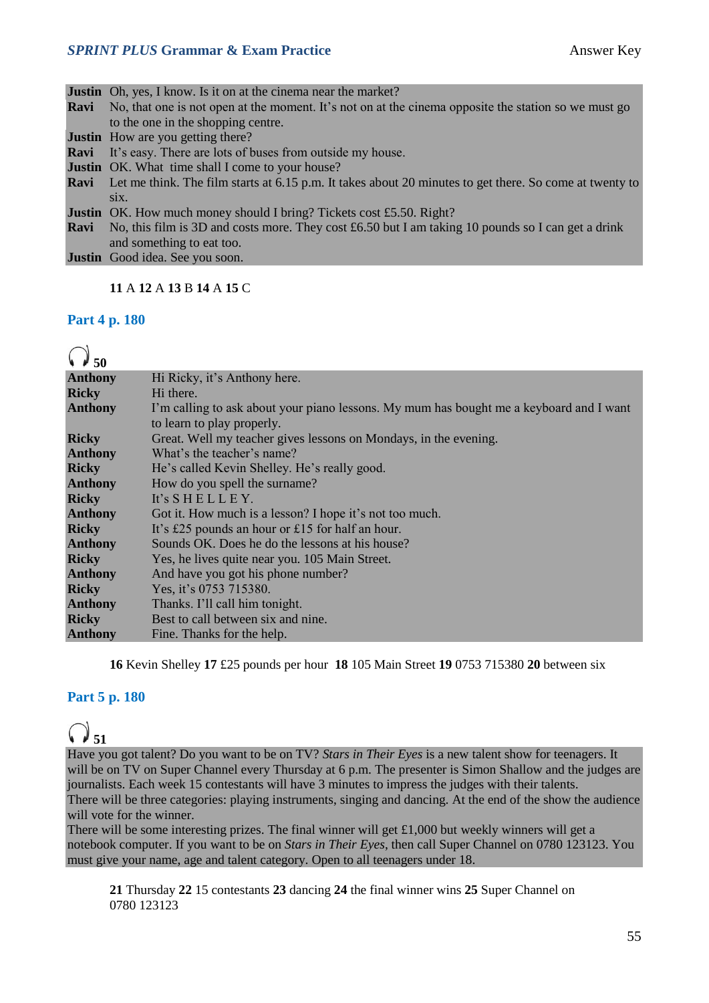#### **SPRINT PLUS Grammar & Exam Practice Answer Key**

|      | <b>Justin</b> Oh, yes, I know. Is it on at the cinema near the market?                                              |
|------|---------------------------------------------------------------------------------------------------------------------|
| Ravi | No, that one is not open at the moment. It's not on at the cinema opposite the station so we must go                |
|      | to the one in the shopping centre.                                                                                  |
|      | <b>Justin</b> How are you getting there?                                                                            |
|      | <b>Ravi</b> It's easy. There are lots of buses from outside my house.                                               |
|      | <b>Justin</b> OK. What time shall I come to your house?                                                             |
|      | <b>Ravi</b> Let me think. The film starts at 6.15 p.m. It takes about 20 minutes to get there. So come at twenty to |
|      | $\overline{S1X}$ .                                                                                                  |
|      | <b>Justin</b> OK. How much money should I bring? Tickets cost £5.50. Right?                                         |
|      | <b>Ravi</b> No, this film is 3D and costs more. They cost £6.50 but I am taking 10 pounds so I can get a drink      |
|      | and something to eat too.                                                                                           |
|      | <b>Justin</b> Good idea. See you soon.                                                                              |
|      |                                                                                                                     |

#### **11** A **12** A **13** B **14** A **15** C

#### **Part 4 p. 180**

| <b>Anthony</b> | Hi Ricky, it's Anthony here.                                                            |
|----------------|-----------------------------------------------------------------------------------------|
| <b>Ricky</b>   | Hi there.                                                                               |
| <b>Anthony</b> | I'm calling to ask about your piano lessons. My mum has bought me a keyboard and I want |
|                | to learn to play properly.                                                              |
| <b>Ricky</b>   | Great. Well my teacher gives lessons on Mondays, in the evening.                        |
| <b>Anthony</b> | What's the teacher's name?                                                              |
| <b>Ricky</b>   | He's called Kevin Shelley. He's really good.                                            |
| <b>Anthony</b> | How do you spell the surname?                                                           |
| <b>Ricky</b>   | It's $S$ H E L L E Y.                                                                   |
| <b>Anthony</b> | Got it. How much is a lesson? I hope it's not too much.                                 |
| <b>Ricky</b>   | It's £25 pounds an hour or £15 for half an hour.                                        |
| <b>Anthony</b> | Sounds OK. Does he do the lessons at his house?                                         |
| <b>Ricky</b>   | Yes, he lives quite near you. 105 Main Street.                                          |
| <b>Anthony</b> | And have you got his phone number?                                                      |
| <b>Ricky</b>   | Yes, it's 0753 715380.                                                                  |
| <b>Anthony</b> | Thanks. I'll call him tonight.                                                          |
| <b>Ricky</b>   | Best to call between six and nine.                                                      |
| <b>Anthony</b> | Fine. Thanks for the help.                                                              |
|                |                                                                                         |

**16** Kevin Shelley **17** £25 pounds per hour **18** 105 Main Street **19** 0753 715380 **20** between six

### **Part 5 p. 180**

# **51**

Have you got talent? Do you want to be on TV? *Stars in Their Eyes* is a new talent show for teenagers. It will be on TV on Super Channel every Thursday at 6 p.m. The presenter is Simon Shallow and the judges are journalists. Each week 15 contestants will have 3 minutes to impress the judges with their talents. There will be three categories: playing instruments, singing and dancing. At the end of the show the audience will vote for the winner.

There will be some interesting prizes. The final winner will get £1,000 but weekly winners will get a notebook computer. If you want to be on *Stars in Their Eyes*, then call Super Channel on 0780 123123. You must give your name, age and talent category. Open to all teenagers under 18.

**21** Thursday **22** 15 contestants **23** dancing **24** the final winner wins **25** Super Channel on 0780 123123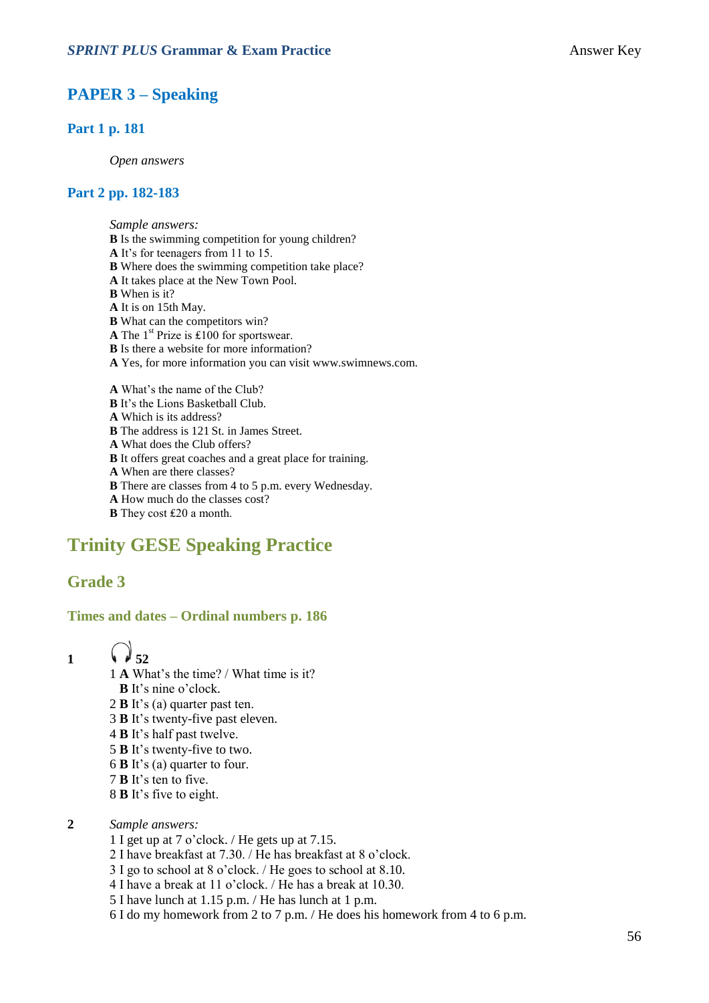### **PAPER 3 – Speaking**

#### **Part 1 p. 181**

*Open answers*

#### **Part 2 pp. 182-183**

*Sample answers:* **B** Is the swimming competition for young children? **A** It's for teenagers from 11 to 15. **B** Where does the swimming competition take place? **A** It takes place at the New Town Pool. **B** When is it? **A** It is on 15th May. **B** What can the competitors win? **A** The 1st Prize is ₤100 for sportswear. **B** Is there a website for more information? **A** Yes, for more information you can visit www.swimnews.com. **A** What's the name of the Club? **B** It's the Lions Basketball Club. **A** Which is its address? **B** The address is 121 St. in James Street. **A** What does the Club offers? **B** It offers great coaches and a great place for training.

- **A** When are there classes?
- **B** There are classes from 4 to 5 p.m. every Wednesday.
- **A** How much do the classes cost?
- **B** They cost £20 a month.

### **Trinity GESE Speaking Practice**

#### **Grade 3**

#### **Times and dates – Ordinal numbers p. 186**

- 
- 1  $\sqrt{3}$  52
	- 1 **A** What's the time? / What time is it?
	- **B** It's nine o'clock.
	- 2 **B** It's (a) quarter past ten.
	- 3 **B** It's twenty-five past eleven.
	- 4 **B** It's half past twelve.
	- 5 **B** It's twenty-five to two.
	- 6 **B** It's (a) quarter to four.
	- 7 **B** It's ten to five.
	- 8 **B** It's five to eight.
- **2** *Sample answers:*
	- 1 I get up at 7 o'clock. / He gets up at 7.15.
	- 2 I have breakfast at 7.30. / He has breakfast at 8 o'clock.
	- 3 I go to school at 8 o'clock. / He goes to school at 8.10.
	- 4 I have a break at 11 o'clock. / He has a break at 10.30.
	- 5 I have lunch at 1.15 p.m. / He has lunch at 1 p.m.
	- 6 I do my homework from 2 to 7 p.m. / He does his homework from 4 to 6 p.m.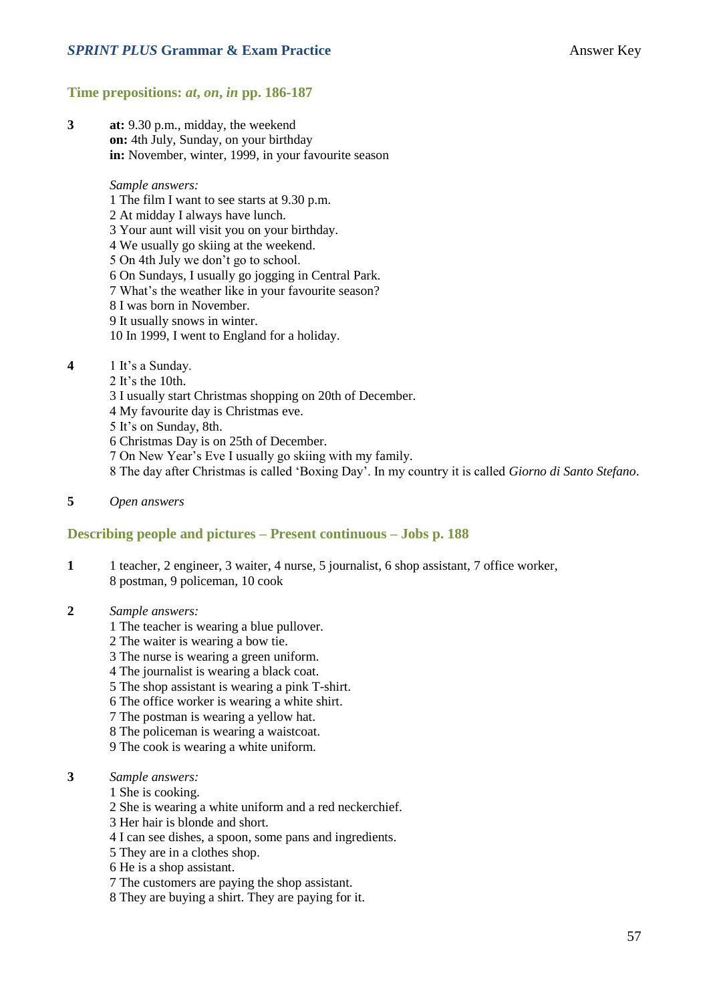#### **Time prepositions:** *at***,** *on***,** *in* **pp. 186-187**

**3 at:** 9.30 p.m., midday, the weekend **on:** 4th July, Sunday, on your birthday **in:** November, winter, 1999, in your favourite season

#### *Sample answers:*

- 1 The film I want to see starts at 9.30 p.m.
- 2 At midday I always have lunch.

3 Your aunt will visit you on your birthday.

- 4 We usually go skiing at the weekend.
- 5 On 4th July we don't go to school.
- 6 On Sundays, I usually go jogging in Central Park.
- 7 What's the weather like in your favourite season?
- 8 I was born in November.
- 9 It usually snows in winter.
- 10 In 1999, I went to England for a holiday.

#### **4** 1 It's a Sunday.

- 2 It's the 10th.
- 3 I usually start Christmas shopping on 20th of December.
- 4 My favourite day is Christmas eve.
- 5 It's on Sunday, 8th.
- 6 Christmas Day is on 25th of December.
- 7 On New Year's Eve I usually go skiing with my family.
- 8 The day after Christmas is called 'Boxing Day'. In my country it is called *Giorno di Santo Stefano*.
- **5** *Open answers*

#### **Describing people and pictures – Present continuous – Jobs p. 188**

- **1** 1 teacher, 2 engineer, 3 waiter, 4 nurse, 5 journalist, 6 shop assistant, 7 office worker, 8 postman, 9 policeman, 10 cook
- **2** *Sample answers:*
	- 1 The teacher is wearing a blue pullover.
	- 2 The waiter is wearing a bow tie.
	- 3 The nurse is wearing a green uniform.
	- 4 The journalist is wearing a black coat.
	- 5 The shop assistant is wearing a pink T-shirt.
	- 6 The office worker is wearing a white shirt.
	- 7 The postman is wearing a yellow hat.
	- 8 The policeman is wearing a waistcoat.
	- 9 The cook is wearing a white uniform.
- **3** *Sample answers:*
	- 1 She is cooking.
	- 2 She is wearing a white uniform and a red neckerchief.
	- 3 Her hair is blonde and short.
	- 4 I can see dishes, a spoon, some pans and ingredients.
	- 5 They are in a clothes shop.
	- 6 He is a shop assistant.
	- 7 The customers are paying the shop assistant.
	- 8 They are buying a shirt. They are paying for it.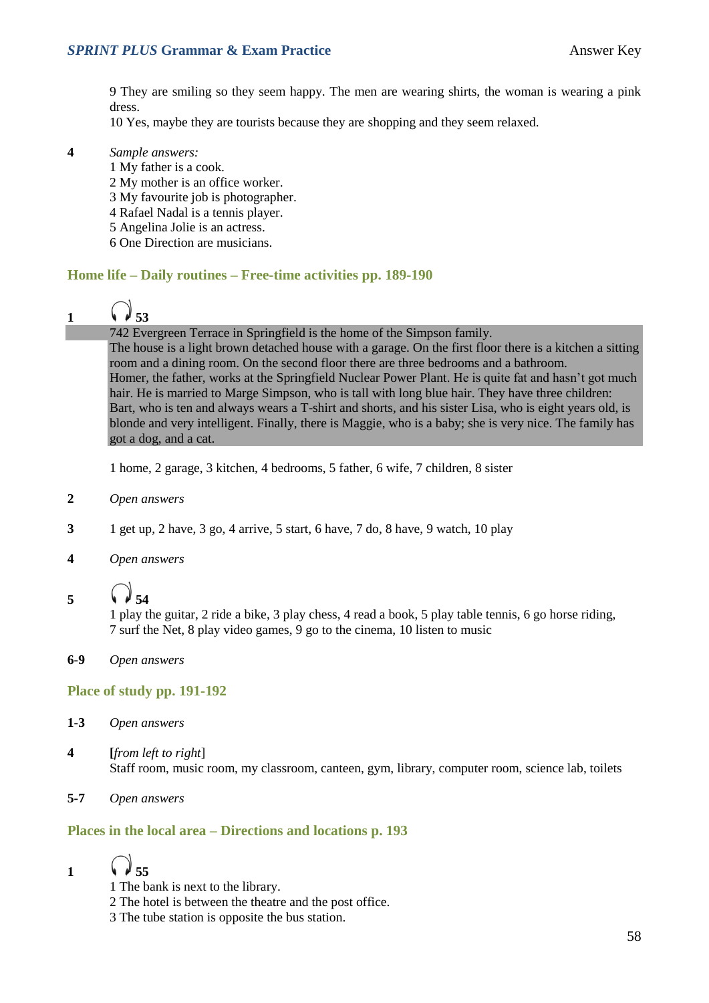9 They are smiling so they seem happy. The men are wearing shirts, the woman is wearing a pink dress.

10 Yes, maybe they are tourists because they are shopping and they seem relaxed.

#### **4** *Sample answers:*

- 1 My father is a cook.
- 2 My mother is an office worker.
- 3 My favourite job is photographer.
- 4 Rafael Nadal is a tennis player.
- 5 Angelina Jolie is an actress.
- 6 One Direction are musicians.

#### **Home life – Daily routines – Free-time activities pp. 189-190**

# 1  $\binom{3}{2}$  53

#### 742 Evergreen Terrace in [Springfield](http://en.wikipedia.org/wiki/Springfield_(The_Simpsons)) is the home of th[e Simpson family.](http://en.wikipedia.org/wiki/Simpson_family)

The house is a light brown [detached house](http://en.wikipedia.org/wiki/Detached_house) with a garage. On the first floor there is a kitchen a [sitting](http://en.wikipedia.org/wiki/Sitting_room)  [room](http://en.wikipedia.org/wiki/Sitting_room) and a [dining room.](http://en.wikipedia.org/wiki/Dining_room) On the second floor there are three bedrooms and a bathroom. Homer, the father, works at the [Springfield Nuclear Power Plant.](http://en.wikipedia.org/wiki/Springfield_Nuclear_Power_Plant) He is quite fat and hasn't got much hair. He is married to Marge Simpson, who is tall with long blue hair. They have three children: Bart, who is ten and always wears a T-shirt and shorts, and his sister Lisa, who is eight years old, is blonde and very intelligent. Finally, there is [Maggie,](http://en.wikipedia.org/wiki/Maggie_Simpson) who is a baby; she is very nice. The family has got a dog, and a cat.

1 home, 2 garage, 3 kitchen, 4 bedrooms, 5 father, 6 wife, 7 children, 8 sister

- **2** *Open answers*
- **3** 1 get up, 2 have, 3 go, 4 arrive, 5 start, 6 have, 7 do, 8 have, 9 watch, 10 play
- **4** *Open answers*
- **5 54**

1 play the guitar, 2 ride a bike, 3 play chess, 4 read a book, 5 play table tennis, 6 go horse riding, 7 surf the Net, 8 play video games, 9 go to the cinema, 10 listen to music

**6-9** *Open answers*

#### **Place of study pp. 191-192**

- **1-3** *Open answers*
- **4 [***from left to right*] Staff room, music room, my classroom, canteen, gym, library, computer room, science lab, toilets
- **5-7** *Open answers*

#### **Places in the local area – Directions and locations p. 193**

1  $\sqrt{35}$ 

- 1 The bank is next to the library.
- 2 The hotel is between the theatre and the post office.
- 3 The tube station is opposite the bus station.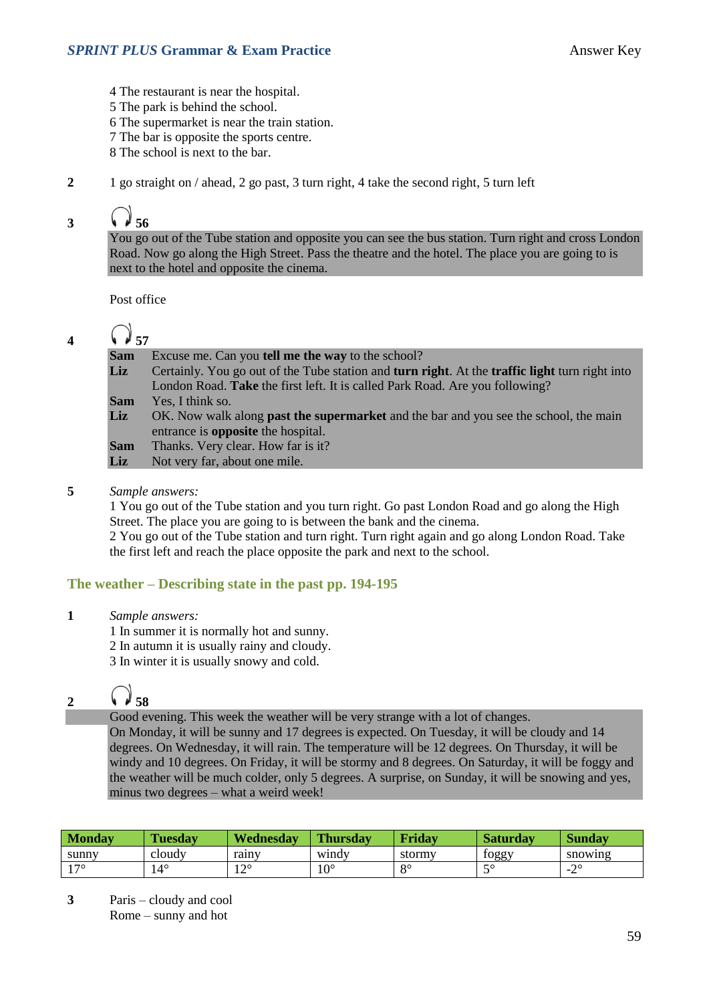- 4 The restaurant is near the hospital.
- 5 The park is behind the school.
- 6 The supermarket is near the train station.
- 7 The bar is opposite the sports centre.
- 8 The school is next to the bar.
- **2** 1 go straight on / ahead, 2 go past, 3 turn right, 4 take the second right, 5 turn left

## 3  $\sqrt{3}$  56

You go out of the Tube station and opposite you can see the bus station. Turn right and cross London Road. Now go along the High Street. Pass the theatre and the hotel. The place you are going to is next to the hotel and opposite the cinema.

Post office

### 4  $\bigcirc$  57

| Certainly. You go out of the Tube station and <b>turn right</b> . At the <b>traffic light</b> turn right into |
|---------------------------------------------------------------------------------------------------------------|
|                                                                                                               |
|                                                                                                               |
| OK. Now walk along <b>past the supermarket</b> and the bar and you see the school, the main                   |
|                                                                                                               |
|                                                                                                               |
|                                                                                                               |
|                                                                                                               |

#### **5** *Sample answers:*

1 You go out of the Tube station and you turn right. Go past London Road and go along the High Street. The place you are going to is between the bank and the cinema.

2 You go out of the Tube station and turn right. Turn right again and go along London Road. Take the first left and reach the place opposite the park and next to the school.

#### **The weather – Describing state in the past pp. 194-195**

**1** *Sample answers:*

1 In summer it is normally hot and sunny.

2 In autumn it is usually rainy and cloudy.

3 In winter it is usually snowy and cold.

# 2  $\sqrt{3}$  58

Good evening. This week the weather will be very strange with a lot of changes.

On Monday, it will be sunny and 17 degrees is expected. On Tuesday, it will be cloudy and 14 degrees. On Wednesday, it will rain. The temperature will be 12 degrees. On Thursday, it will be windy and 10 degrees. On Friday, it will be stormy and 8 degrees. On Saturday, it will be foggy and the weather will be much colder, only 5 degrees. A surprise, on Sunday, it will be snowing and yes, minus two degrees – what a weird week!

| Mondav | <b>Tuesday</b> | Wednesday | <b>Thursday</b> | Friday   | <b>Saturday</b> | Sundav             |
|--------|----------------|-----------|-----------------|----------|-----------------|--------------------|
| sunny  | cloudy         | rainy     | windy           | stormy   | toggy           | snowing            |
| 170    | $\Lambda$      | 100<br>┸  | $\Omega$<br>.U  | $\Omega$ | $\epsilon$<br>~ | $\cap$<br>. .<br>∸ |

**3** Paris – cloudy and cool Rome – sunny and hot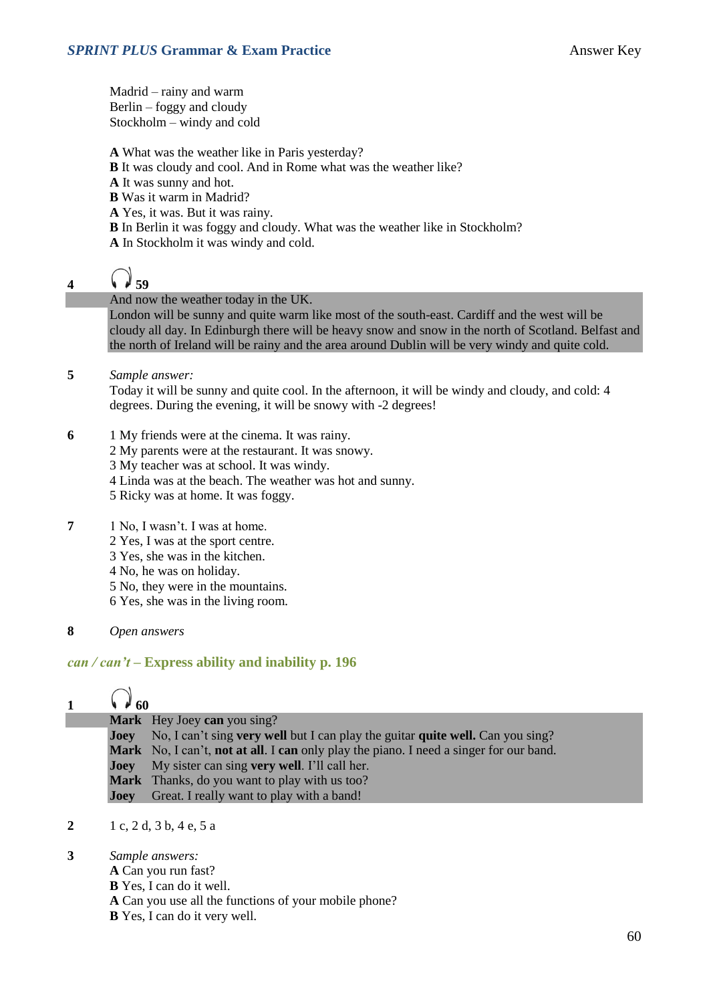Madrid – rainy and warm Berlin – foggy and cloudy Stockholm – windy and cold

**A** What was the weather like in Paris yesterday?

- **B** It was cloudy and cool. And in Rome what was the weather like?
- **A** It was sunny and hot.
- **B** Was it warm in Madrid?
- **A** Yes, it was. But it was rainy.
- **B** In Berlin it was foggy and cloudy. What was the weather like in Stockholm? **A** In Stockholm it was windy and cold.

# **4**  $\sqrt{39}$

And now the weather today in the UK.

London will be sunny and quite warm like most of the south-east. Cardiff and the west will be cloudy all day. In Edinburgh there will be heavy snow and snow in the north of Scotland. Belfast and the north of Ireland will be rainy and the area around Dublin will be very windy and quite cold.

#### **5** *Sample answer:*

Today it will be sunny and quite cool. In the afternoon, it will be windy and cloudy, and cold: 4 degrees. During the evening, it will be snowy with -2 degrees!

- **6** 1 My friends were at the cinema. It was rainy.
	- 2 My parents were at the restaurant. It was snowy.
	- 3 My teacher was at school. It was windy.
	- 4 Linda was at the beach. The weather was hot and sunny.
	- 5 Ricky was at home. It was foggy.
- **7** 1 No, I wasn't. I was at home.
	- 2 Yes, I was at the sport centre.
	- 3 Yes, she was in the kitchen.
	- 4 No, he was on holiday.
	- 5 No, they were in the mountains.
	- 6 Yes, she was in the living room.
- **8** *Open answers*

#### *can / can't* **– Express ability and inability p. 196**

| $\mathbf{1}$ | $\sqrt{60}$ |                                                                                        |
|--------------|-------------|----------------------------------------------------------------------------------------|
|              |             | Mark Hey Joey can you sing?                                                            |
|              | Joev        | No, I can't sing very well but I can play the guitar quite well. Can you sing?         |
|              |             | Mark No, I can't, not at all. I can only play the piano. I need a singer for our band. |
|              | Joev        | My sister can sing very well. I'll call her.                                           |
|              |             | Mark Thanks, do you want to play with us too?                                          |
|              | Joey        | Great. I really want to play with a band!                                              |

**2** 1 c, 2 d, 3 b, 4 e, 5 a

#### **3** *Sample answers:*

- **A** Can you run fast?
- **B** Yes, I can do it well.
- **A** Can you use all the functions of your mobile phone?
- **B** Yes, I can do it very well.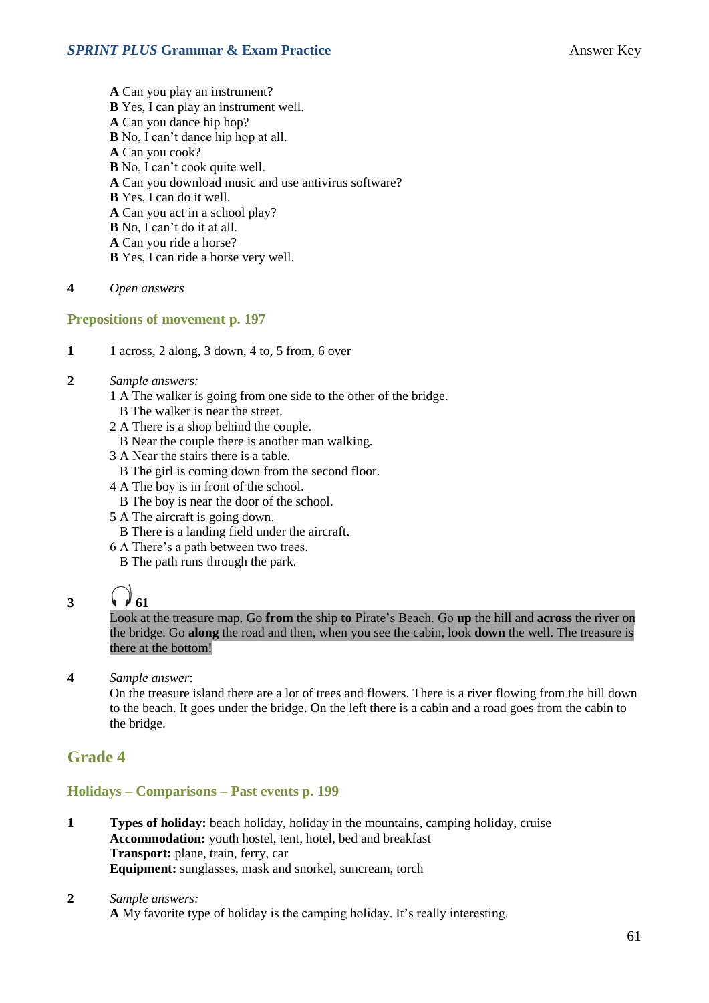- **A** Can you play an instrument? **B** Yes, I can play an instrument well. **A** Can you dance hip hop? **B** No, I can't dance hip hop at all. **A** Can you cook? **B** No, I can't cook quite well. **A** Can you download music and use antivirus software? **B** Yes, I can do it well. **A** Can you act in a school play? **B** No, I can't do it at all. **A** Can you ride a horse? **B** Yes, I can ride a horse very well.
- **4** *Open answers*

#### **Prepositions of movement p. 197**

- **1** 1 across, 2 along, 3 down, 4 to, 5 from, 6 over
- **2** *Sample answers:*
	- 1 A The walker is going from one side to the other of the bridge.
	- B The walker is near the street.
	- 2 A There is a shop behind the couple.
	- B Near the couple there is another man walking.
	- 3 A Near the stairs there is a table.
		- B The girl is coming down from the second floor.
	- 4 A The boy is in front of the school.
		- B The boy is near the door of the school.
	- 5 A The aircraft is going down.
		- B There is a landing field under the aircraft.
	- 6 A There's a path between two trees.
		- B The path runs through the park.

**3**  $\binom{1}{1}$ 

Look at the treasure map. Go **from** the ship **to** Pirate's Beach. Go **up** the hill and **across** the river on the bridge. Go **along** the road and then, when you see the cabin, look **down** the well. The treasure is there at the bottom!

**4** *Sample answer*:

On the treasure island there are a lot of trees and flowers. There is a river flowing from the hill down to the beach. It goes under the bridge. On the left there is a cabin and a road goes from the cabin to the bridge.

### **Grade 4**

#### **Holidays – Comparisons – Past events p. 199**

- **1 Types of holiday:** beach holiday, holiday in the mountains, camping holiday, cruise **Accommodation:** youth hostel, tent, hotel, bed and breakfast **Transport:** plane, train, ferry, car **Equipment:** sunglasses, mask and snorkel, suncream, torch
- **2** *Sample answers:* **A** My favorite type of holiday is the camping holiday. It's really interesting.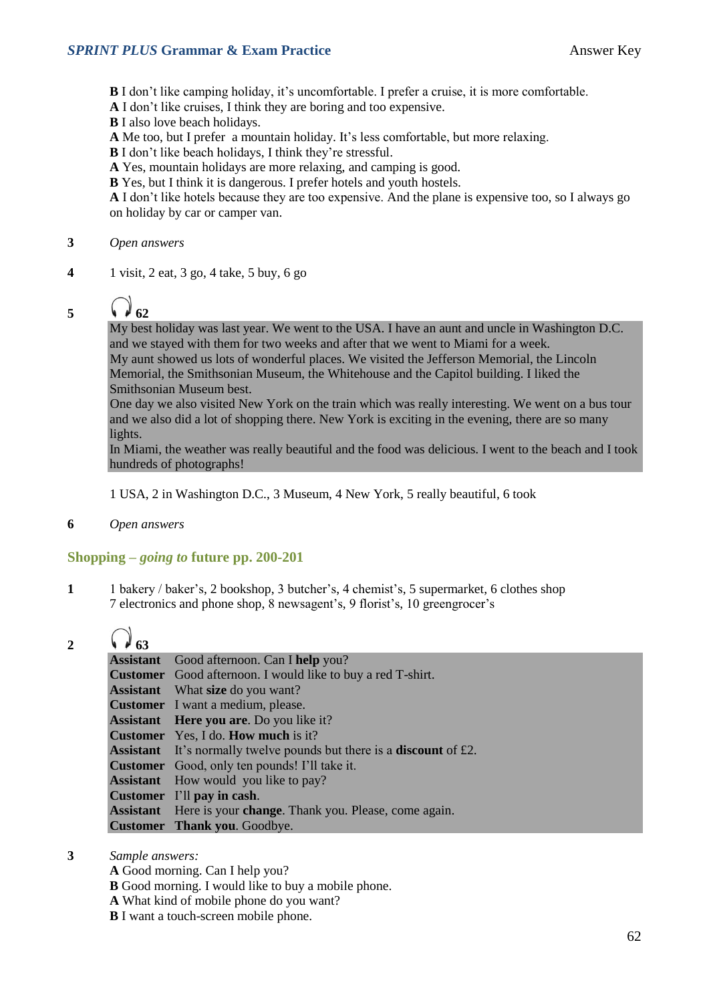**B** I don't like camping holiday, it's uncomfortable. I prefer a cruise, it is more comfortable.

- **A** I don't like cruises, I think they are boring and too expensive.
- **B** I also love beach holidays.
- **A** Me too, but I prefer a mountain holiday. It's less comfortable, but more relaxing.
- **B** I don't like beach holidays, I think they're stressful.
- **A** Yes, mountain holidays are more relaxing, and camping is good.
- **B** Yes, but I think it is dangerous. I prefer hotels and youth hostels.

**A** I don't like hotels because they are too expensive. And the plane is expensive too, so I always go on holiday by car or camper van.

#### **3** *Open answers*

**4** 1 visit, 2 eat, 3 go, 4 take, 5 buy, 6 go

5  $\binom{2}{1}$  62

My best holiday was last year. We went to the USA. I have an aunt and uncle in Washington D.C. and we stayed with them for two weeks and after that we went to Miami for a week. My aunt showed us lots of wonderful places. We visited the Jefferson Memorial, the Lincoln Memorial, the Smithsonian Museum, the Whitehouse and the Capitol building. I liked the Smithsonian Museum best.

One day we also visited New York on the train which was really interesting. We went on a bus tour and we also did a lot of shopping there. New York is exciting in the evening, there are so many lights.

In Miami, the weather was really beautiful and the food was delicious. I went to the beach and I took hundreds of photographs!

1 USA, 2 in Washington D.C., 3 Museum, 4 New York, 5 really beautiful, 6 took

**6** *Open answers*

#### **Shopping –** *going to* **future pp. 200-201**

**1** 1 bakery / baker's, 2 bookshop, 3 butcher's, 4 chemist's, 5 supermarket, 6 clothes shop 7 electronics and phone shop, 8 newsagent's, 9 florist's, 10 greengrocer's

### 2  $\binom{3}{4}$  63

| <b>Assistant</b> Good afternoon. Can I help you?                                   |
|------------------------------------------------------------------------------------|
| <b>Customer</b> Good afternoon. I would like to buy a red T-shirt.                 |
| <b>Assistant</b> What size do you want?                                            |
| <b>Customer</b> I want a medium, please.                                           |
| <b>Assistant</b> Here you are. Do you like it?                                     |
| <b>Customer</b> Yes, I do. <b>How much</b> is it?                                  |
| <b>Assistant</b> It's normally twelve pounds but there is a <b>discount</b> of £2. |
| <b>Customer</b> Good, only ten pounds! I'll take it.                               |
| <b>Assistant</b> How would you like to pay?                                        |
| Customer I'll pay in cash.                                                         |
| <b>Assistant</b> Here is your <b>change</b> . Thank you. Please, come again.       |
| <b>Customer</b> Thank you. Goodbye.                                                |

- **3** *Sample answers:*
	- **A** Good morning. Can I help you?
	- **B** Good morning. I would like to buy a mobile phone.
	- **A** What kind of mobile phone do you want?
	- **B** I want a touch-screen mobile phone.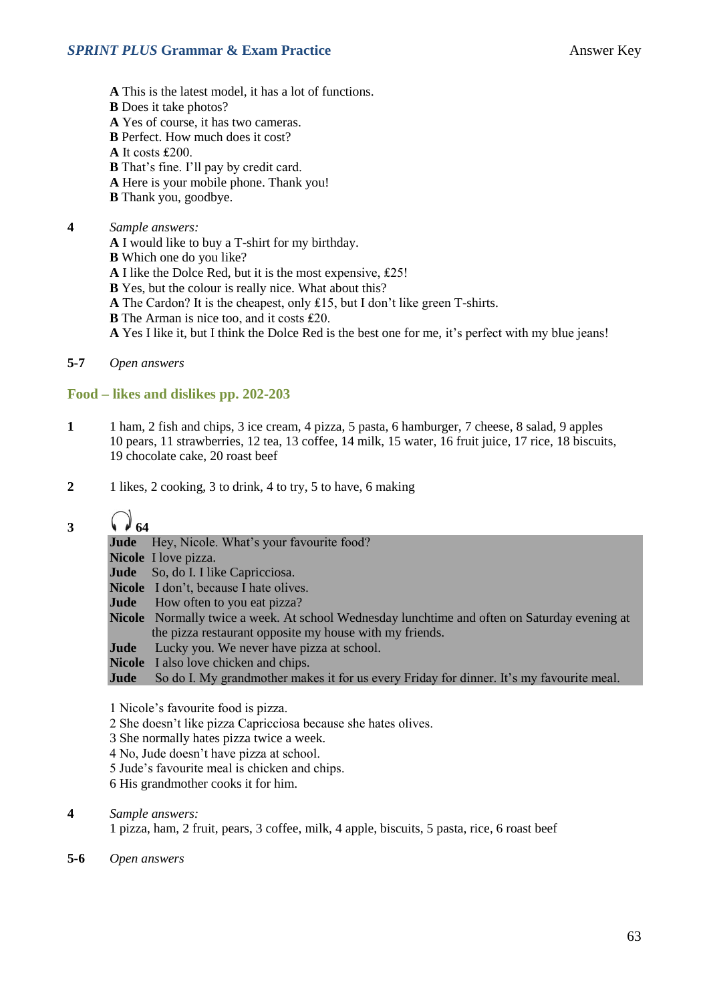- **A** This is the latest model, it has a lot of functions. **B** Does it take photos? **A** Yes of course, it has two cameras. **B** Perfect. How much does it cost? **A** It costs ₤200. **B** That's fine. I'll pay by credit card.
- **A** Here is your mobile phone. Thank you!
- **B** Thank you, goodbye.

#### **4** *Sample answers:*

- **A** I would like to buy a T-shirt for my birthday.
- **B** Which one do you like?
- **A** I like the Dolce Red, but it is the most expensive, ₤25!
- **B** Yes, but the colour is really nice. What about this?
- **A** The Cardon? It is the cheapest, only ₤15, but I don't like green T-shirts.
- **B** The Arman is nice too, and it costs £20.
- **A** Yes I like it, but I think the Dolce Red is the best one for me, it's perfect with my blue jeans!
- **5-7** *Open answers*

#### **Food – likes and dislikes pp. 202-203**

- **1** 1 ham, 2 fish and chips, 3 ice cream, 4 pizza, 5 pasta, 6 hamburger, 7 cheese, 8 salad, 9 apples 10 pears, 11 strawberries, 12 tea, 13 coffee, 14 milk, 15 water, 16 fruit juice, 17 rice, 18 biscuits, 19 chocolate cake, 20 roast beef
- **2** 1 likes, 2 cooking, 3 to drink, 4 to try, 5 to have, 6 making

### **3**  $\bigcirc$  64

|      | <b>Jude</b> Hey, Nicole. What's your favourite food?                                         |
|------|----------------------------------------------------------------------------------------------|
|      | <b>Nicole</b> I love pizza.                                                                  |
|      | <b>Jude</b> So, do I. I like Capricciosa.                                                    |
|      | <b>Nicole</b> I don't, because I hate olives.                                                |
|      | <b>Jude</b> How often to you eat pizza?                                                      |
|      | Nicole Normally twice a week. At school Wednesday lunchtime and often on Saturday evening at |
|      | the pizza restaurant opposite my house with my friends.                                      |
|      | <b>Jude</b> Lucky you. We never have pizza at school.                                        |
|      | <b>Nicole</b> I also love chicken and chips.                                                 |
| Jude | So do I. My grandmother makes it for us every Friday for dinner. It's my favourite meal.     |
|      |                                                                                              |

- 1 Nicole's favourite food is pizza.
- 2 She doesn't like pizza Capricciosa because she hates olives.
- 3 She normally hates pizza twice a week.
- 4 No, Jude doesn't have pizza at school.
- 5 Jude's favourite meal is chicken and chips.
- 6 His grandmother cooks it for him.
- **4** *Sample answers:*

1 pizza, ham, 2 fruit, pears, 3 coffee, milk, 4 apple, biscuits, 5 pasta, rice, 6 roast beef

**5-6** *Open answers*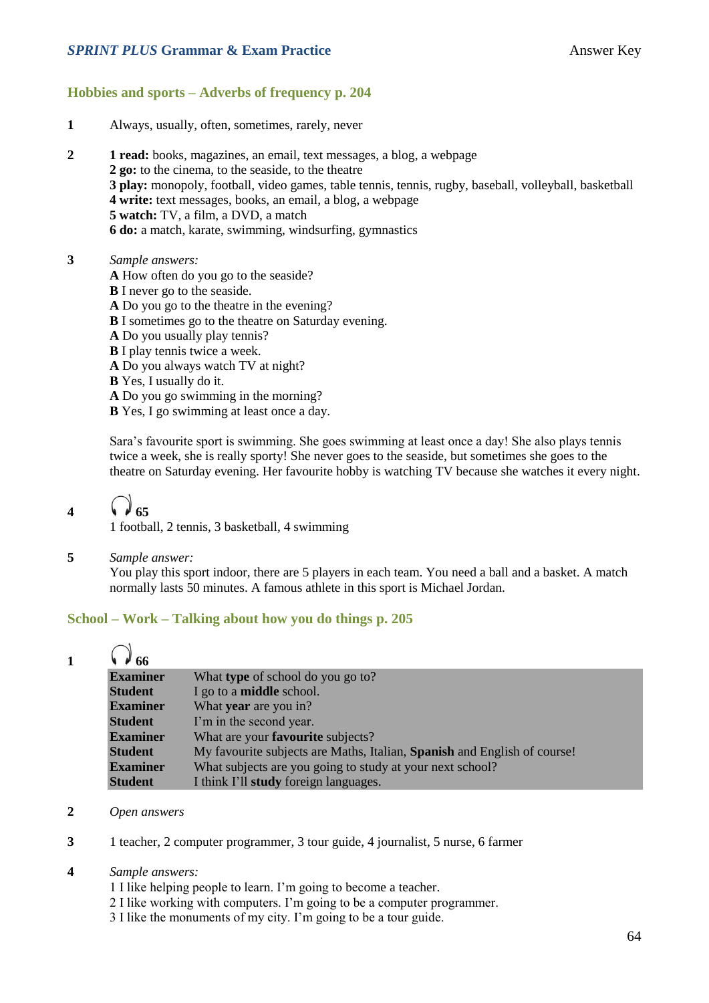#### **SPRINT PLUS Grammar & Exam Practice Answer Key Answer Key**

#### **Hobbies and sports – Adverbs of frequency p. 204**

- **1** Always, usually, often, sometimes, rarely, never
- **2 1 read:** books, magazines, an email, text messages, a blog, a webpage **2 go:** to the cinema, to the seaside, to the theatre **3 play:** monopoly, football, video games, table tennis, tennis, rugby, baseball, volleyball, basketball **4 write:** text messages, books, an email, a blog, a webpage **5 watch:** TV, a film, a DVD, a match **6 do:** a match, karate, swimming, windsurfing, gymnastics
- **3** *Sample answers:*
	- **A** How often do you go to the seaside?
	- **B** I never go to the seaside.
	- **A** Do you go to the theatre in the evening?
	- **B** I sometimes go to the theatre on Saturday evening.
	- **A** Do you usually play tennis?
	- **B** I play tennis twice a week.
	- **A** Do you always watch TV at night?
	- **B** Yes, I usually do it.
	- **A** Do you go swimming in the morning?
	- **B** Yes, I go swimming at least once a day.

Sara's favourite sport is swimming. She goes swimming at least once a day! She also plays tennis twice a week, she is really sporty! She never goes to the seaside, but sometimes she goes to the theatre on Saturday evening. Her favourite hobby is watching TV because she watches it every night.

# 4  $\sqrt{65}$

1 football, 2 tennis, 3 basketball, 4 swimming

**5** *Sample answer:*

You play this sport indoor, there are 5 players in each team. You need a ball and a basket. A match normally lasts 50 minutes. A famous athlete in this sport is Michael Jordan.

#### **School – Work – Talking about how you do things p. 205**

| $\mu$ 66        |                                                                          |
|-----------------|--------------------------------------------------------------------------|
| <b>Examiner</b> | What type of school do you go to?                                        |
| <b>Student</b>  | I go to a <b>middle</b> school.                                          |
| <b>Examiner</b> | What year are you in?                                                    |
| <b>Student</b>  | I'm in the second year.                                                  |
| <b>Examiner</b> | What are your <b>favourite</b> subjects?                                 |
| <b>Student</b>  | My favourite subjects are Maths, Italian, Spanish and English of course! |
| <b>Examiner</b> | What subjects are you going to study at your next school?                |
| <b>Student</b>  | I think I'll <b>study</b> foreign languages.                             |

- **2** *Open answers*
- **3** 1 teacher, 2 computer programmer, 3 tour guide, 4 journalist, 5 nurse, 6 farmer

#### **4** *Sample answers:*

- 1 I like helping people to learn. I'm going to become a teacher.
- 2 I like working with computers. I'm going to be a computer programmer.
- 3 I like the monuments of my city. I'm going to be a tour guide.